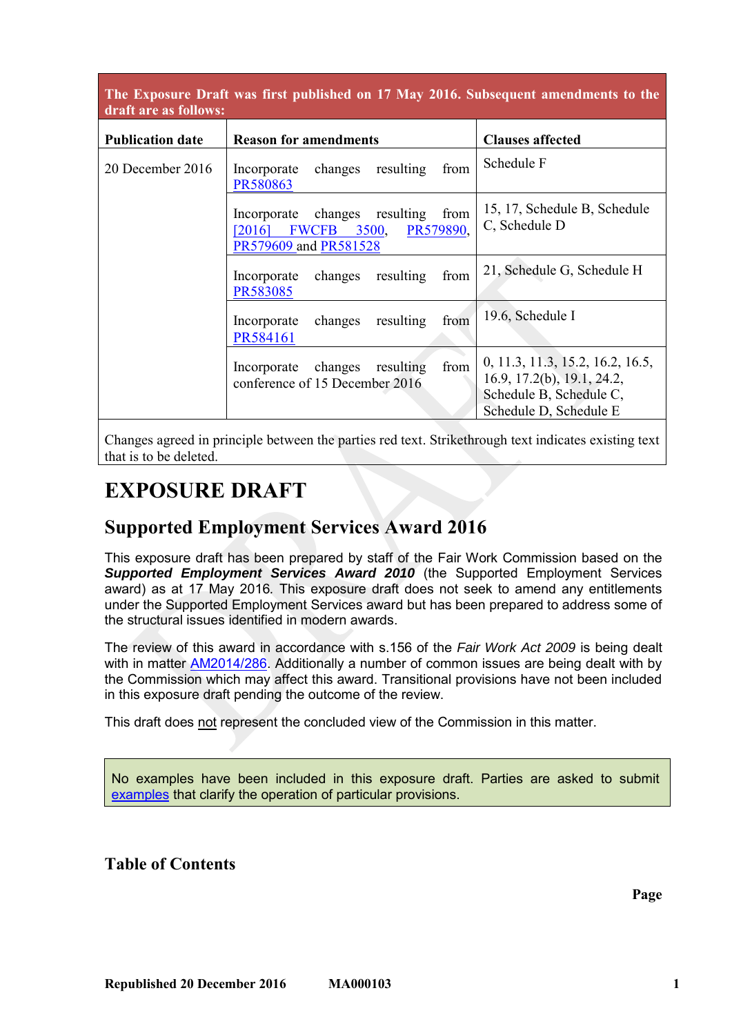## **The Exposure Draft was first published on 17 May 2016. Subsequent amendments to the draft are as follows:**

| <b>Publication date</b> | <b>Reason for amendments</b>                                                                                | <b>Clauses affected</b>                                                                                             |
|-------------------------|-------------------------------------------------------------------------------------------------------------|---------------------------------------------------------------------------------------------------------------------|
| 20 December 2016        | resulting<br>changes<br>from<br>Incorporate<br>PR580863                                                     | Schedule F                                                                                                          |
|                         | Incorporate changes resulting<br>from<br>PR579890,<br><b>FWCFB</b> 3500,<br>[2016]<br>PR579609 and PR581528 | 15, 17, Schedule B, Schedule<br>C, Schedule D                                                                       |
|                         | changes<br>resulting<br>from<br>Incorporate<br>PR583085                                                     | 21, Schedule G, Schedule H                                                                                          |
|                         | changes<br>resulting<br>from<br>Incorporate<br>PR584161                                                     | 19.6, Schedule I                                                                                                    |
|                         | from<br>changes<br>resulting<br>Incorporate<br>conference of 15 December 2016                               | 0, 11.3, 11.3, 15.2, 16.2, 16.5,<br>16.9, 17.2(b), 19.1, 24.2,<br>Schedule B, Schedule C,<br>Schedule D, Schedule E |

Changes agreed in principle between the parties red text. Strikethrough text indicates existing text that is to be deleted.

# **EXPOSURE DRAFT**

# **Supported Employment Services Award 2016**

This exposure draft has been prepared by staff of the Fair Work Commission based on the *Supported Employment Services Award 2010* (the Supported Employment Services award) as at 17 May 2016*.* This exposure draft does not seek to amend any entitlements under the Supported Employment Services award but has been prepared to address some of the structural issues identified in modern awards.

The review of this award in accordance with s.156 of the *Fair Work Act 2009* is being dealt with in matter [AM2014/286.](http://www.fwc.gov.au/awards-and-agreements/modern-award-reviews/4-yearly-review/award-stage/award-review-documents/MA000103?m=AM2014/286) Additionally a number of common issues are being dealt with by the Commission which may affect this award. Transitional provisions have not been included in this exposure draft pending the outcome of the review.

This draft does not represent the concluded view of the Commission in this matter.

No examples have been included in this exposure draft. Parties are asked to submit [examples](https://www.fwc.gov.au/sites/awardsmodernfouryr/Example-samples-2014.pdf) that clarify the operation of particular provisions.

**Table of Contents** 

**Page**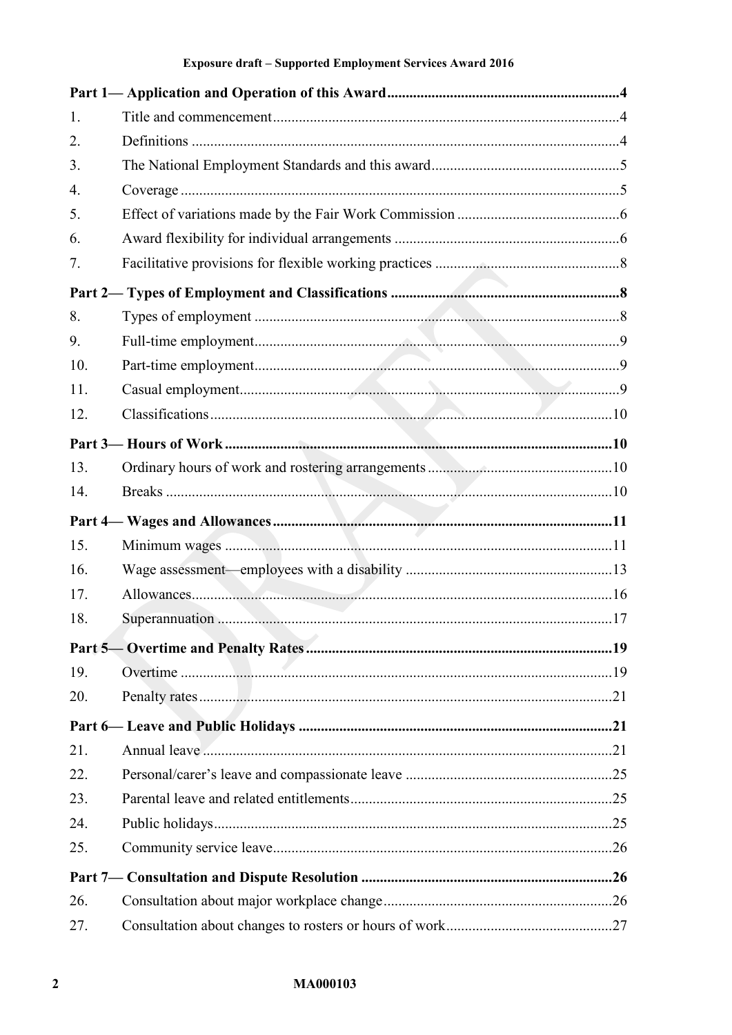| 1.  |  |
|-----|--|
| 2.  |  |
| 3.  |  |
| 4.  |  |
| 5.  |  |
| 6.  |  |
| 7.  |  |
|     |  |
| 8.  |  |
| 9.  |  |
| 10. |  |
| 11. |  |
| 12. |  |
|     |  |
| 13. |  |
| 14. |  |
|     |  |
| 15. |  |
| 16. |  |
| 17. |  |
| 18. |  |
|     |  |
| 19. |  |
| 20. |  |
|     |  |
| 21. |  |
| 22. |  |
| 23. |  |
| 24. |  |
| 25. |  |
|     |  |
| 26. |  |
| 27. |  |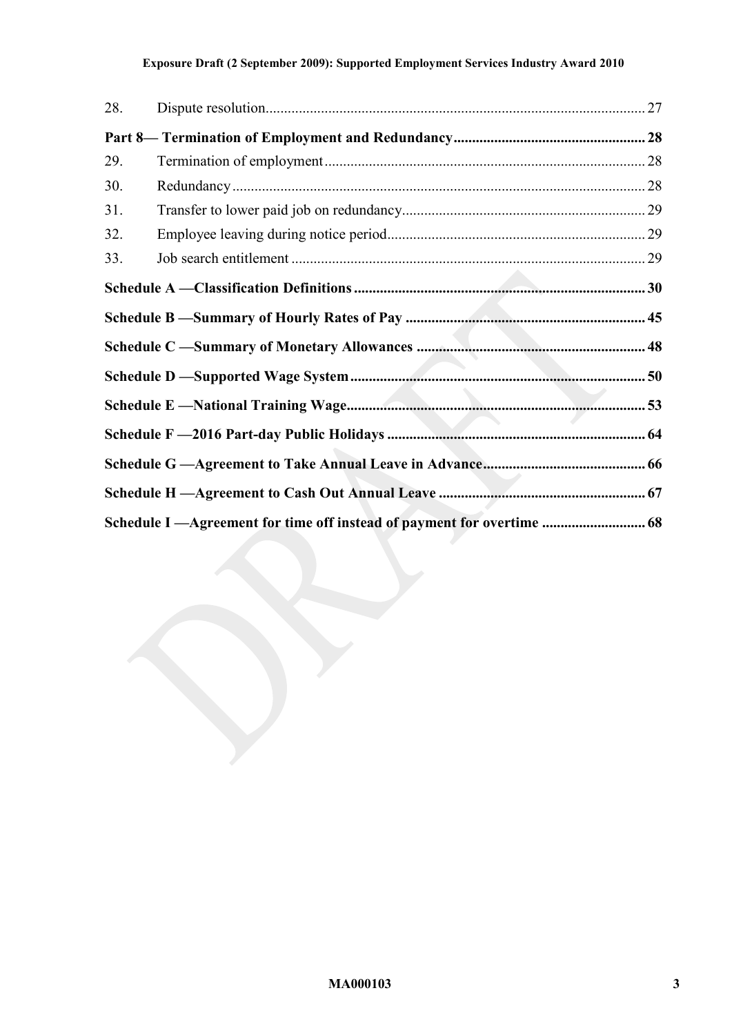## **Exposure Draft (2 September 2009): Supported Employment Services Industry Award 2010**

| 28. |                                                                        |  |
|-----|------------------------------------------------------------------------|--|
|     |                                                                        |  |
| 29. |                                                                        |  |
| 30. |                                                                        |  |
| 31. |                                                                        |  |
| 32. |                                                                        |  |
| 33. |                                                                        |  |
|     |                                                                        |  |
|     |                                                                        |  |
|     |                                                                        |  |
|     |                                                                        |  |
|     |                                                                        |  |
|     |                                                                        |  |
|     |                                                                        |  |
|     |                                                                        |  |
|     | Schedule I —Agreement for time off instead of payment for overtime  68 |  |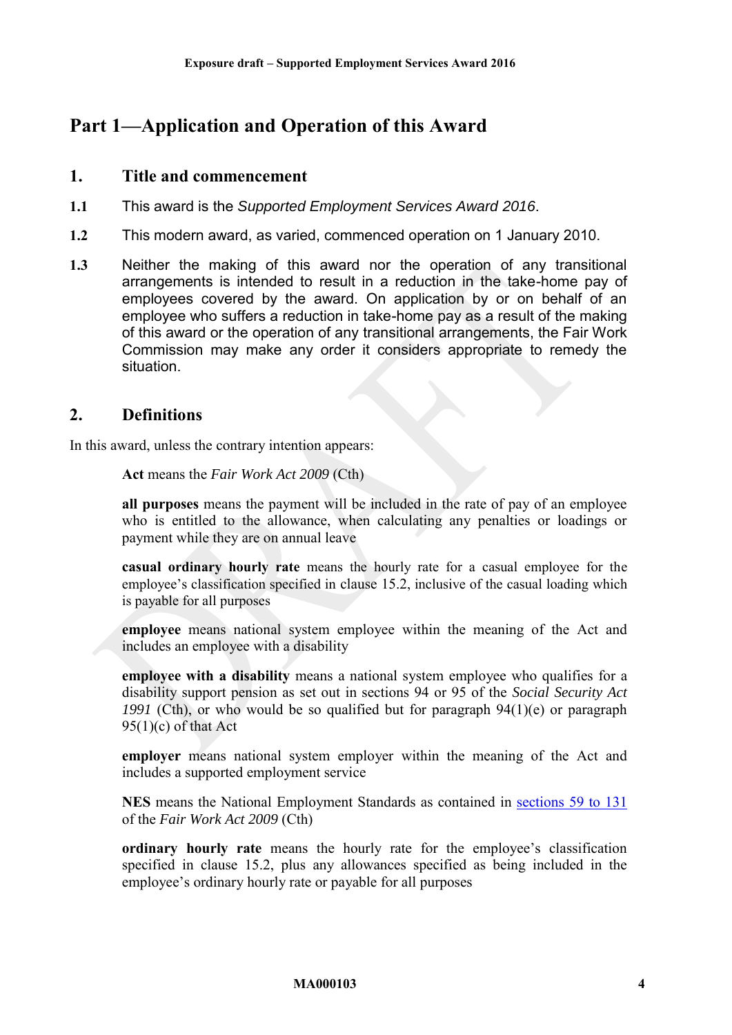# <span id="page-3-1"></span><span id="page-3-0"></span>**Part 1—Application and Operation of this Award**

## **1. Title and commencement**

- **1.1** This award is the *Supported Employment Services Award 2016*.
- **1.2** This modern award, as varied, commenced operation on 1 January 2010.
- **1.3** Neither the making of this award nor the operation of any transitional arrangements is intended to result in a reduction in the take-home pay of employees covered by the award. On application by or on behalf of an employee who suffers a reduction in take-home pay as a result of the making of this award or the operation of any transitional arrangements, the Fair Work Commission may make any order it considers appropriate to remedy the situation.

# <span id="page-3-2"></span>**2. Definitions**

In this award, unless the contrary intention appears:

**Act** means the *Fair Work Act 2009* (Cth)

**all purposes** means the payment will be included in the rate of pay of an employee who is entitled to the allowance, when calculating any penalties or loadings or payment while they are on annual leave

**casual ordinary hourly rate** means the hourly rate for a casual employee for the employee's classification specified in clause [15.2](#page-10-1), inclusive of the casual loading which is payable for all purposes

**employee** means national system employee within the meaning of the Act and includes an employee with a disability

**employee with a disability** means a national system employee who qualifies for a disability support pension as set out in sections 94 or 95 of the *Social Security Act 1991* (Cth), or who would be so qualified but for paragraph 94(1)(e) or paragraph  $95(1)(c)$  of that Act

**employer** means national system employer within the meaning of the Act and includes a supported employment service

**NES** means the National Employment Standards as contained in [sections 59 to 131](http://www.fwc.gov.au/awardmod/download/nes.pdf) of the *Fair Work Act 2009* (Cth)

**ordinary hourly rate** means the hourly rate for the employee's classification specified in clause [15.2,](#page-10-1) plus any allowances specified as being included in the employee's ordinary hourly rate or payable for all purposes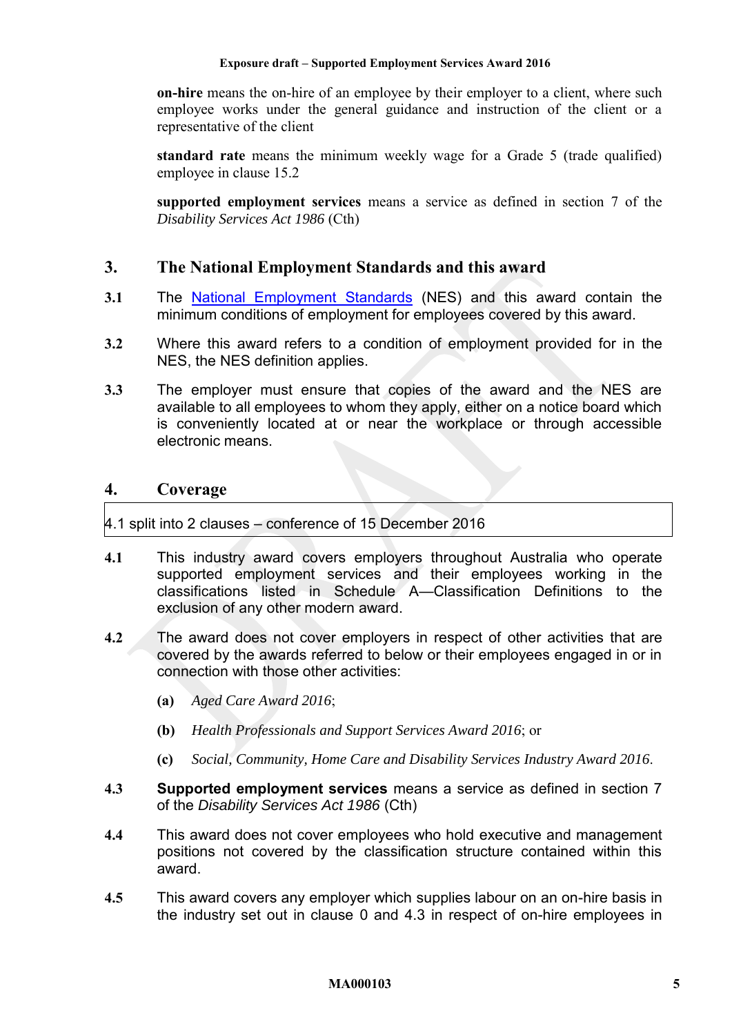**on-hire** means the on-hire of an employee by their employer to a client, where such employee works under the general guidance and instruction of the client or a representative of the client

<span id="page-4-4"></span>**standard rate** means the minimum weekly wage for a Grade 5 (trade qualified) employee in clause [15.2](#page-10-1)

**supported employment services** means a service as defined in section 7 of the *Disability Services Act 1986* (Cth)

## <span id="page-4-1"></span>**3. The National Employment Standards and this award**

- **3.1** The [National Employment Standards](http://www.fwc.gov.au/documents/sites/awardsmodernfouryr/NES-with-bookmarks.pdf) (NES) and this award contain the minimum conditions of employment for employees covered by this award.
- **3.2** Where this award refers to a condition of employment provided for in the NES, the NES definition applies.
- **3.3** The employer must ensure that copies of the award and the NES are available to all employees to whom they apply, either on a notice board which is conveniently located at or near the workplace or through accessible electronic means.

## <span id="page-4-2"></span>**4. Coverage**

#### <span id="page-4-0"></span>4.1 split into 2 clauses – conference of 15 December 2016

- **4.1** This industry award covers employers throughout Australia who operate supported employment services and their employees working in the classifications listed in [Schedule A—Classification Definitions](#page-29-1) to the exclusion of any other modern award.
- **4.2** The award does not cover employers in respect of other activities that are covered by the awards referred to below or their employees engaged in or in connection with those other activities:
	- **(a)** *Aged Care Award 2016*;
	- **(b)** *Health Professionals and Support Services Award 2016*; or
	- **(c)** *Social, Community, Home Care and Disability Services Industry Award 2016*.
- <span id="page-4-3"></span>**4.3 Supported employment services** means a service as defined in section 7 of the *Disability Services Act 1986* (Cth)
- **4.4** This award does not cover employees who hold executive and management positions not covered by the classification structure contained within this award.
- **4.5** This award covers any employer which supplies labour on an on-hire basis in the industry set out in clause [0](#page-4-0) and [4.3](#page-4-3) in respect of on-hire employees in

#### **MA000103 5**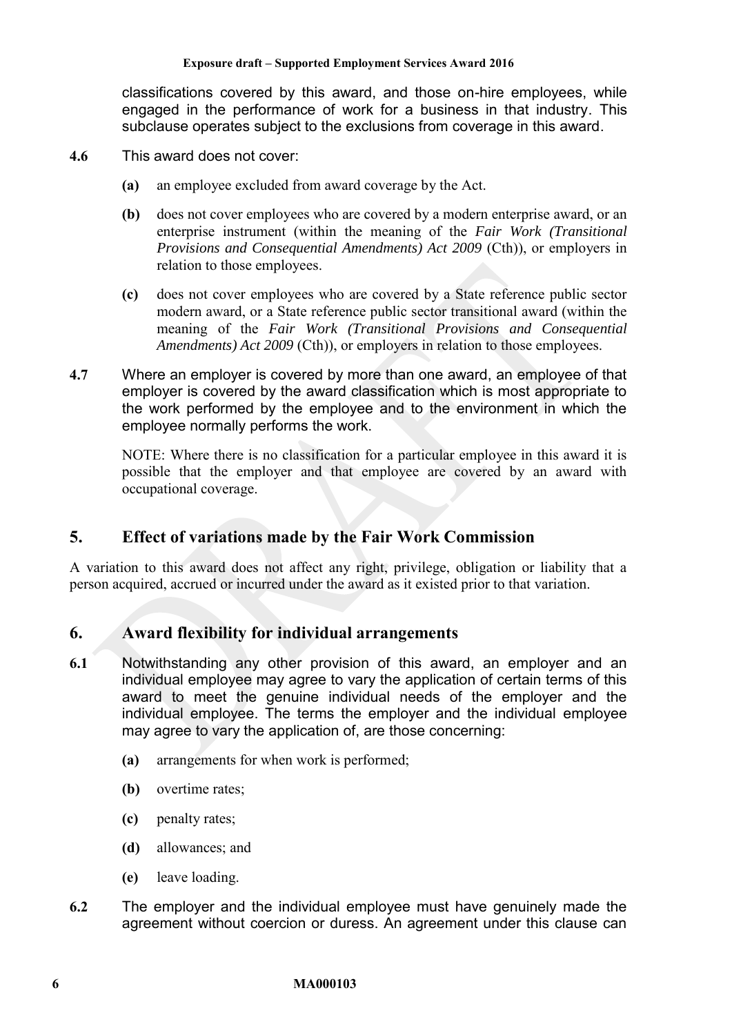classifications covered by this award, and those on-hire employees, while engaged in the performance of work for a business in that industry. This subclause operates subject to the exclusions from coverage in this award.

- **4.6** This award does not cover:
	- **(a)** an employee excluded from award coverage by the Act.
	- **(b)** does not cover employees who are covered by a modern enterprise award, or an enterprise instrument (within the meaning of the *Fair Work (Transitional Provisions and Consequential Amendments) Act 2009 (Cth)), or employers in* relation to those employees.
	- **(c)** does not cover employees who are covered by a State reference public sector modern award, or a State reference public sector transitional award (within the meaning of the *Fair Work (Transitional Provisions and Consequential Amendments) Act 2009* (Cth)), or employers in relation to those employees.
- **4.7** Where an employer is covered by more than one award, an employee of that employer is covered by the award classification which is most appropriate to the work performed by the employee and to the environment in which the employee normally performs the work.

NOTE: Where there is no classification for a particular employee in this award it is possible that the employer and that employee are covered by an award with occupational coverage.

# <span id="page-5-0"></span>**5. Effect of variations made by the Fair Work Commission**

A variation to this award does not affect any right, privilege, obligation or liability that a person acquired, accrued or incurred under the award as it existed prior to that variation.

# <span id="page-5-1"></span>**6. Award flexibility for individual arrangements**

- <span id="page-5-2"></span>**6.1** Notwithstanding any other provision of this award, an employer and an individual employee may agree to vary the application of certain terms of this award to meet the genuine individual needs of the employer and the individual employee. The terms the employer and the individual employee may agree to vary the application of, are those concerning:
	- **(a)** arrangements for when work is performed;
	- **(b)** overtime rates;
	- **(c)** penalty rates;
	- **(d)** allowances; and
	- **(e)** leave loading.
- **6.2** The employer and the individual employee must have genuinely made the agreement without coercion or duress. An agreement under this clause can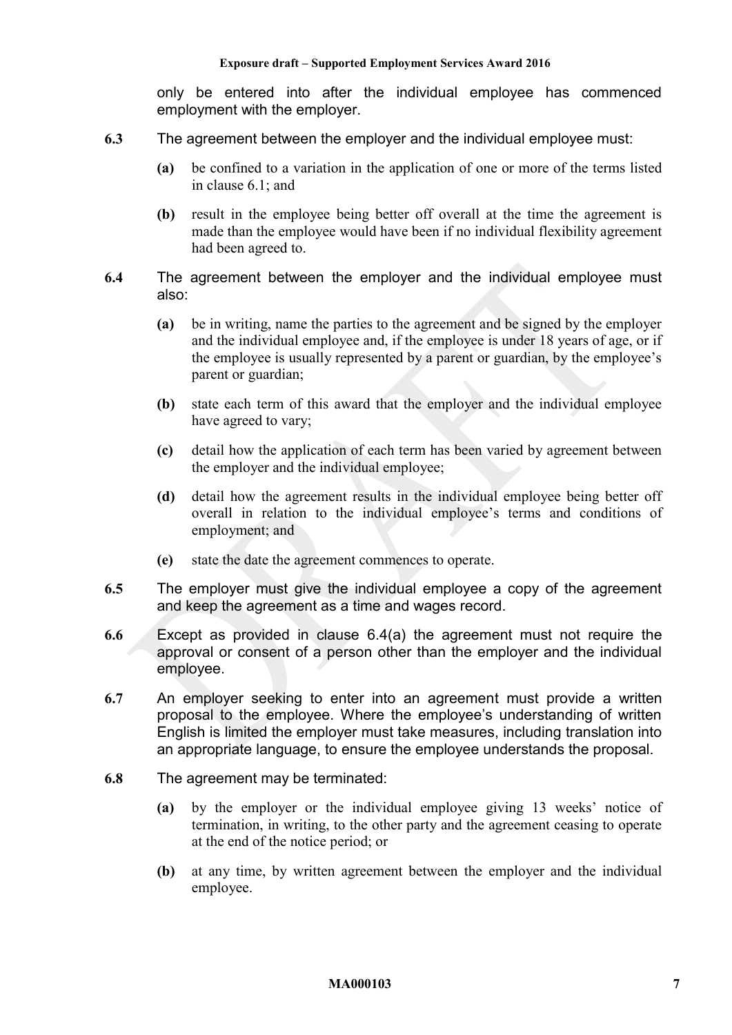only be entered into after the individual employee has commenced employment with the employer.

- **6.3** The agreement between the employer and the individual employee must:
	- **(a)** be confined to a variation in the application of one or more of the terms listed in clause [6.1;](#page-5-2) and
	- **(b)** result in the employee being better off overall at the time the agreement is made than the employee would have been if no individual flexibility agreement had been agreed to.
- <span id="page-6-0"></span>**6.4** The agreement between the employer and the individual employee must also:
	- **(a)** be in writing, name the parties to the agreement and be signed by the employer and the individual employee and, if the employee is under 18 years of age, or if the employee is usually represented by a parent or guardian, by the employee's parent or guardian;
	- **(b)** state each term of this award that the employer and the individual employee have agreed to vary;
	- **(c)** detail how the application of each term has been varied by agreement between the employer and the individual employee;
	- **(d)** detail how the agreement results in the individual employee being better off overall in relation to the individual employee's terms and conditions of employment; and
	- **(e)** state the date the agreement commences to operate.
- **6.5** The employer must give the individual employee a copy of the agreement and keep the agreement as a time and wages record.
- **6.6** Except as provided in clause [6.4\(a\)](#page-6-0) the agreement must not require the approval or consent of a person other than the employer and the individual employee.
- **6.7** An employer seeking to enter into an agreement must provide a written proposal to the employee. Where the employee's understanding of written English is limited the employer must take measures, including translation into an appropriate language, to ensure the employee understands the proposal.
- <span id="page-6-1"></span>**6.8** The agreement may be terminated:
	- **(a)** by the employer or the individual employee giving 13 weeks' notice of termination, in writing, to the other party and the agreement ceasing to operate at the end of the notice period; or
	- **(b)** at any time, by written agreement between the employer and the individual employee.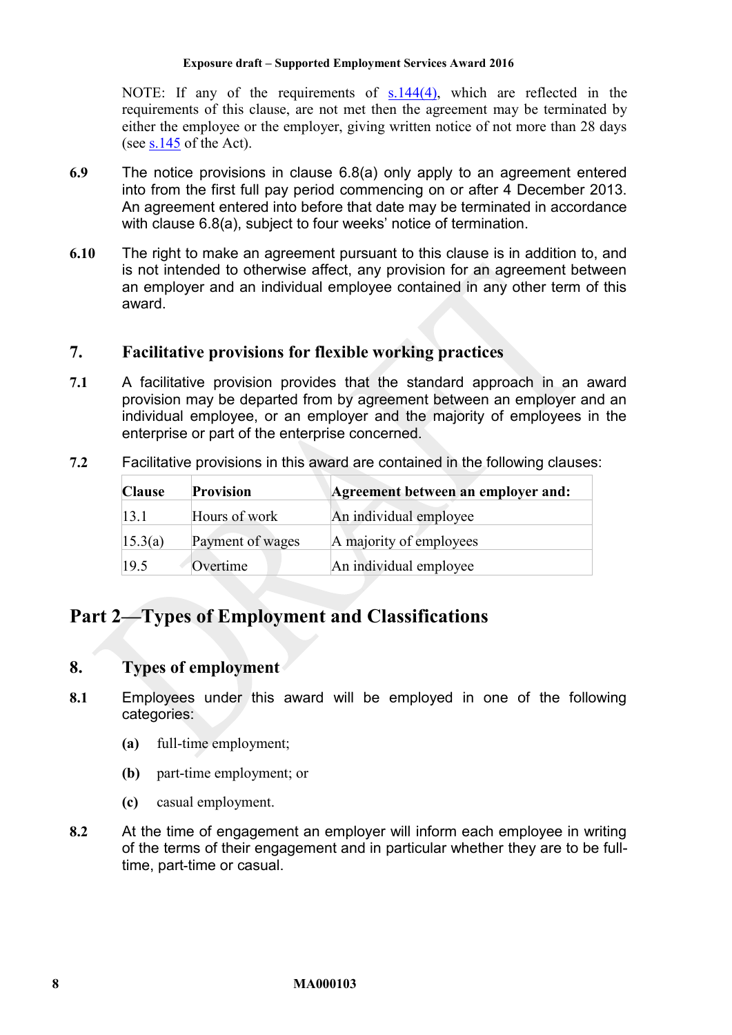NOTE: If any of the requirements of [s.144\(4\),](http://www.fwc.gov.au/documents/sites/awardsmodernfouryr/s144.pdf) which are reflected in the requirements of this clause, are not met then the agreement may be terminated by either the employee or the employer, giving written notice of not more than 28 days (see [s.145](http://www.fwc.gov.au/documents/sites/awardsmodernfouryr/s145.pdf) of the Act).

- **6.9** The notice provisions in clause [6.8\(a\)](#page-6-1) only apply to an agreement entered into from the first full pay period commencing on or after 4 December 2013. An agreement entered into before that date may be terminated in accordance with clause [6.8\(a\),](#page-6-1) subject to four weeks' notice of termination.
- **6.10** The right to make an agreement pursuant to this clause is in addition to, and is not intended to otherwise affect, any provision for an agreement between an employer and an individual employee contained in any other term of this award.

# <span id="page-7-0"></span>**7. Facilitative provisions for flexible working practices**

- **7.1** A facilitative provision provides that the standard approach in an award provision may be departed from by agreement between an employer and an individual employee, or an employer and the majority of employees in the enterprise or part of the enterprise concerned.
- **7.2** Facilitative provisions in this award are contained in the following clauses:

| <b>Clause</b> | <b>Provision</b> | Agreement between an employer and: |
|---------------|------------------|------------------------------------|
| 13.1          | Hours of work    | An individual employee             |
| 15.3(a)       | Payment of wages | A majority of employees            |
| 19.5          | Overtime         | An individual employee             |

# <span id="page-7-2"></span><span id="page-7-1"></span>**Part 2—Types of Employment and Classifications**

# **8. Types of employment**

- **8.1** Employees under this award will be employed in one of the following categories:
	- **(a)** full-time employment;
	- **(b)** part-time employment; or
	- **(c)** casual employment.
- **8.2** At the time of engagement an employer will inform each employee in writing of the terms of their engagement and in particular whether they are to be fulltime, part-time or casual.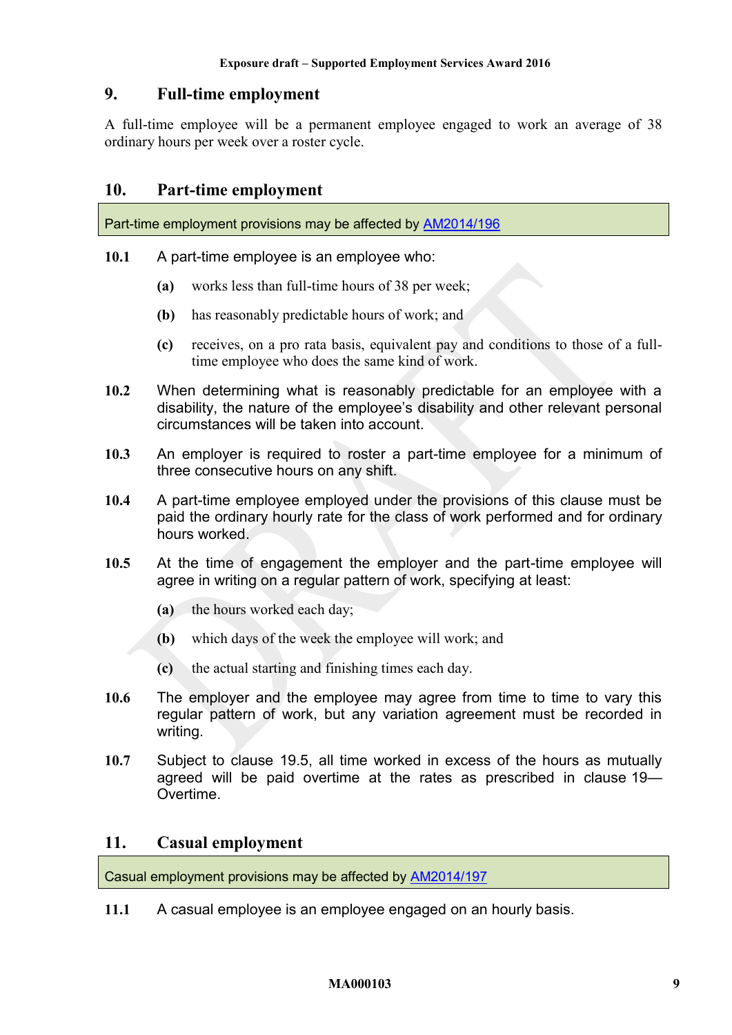# <span id="page-8-0"></span>**9. Full-time employment**

A full-time employee will be a permanent employee engaged to work an average of 38 ordinary hours per week over a roster cycle.

## <span id="page-8-1"></span>**10. Part-time employment**

Part-time employment provisions may be affected by [AM2014/196](https://www.fwc.gov.au/awards-and-agreements/modern-award-reviews/4-yearly-review/common-issues/am2014196-part-time)

- **10.1** A part-time employee is an employee who:
	- **(a)** works less than full-time hours of 38 per week;
	- **(b)** has reasonably predictable hours of work; and
	- **(c)** receives, on a pro rata basis, equivalent pay and conditions to those of a fulltime employee who does the same kind of work.
- **10.2** When determining what is reasonably predictable for an employee with a disability, the nature of the employee's disability and other relevant personal circumstances will be taken into account.
- **10.3** An employer is required to roster a part-time employee for a minimum of three consecutive hours on any shift.
- **10.4** A part-time employee employed under the provisions of this clause must be paid the ordinary hourly rate for the class of work performed and for ordinary hours worked.
- **10.5** At the time of engagement the employer and the part-time employee will agree in writing on a regular pattern of work, specifying at least:
	- **(a)** the hours worked each day;
	- **(b)** which days of the week the employee will work; and
	- **(c)** the actual starting and finishing times each day.
- **10.6** The employer and the employee may agree from time to time to vary this regular pattern of work, but any variation agreement must be recorded in writing.
- **10.7** Subject to clause [19.5,](#page-18-4) all time worked in excess of the hours as mutually agreed will be paid overtime at the rates as prescribed in clause [19—](#page-18-3) [Overtime.](#page-18-3)

## <span id="page-8-2"></span>**11. Casual employment**

Casual employment provisions may be affected by [AM2014/197](https://www.fwc.gov.au/awards-and-agreements/modern-award-reviews/4-yearly-review/common-issues/am2014197-casual-employment)

**11.1** A casual employee is an employee engaged on an hourly basis.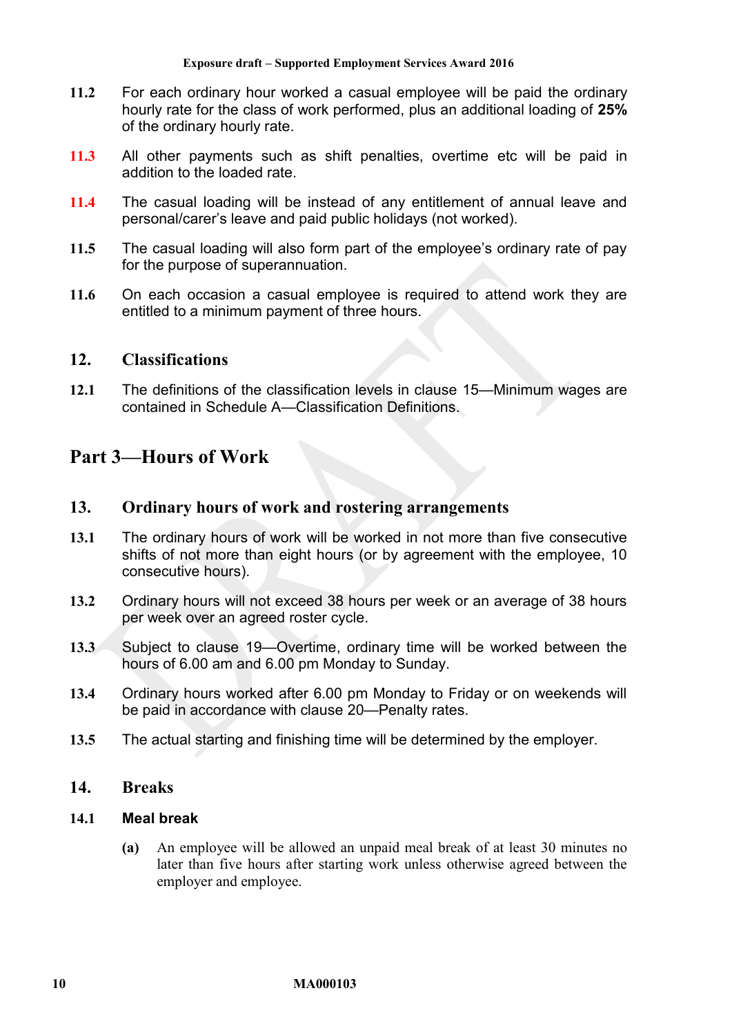- **11.2** For each ordinary hour worked a casual employee will be paid the ordinary hourly rate for the class of work performed, plus an additional loading of **25%**  of the ordinary hourly rate.
- <span id="page-9-0"></span>**11.3** All other payments such as shift penalties, overtime etc will be paid in addition to the loaded rate.
- **11.4** The casual loading will be instead of any entitlement of annual leave and personal/carer's leave and paid public holidays (not worked).
- **11.5** The casual loading will also form part of the employee's ordinary rate of pay for the purpose of superannuation.
- **11.6** On each occasion a casual employee is required to attend work they are entitled to a minimum payment of three hours.

## <span id="page-9-1"></span>**12. Classifications**

**12.1** The definitions of the classification levels in clause [15—Minimum wages](#page-10-0) are contained in [Schedule A—Classification Definitions.](#page-29-1)

# <span id="page-9-3"></span><span id="page-9-2"></span>**Part 3—Hours of Work**

## **13. Ordinary hours of work and rostering arrangements**

- <span id="page-9-5"></span>**13.1** The ordinary hours of work will be worked in not more than five consecutive shifts of not more than eight hours (or by agreement with the employee, 10 consecutive hours).
- **13.2** Ordinary hours will not exceed 38 hours per week or an average of 38 hours per week over an agreed roster cycle.
- **13.3** Subject to clause [19—Overtime,](#page-18-3) ordinary time will be worked between the hours of 6.00 am and 6.00 pm Monday to Sunday.
- **13.4** Ordinary hours worked after 6.00 pm Monday to Friday or on weekends will be paid in accordance with clause [20—Penalty rates.](#page-20-1)
- <span id="page-9-4"></span>**13.5** The actual starting and finishing time will be determined by the employer.

## **14. Breaks**

#### **14.1 Meal break**

**(a)** An employee will be allowed an unpaid meal break of at least 30 minutes no later than five hours after starting work unless otherwise agreed between the employer and employee.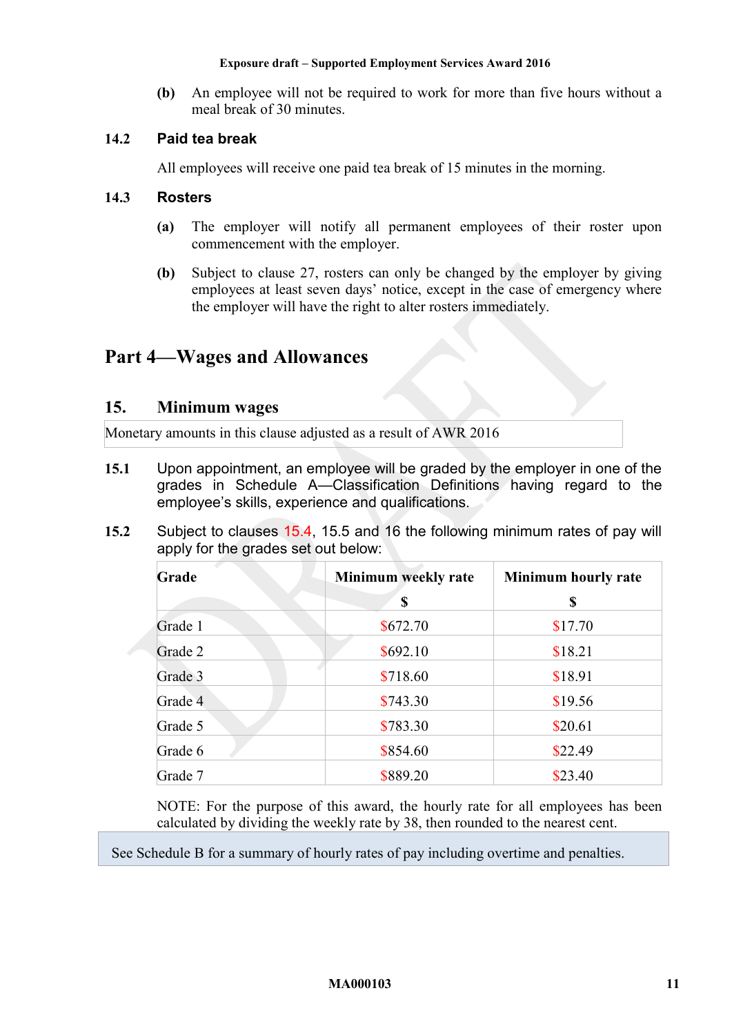**(b)** An employee will not be required to work for more than five hours without a meal break of 30 minutes.

# **14.2 Paid tea break**

All employees will receive one paid tea break of 15 minutes in the morning.

## **14.3 Rosters**

- **(a)** The employer will notify all permanent employees of their roster upon commencement with the employer.
- **(b)** Subject to clause [27,](#page-26-0) rosters can only be changed by the employer by giving employees at least seven days' notice, except in the case of emergency where the employer will have the right to alter rosters immediately.

# <span id="page-10-2"></span><span id="page-10-0"></span>**Part 4—Wages and Allowances**

## **15. Minimum wages**

Monetary amounts in this clause adjusted as a result of AWR 2016

- **15.1** Upon appointment, an employee will be graded by the employer in one of the grades in [Schedule A—Classification Definitions](#page-29-1) having regard to the employee's skills, experience and qualifications.
- <span id="page-10-1"></span>**15.2** Subject to clauses [15.4,](#page-12-2) [15.5](#page-12-3) and [16](#page-12-1) the following minimum rates of pay will apply for the grades set out below:

| Grade   | Minimum weekly rate | Minimum hourly rate |
|---------|---------------------|---------------------|
|         | \$                  | \$                  |
| Grade 1 | \$672.70            | \$17.70             |
| Grade 2 | \$692.10            | \$18.21             |
| Grade 3 | \$718.60            | \$18.91             |
| Grade 4 | \$743.30            | \$19.56             |
| Grade 5 | \$783.30            | \$20.61             |
| Grade 6 | \$854.60            | \$22.49             |
| Grade 7 | \$889.20            | \$23.40             |

NOTE: For the purpose of this award, the hourly rate for all employees has been calculated by dividing the weekly rate by 38, then rounded to the nearest cent.

See [Schedule B](#page-44-0) for a summary of hourly rates of pay including overtime and penalties.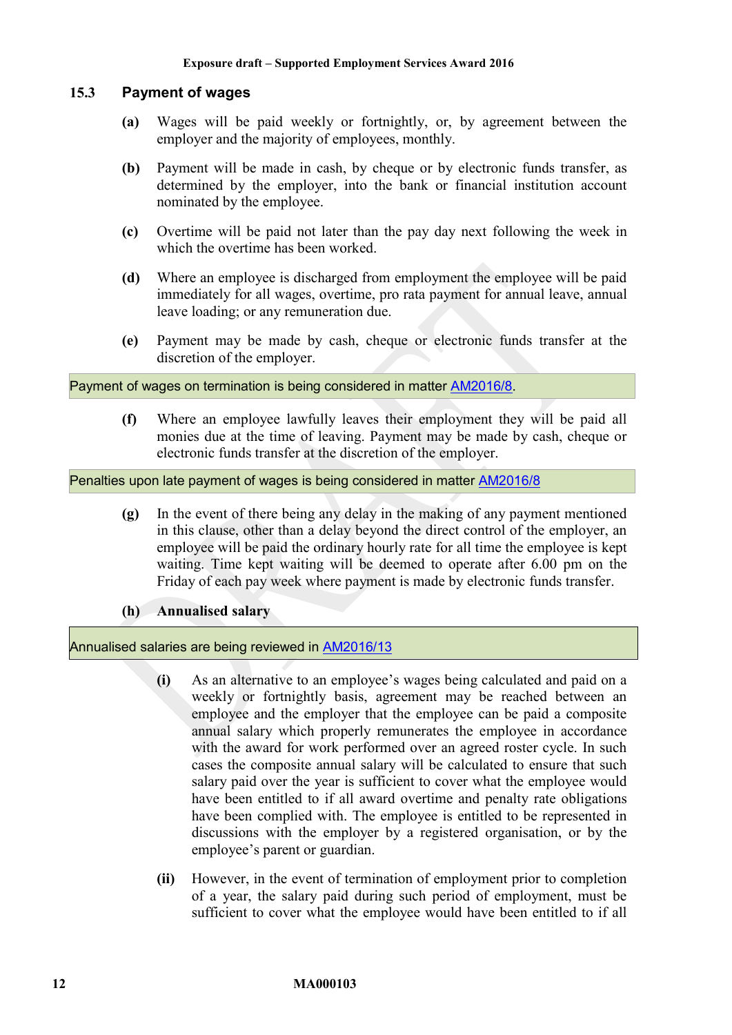#### <span id="page-11-0"></span>**15.3 Payment of wages**

- **(a)** Wages will be paid weekly or fortnightly, or, by agreement between the employer and the majority of employees, monthly.
- **(b)** Payment will be made in cash, by cheque or by electronic funds transfer, as determined by the employer, into the bank or financial institution account nominated by the employee.
- **(c)** Overtime will be paid not later than the pay day next following the week in which the overtime has been worked.
- **(d)** Where an employee is discharged from employment the employee will be paid immediately for all wages, overtime, pro rata payment for annual leave, annual leave loading; or any remuneration due.
- **(e)** Payment may be made by cash, cheque or electronic funds transfer at the discretion of the employer.

Payment of wages on termination is being considered in matter [AM2016/8](https://www.fwc.gov.au/awards-agreements/awards/modern-award-reviews/4-yearly-review/common-issues/am20168-payment-wages).

**(f)** Where an employee lawfully leaves their employment they will be paid all monies due at the time of leaving. Payment may be made by cash, cheque or electronic funds transfer at the discretion of the employer.

Penalties upon late payment of wages is being considered in matter [AM2016/8](https://www.fwc.gov.au/awards-agreements/awards/modern-award-reviews/4-yearly-review/common-issues/am20168-payment-wages)

**(g)** In the event of there being any delay in the making of any payment mentioned in this clause, other than a delay beyond the direct control of the employer, an employee will be paid the ordinary hourly rate for all time the employee is kept waiting. Time kept waiting will be deemed to operate after 6.00 pm on the Friday of each pay week where payment is made by electronic funds transfer.

#### **(h) Annualised salary**

Annualised salaries are being reviewed in **AM2016/13** 

- **(i)** As an alternative to an employee's wages being calculated and paid on a weekly or fortnightly basis, agreement may be reached between an employee and the employer that the employee can be paid a composite annual salary which properly remunerates the employee in accordance with the award for work performed over an agreed roster cycle. In such cases the composite annual salary will be calculated to ensure that such salary paid over the year is sufficient to cover what the employee would have been entitled to if all award overtime and penalty rate obligations have been complied with. The employee is entitled to be represented in discussions with the employer by a registered organisation, or by the employee's parent or guardian.
- **(ii)** However, in the event of termination of employment prior to completion of a year, the salary paid during such period of employment, must be sufficient to cover what the employee would have been entitled to if all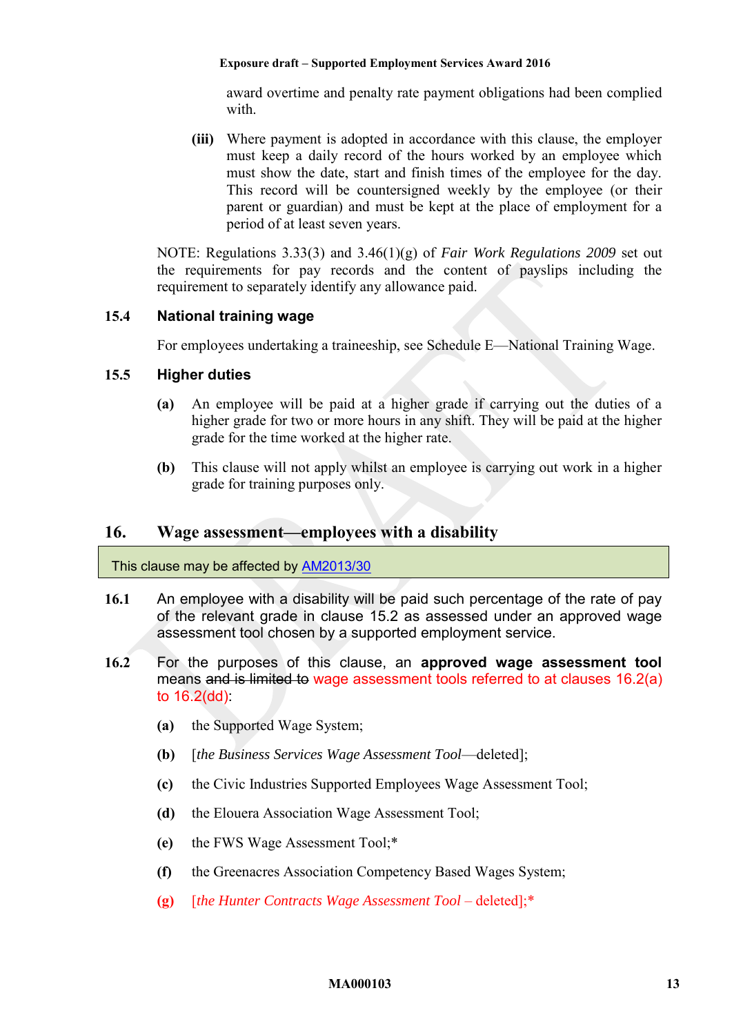award overtime and penalty rate payment obligations had been complied with.

**(iii)** Where payment is adopted in accordance with this clause, the employer must keep a daily record of the hours worked by an employee which must show the date, start and finish times of the employee for the day. This record will be countersigned weekly by the employee (or their parent or guardian) and must be kept at the place of employment for a period of at least seven years.

NOTE: Regulations 3.33(3) and 3.46(1)(g) of *Fair Work Regulations 2009* set out the requirements for pay records and the content of payslips including the requirement to separately identify any allowance paid.

## <span id="page-12-2"></span>**15.4 National training wage**

For employees undertaking a traineeship, see [Schedule E—National Training Wage.](#page-52-0)

## <span id="page-12-3"></span>**15.5 Higher duties**

- **(a)** An employee will be paid at a higher grade if carrying out the duties of a higher grade for two or more hours in any shift. They will be paid at the higher grade for the time worked at the higher rate.
- **(b)** This clause will not apply whilst an employee is carrying out work in a higher grade for training purposes only.

## <span id="page-12-1"></span>**16. Wage assessment—employees with a disability**

#### This clause may be affected by [AM2013/30](https://www.fwc.gov.au/awards-and-agreements/awards/award-modernisation/variation-applications/AM2013/30)

- <span id="page-12-5"></span>**16.1** An employee with a disability will be paid such percentage of the rate of pay of the relevant grade in clause [15.2](#page-10-1) as assessed under an approved wage assessment tool chosen by a supported employment service.
- <span id="page-12-4"></span><span id="page-12-0"></span>**16.2** For the purposes of this clause, an **approved wage assessment tool** means and is limited to wage assessment tools referred to at clauses [16.2\(a\)](#page-12-4) to  $16.2$ (dd):
	- **(a)** the Supported Wage System;
	- **(b)** [*the Business Services Wage Assessment Tool*—deleted];
	- **(c)** the Civic Industries Supported Employees Wage Assessment Tool;
	- **(d)** the Elouera Association Wage Assessment Tool;
	- **(e)** the FWS Wage Assessment Tool;\*
	- **(f)** the Greenacres Association Competency Based Wages System;
	- **(g)** [*the Hunter Contracts Wage Assessment Tool* deleted];\*

#### **MA000103 13**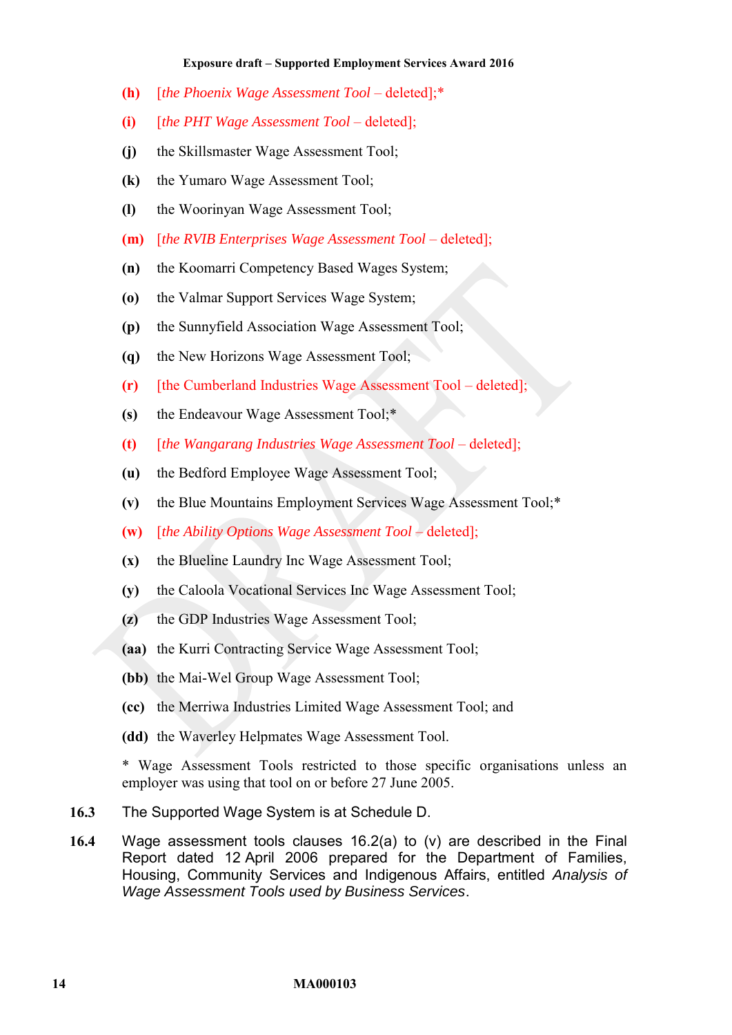- **(h)** [*the Phoenix Wage Assessment Tool* deleted];\*
- **(i)** [*the PHT Wage Assessment Tool* deleted];
- **(j)** the Skillsmaster Wage Assessment Tool;
- **(k)** the Yumaro Wage Assessment Tool;
- **(l)** the Woorinyan Wage Assessment Tool;
- **(m)** [*the RVIB Enterprises Wage Assessment Tool* deleted];
- **(n)** the Koomarri Competency Based Wages System;
- **(o)** the Valmar Support Services Wage System;
- **(p)** the Sunnyfield Association Wage Assessment Tool;
- **(q)** the New Horizons Wage Assessment Tool;
- **(r)** [the Cumberland Industries Wage Assessment Tool deleted];
- **(s)** the Endeavour Wage Assessment Tool;\*
- **(t)** [*the Wangarang Industries Wage Assessment Tool* deleted];
- **(u)** the Bedford Employee Wage Assessment Tool;
- <span id="page-13-1"></span>**(v)** the Blue Mountains Employment Services Wage Assessment Tool;\*
- <span id="page-13-2"></span>**(w)** [*the Ability Options Wage Assessment Tool* – deleted];
- **(x)** the Blueline Laundry Inc Wage Assessment Tool;
- **(y)** the Caloola Vocational Services Inc Wage Assessment Tool;
- **(z)** the GDP Industries Wage Assessment Tool;
- **(aa)** the Kurri Contracting Service Wage Assessment Tool;
- **(bb)** the Mai-Wel Group Wage Assessment Tool;
- **(cc)** the Merriwa Industries Limited Wage Assessment Tool; and
- <span id="page-13-0"></span>**(dd)** the Waverley Helpmates Wage Assessment Tool.

\* Wage Assessment Tools restricted to those specific organisations unless an employer was using that tool on or before 27 June 2005.

- **16.3** The Supported Wage System is at [Schedule D.](#page-49-0)
- **16.4** Wage assessment tools clauses [16.2\(a\)](#page-12-4) to [\(v\)](#page-13-1) are described in the Final Report dated 12 April 2006 prepared for the Department of Families, Housing, Community Services and Indigenous Affairs, entitled *Analysis of Wage Assessment Tools used by Business Services*.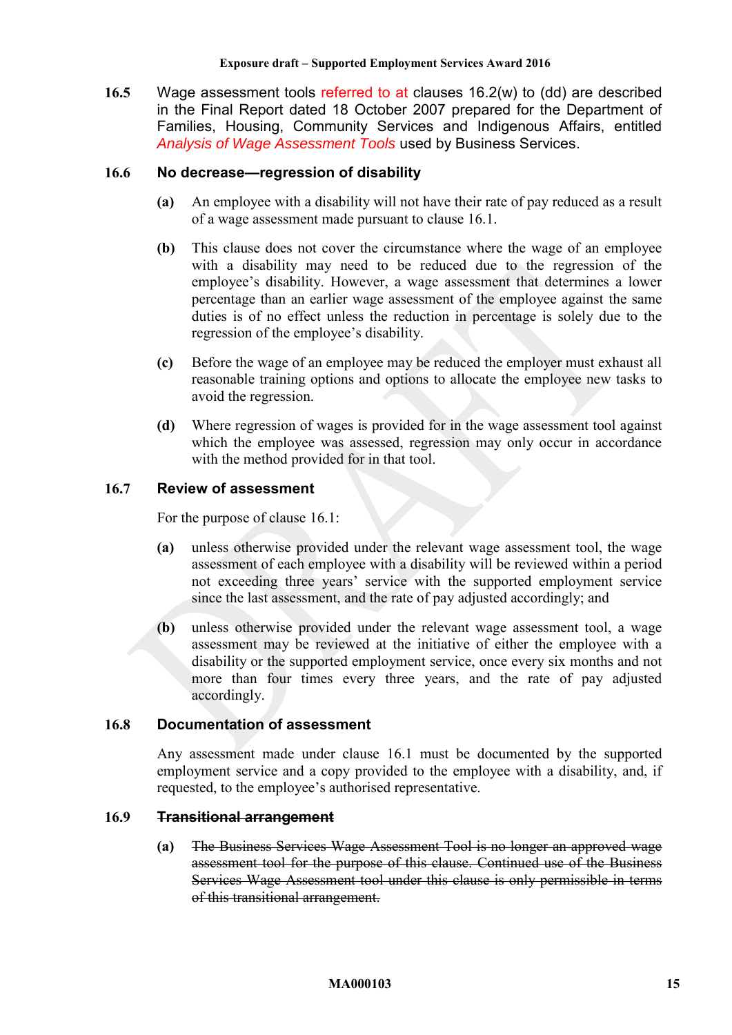<span id="page-14-0"></span>**16.5** Wage assessment tools referred to at clauses [16.2\(w\)](#page-13-2) to [\(dd\)](#page-13-0) are described in the Final Report dated 18 October 2007 prepared for the Department of Families, Housing, Community Services and Indigenous Affairs, entitled *Analysis of Wage Assessment Tools* used by Business Services.

## **16.6 No decrease—regression of disability**

- **(a)** An employee with a disability will not have their rate of pay reduced as a result of a wage assessment made pursuant to clause [16.1.](#page-12-5)
- **(b)** This clause does not cover the circumstance where the wage of an employee with a disability may need to be reduced due to the regression of the employee's disability. However, a wage assessment that determines a lower percentage than an earlier wage assessment of the employee against the same duties is of no effect unless the reduction in percentage is solely due to the regression of the employee's disability.
- **(c)** Before the wage of an employee may be reduced the employer must exhaust all reasonable training options and options to allocate the employee new tasks to avoid the regression.
- **(d)** Where regression of wages is provided for in the wage assessment tool against which the employee was assessed, regression may only occur in accordance with the method provided for in that tool.

## **16.7 Review of assessment**

For the purpose of clause [16.1:](#page-12-5)

- **(a)** unless otherwise provided under the relevant wage assessment tool, the wage assessment of each employee with a disability will be reviewed within a period not exceeding three years' service with the supported employment service since the last assessment, and the rate of pay adjusted accordingly; and
- **(b)** unless otherwise provided under the relevant wage assessment tool, a wage assessment may be reviewed at the initiative of either the employee with a disability or the supported employment service, once every six months and not more than four times every three years, and the rate of pay adjusted accordingly.

#### **16.8 Documentation of assessment**

Any assessment made under clause [16.1](#page-12-5) must be documented by the supported employment service and a copy provided to the employee with a disability, and, if requested, to the employee's authorised representative.

#### <span id="page-14-1"></span>**16.9 Transitional arrangement**

**(a)** The Business Services Wage Assessment Tool is no longer an approved wage assessment tool for the purpose of this clause. Continued use of the Business Services Wage Assessment tool under this clause is only permissible in terms of this transitional arrangement.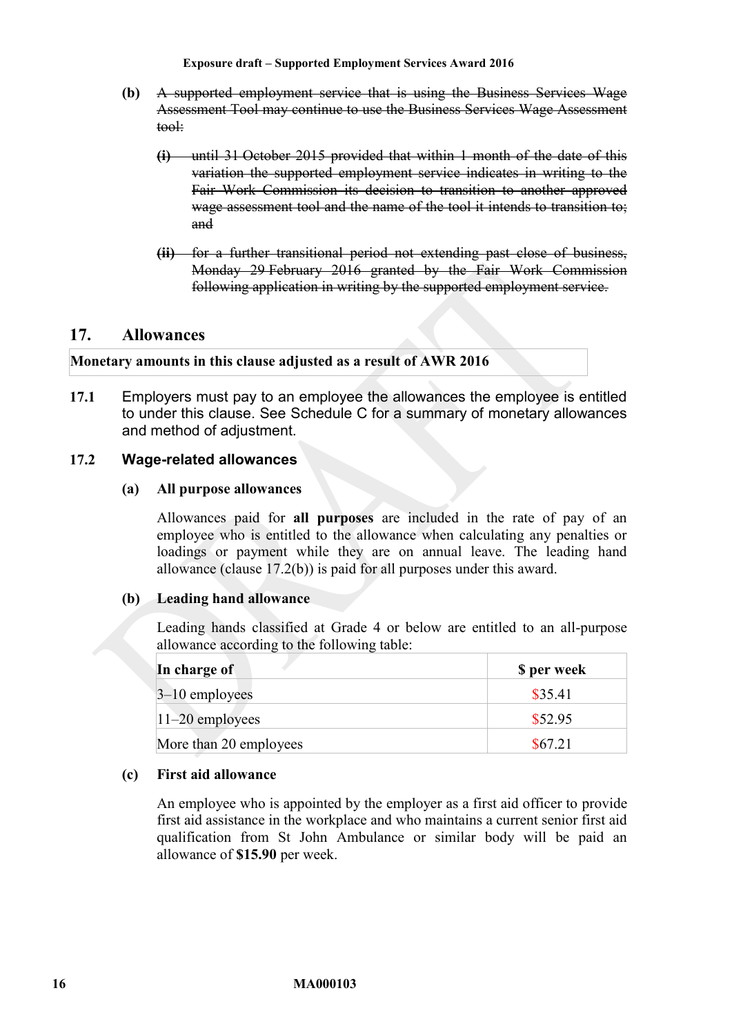- **(b)** A supported employment service that is using the Business Services Wage Assessment Tool may continue to use the Business Services Wage Assessment tool:
	- **(i)** until 31 October 2015 provided that within 1 month of the date of this variation the supported employment service indicates in writing to the Fair Work Commission its decision to transition to another approved wage assessment tool and the name of the tool it intends to transition to; and
	- **(ii)** for a further transitional period not extending past close of business, Monday 29 February 2016 granted by the Fair Work Commission following application in writing by the supported employment service.

# <span id="page-15-0"></span>**17. Allowances**

**Monetary amounts in this clause adjusted as a result of AWR 2016**

**17.1** Employers must pay to an employee the allowances the employee is entitled to under this clause. See [Schedule C](#page-47-0) for a summary of monetary allowances and method of adjustment.

## <span id="page-15-2"></span>**17.2 Wage-related allowances**

#### **(a) All purpose allowances**

Allowances paid for **all purposes** are included in the rate of pay of an employee who is entitled to the allowance when calculating any penalties or loadings or payment while they are on annual leave. The leading hand allowance (clause [17.2\(b\)\)](#page-15-1) is paid for all purposes under this award.

#### <span id="page-15-1"></span>**(b) Leading hand allowance**

Leading hands classified at Grade 4 or below are entitled to an all-purpose allowance according to the following table:

| In charge of           | \$ per week |
|------------------------|-------------|
| $3-10$ employees       | \$35.41     |
| $11-20$ employees      | \$52.95     |
| More than 20 employees | \$67.21     |

#### <span id="page-15-3"></span>**(c) First aid allowance**

An employee who is appointed by the employer as a first aid officer to provide first aid assistance in the workplace and who maintains a current senior first aid qualification from St John Ambulance or similar body will be paid an allowance of **\$15.90** per week.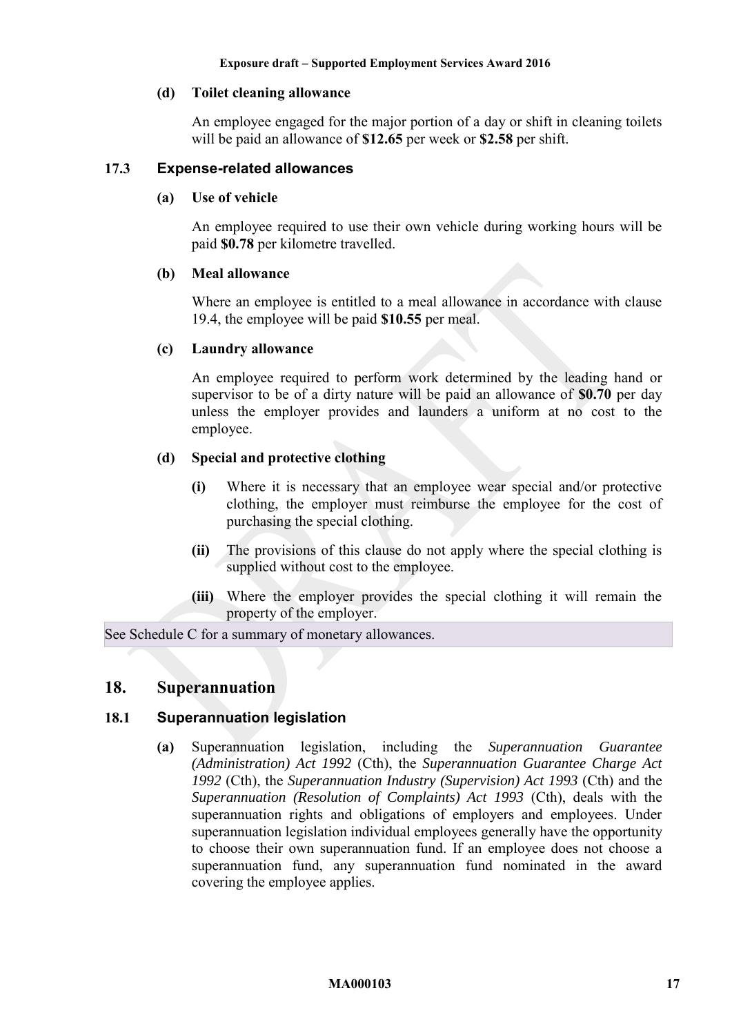### <span id="page-16-2"></span>**(d) Toilet cleaning allowance**

An employee engaged for the major portion of a day or shift in cleaning toilets will be paid an allowance of **\$12.65** per week or **\$2.58** per shift.

## <span id="page-16-4"></span><span id="page-16-3"></span>**17.3 Expense-related allowances**

#### **(a) Use of vehicle**

An employee required to use their own vehicle during working hours will be paid **\$0.78** per kilometre travelled.

## <span id="page-16-1"></span>**(b) Meal allowance**

Where an employee is entitled to a meal allowance in accordance with clause [19.4,](#page-18-5) the employee will be paid **\$10.55** per meal.

## <span id="page-16-5"></span>**(c) Laundry allowance**

An employee required to perform work determined by the leading hand or supervisor to be of a dirty nature will be paid an allowance of **\$0.70** per day unless the employer provides and launders a uniform at no cost to the employee.

## **(d) Special and protective clothing**

- **(i)** Where it is necessary that an employee wear special and/or protective clothing, the employer must reimburse the employee for the cost of purchasing the special clothing.
- **(ii)** The provisions of this clause do not apply where the special clothing is supplied without cost to the employee.
- **(iii)** Where the employer provides the special clothing it will remain the property of the employer.

<span id="page-16-0"></span>See [Schedule C](#page-47-0) for a summary of monetary allowances.

## **18. Superannuation**

## **18.1 Superannuation legislation**

**(a)** Superannuation legislation, including the *Superannuation Guarantee (Administration) Act 1992* (Cth), the *Superannuation Guarantee Charge Act 1992* (Cth), the *Superannuation Industry (Supervision) Act 1993* (Cth) and the *Superannuation (Resolution of Complaints) Act 1993* (Cth), deals with the superannuation rights and obligations of employers and employees. Under superannuation legislation individual employees generally have the opportunity to choose their own superannuation fund. If an employee does not choose a superannuation fund, any superannuation fund nominated in the award covering the employee applies.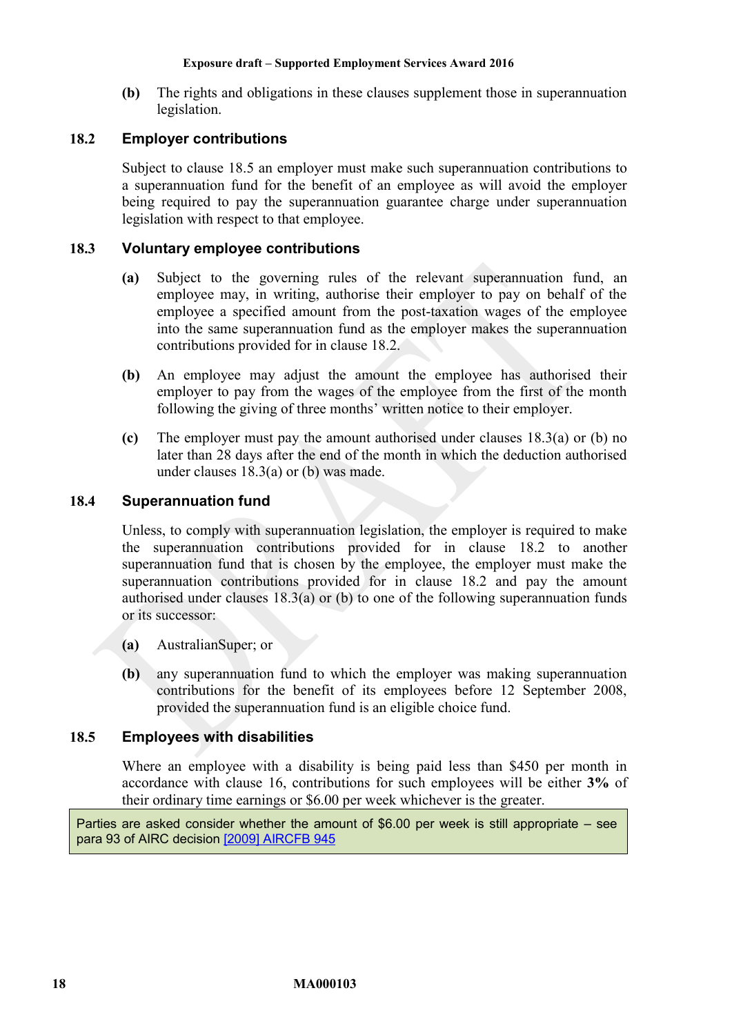**(b)** The rights and obligations in these clauses supplement those in superannuation legislation.

## <span id="page-17-1"></span>**18.2 Employer contributions**

Subject to clause [18.5](#page-17-0) an employer must make such superannuation contributions to a superannuation fund for the benefit of an employee as will avoid the employer being required to pay the superannuation guarantee charge under superannuation legislation with respect to that employee.

### <span id="page-17-2"></span>**18.3 Voluntary employee contributions**

- **(a)** Subject to the governing rules of the relevant superannuation fund, an employee may, in writing, authorise their employer to pay on behalf of the employee a specified amount from the post-taxation wages of the employee into the same superannuation fund as the employer makes the superannuation contributions provided for in clause [18.2.](#page-17-1)
- <span id="page-17-3"></span>**(b)** An employee may adjust the amount the employee has authorised their employer to pay from the wages of the employee from the first of the month following the giving of three months' written notice to their employer.
- **(c)** The employer must pay the amount authorised under clauses [18.3\(a\)](#page-17-2) or [\(b\)](#page-17-3) no later than 28 days after the end of the month in which the deduction authorised under clauses [18.3\(a\)](#page-17-2) or [\(b\)](#page-17-3) was made.

#### **18.4 Superannuation fund**

Unless, to comply with superannuation legislation, the employer is required to make the superannuation contributions provided for in clause [18.2](#page-17-1) to another superannuation fund that is chosen by the employee, the employer must make the superannuation contributions provided for in clause [18.2](#page-17-1) and pay the amount authorised under clauses [18.3\(a\)](#page-17-2) or [\(b\)](#page-17-3) to one of the following superannuation funds or its successor:

- **(a)** AustralianSuper; or
- **(b)** any superannuation fund to which the employer was making superannuation contributions for the benefit of its employees before 12 September 2008, provided the superannuation fund is an eligible choice fund.

#### <span id="page-17-0"></span>**18.5 Employees with disabilities**

Where an employee with a disability is being paid less than \$450 per month in accordance with clause [16,](#page-12-1) contributions for such employees will be either **3%** of their ordinary time earnings or \$6.00 per week whichever is the greater.

Parties are asked consider whether the amount of \$6.00 per week is still appropriate – see para 93 of AIRC decision [\[2009\] AIRCFB 945](https://www.fwc.gov.au/decisionssigned/html/2009AIRCFB945.htm)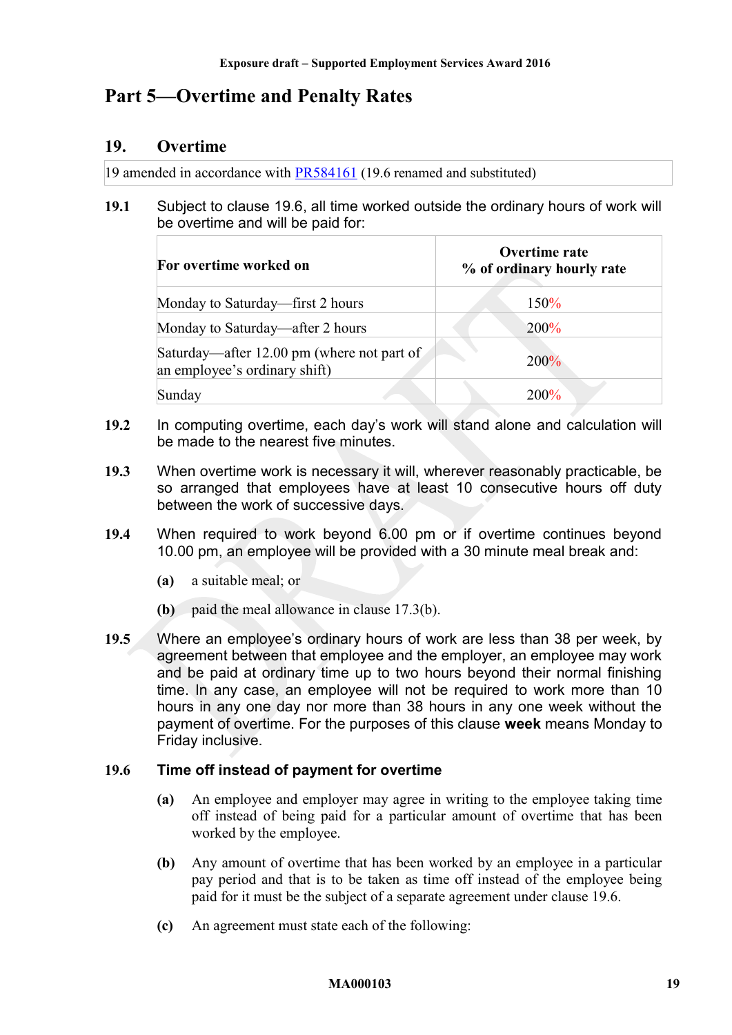# <span id="page-18-3"></span><span id="page-18-2"></span>**Part 5—Overtime and Penalty Rates**

## **19. Overtime**

19 amended in accordance with [PR584161](https://www.fwc.gov.au/documents/awardsandorders/html/pr584161.htm) (19.6 renamed and substituted)

## <span id="page-18-1"></span>**19.1** Subject to clause [19.6,](#page-18-0) all time worked outside the ordinary hours of work will be overtime and will be paid for:

| For overtime worked on                                                      | Overtime rate<br>% of ordinary hourly rate |  |
|-----------------------------------------------------------------------------|--------------------------------------------|--|
| Monday to Saturday—first 2 hours                                            | 150%                                       |  |
| Monday to Saturday—after 2 hours                                            | 200%                                       |  |
| Saturday—after 12.00 pm (where not part of<br>an employee's ordinary shift) | 200%                                       |  |
| Sunday                                                                      | 200%                                       |  |

- **19.2** In computing overtime, each day's work will stand alone and calculation will be made to the nearest five minutes.
- **19.3** When overtime work is necessary it will, wherever reasonably practicable, be so arranged that employees have at least 10 consecutive hours off duty between the work of successive days.
- <span id="page-18-5"></span>**19.4** When required to work beyond 6.00 pm or if overtime continues beyond 10.00 pm, an employee will be provided with a 30 minute meal break and:
	- **(a)** a suitable meal; or
	- **(b)** paid the meal allowance in clause [17.3\(b\).](#page-16-1)
- <span id="page-18-4"></span>**19.5** Where an employee's ordinary hours of work are less than 38 per week, by agreement between that employee and the employer, an employee may work and be paid at ordinary time up to two hours beyond their normal finishing time. In any case, an employee will not be required to work more than 10 hours in any one day nor more than 38 hours in any one week without the payment of overtime. For the purposes of this clause **week** means Monday to Friday inclusive.

## <span id="page-18-0"></span>**19.6 Time off instead of payment for overtime**

- **(a)** An employee and employer may agree in writing to the employee taking time off instead of being paid for a particular amount of overtime that has been worked by the employee.
- <span id="page-18-6"></span>**(b)** Any amount of overtime that has been worked by an employee in a particular pay period and that is to be taken as time off instead of the employee being paid for it must be the subject of a separate agreement under clause [19.6.](#page-18-0)
- **(c)** An agreement must state each of the following:

#### **MA000103 19**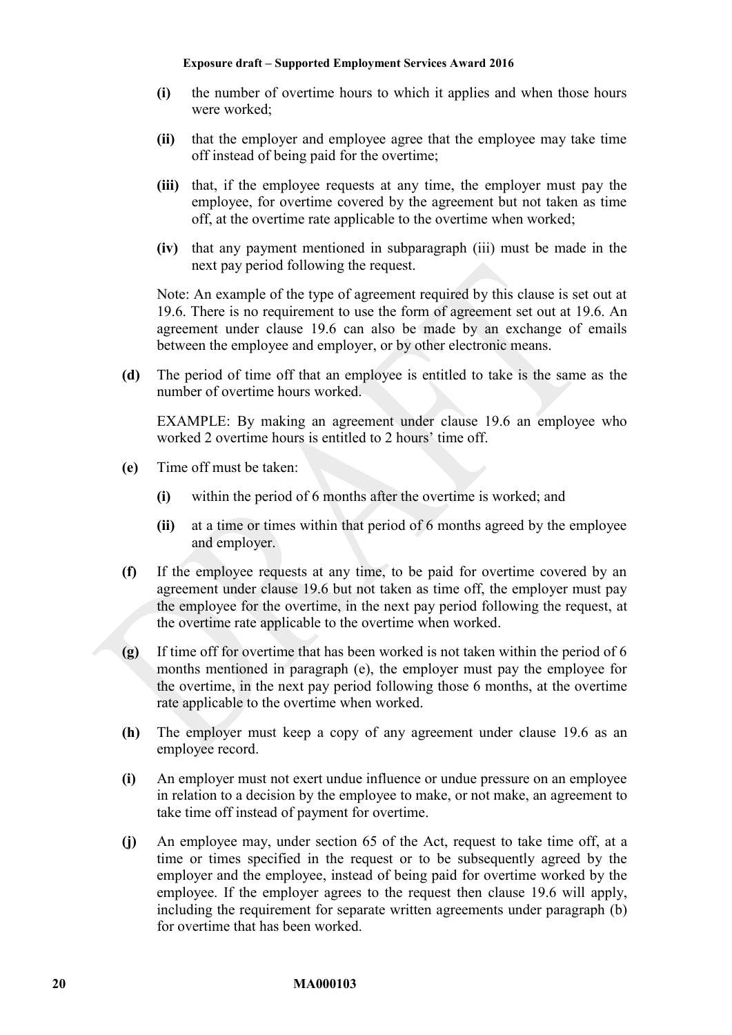- **(i)** the number of overtime hours to which it applies and when those hours were worked;
- **(ii)** that the employer and employee agree that the employee may take time off instead of being paid for the overtime;
- <span id="page-19-0"></span>**(iii)** that, if the employee requests at any time, the employer must pay the employee, for overtime covered by the agreement but not taken as time off, at the overtime rate applicable to the overtime when worked;
- **(iv)** that any payment mentioned in subparagraph [\(iii\)](#page-19-0) must be made in the next pay period following the request.

Note: An example of the type of agreement required by this clause is set out at [19.6.](#page-18-0) There is no requirement to use the form of agreement set out at [19.6.](#page-18-0) An agreement under clause [19.6](#page-18-0) can also be made by an exchange of emails between the employee and employer, or by other electronic means.

**(d)** The period of time off that an employee is entitled to take is the same as the number of overtime hours worked.

EXAMPLE: By making an agreement under clause [19.6](#page-18-0) an employee who worked 2 overtime hours is entitled to 2 hours' time off.

- <span id="page-19-1"></span>**(e)** Time off must be taken:
	- **(i)** within the period of 6 months after the overtime is worked; and
	- **(ii)** at a time or times within that period of 6 months agreed by the employee and employer.
- **(f)** If the employee requests at any time, to be paid for overtime covered by an agreement under clause [19.6](#page-18-0) but not taken as time off, the employer must pay the employee for the overtime, in the next pay period following the request, at the overtime rate applicable to the overtime when worked.
- **(g)** If time off for overtime that has been worked is not taken within the period of 6 months mentioned in paragraph [\(e\),](#page-19-1) the employer must pay the employee for the overtime, in the next pay period following those 6 months, at the overtime rate applicable to the overtime when worked.
- **(h)** The employer must keep a copy of any agreement under clause [19.6](#page-18-0) as an employee record.
- **(i)** An employer must not exert undue influence or undue pressure on an employee in relation to a decision by the employee to make, or not make, an agreement to take time off instead of payment for overtime.
- **(j)** An employee may, under section 65 of the Act, request to take time off, at a time or times specified in the request or to be subsequently agreed by the employer and the employee, instead of being paid for overtime worked by the employee. If the employer agrees to the request then clause [19.6](#page-18-0) will apply, including the requirement for separate written agreements under paragraph [\(b\)](#page-18-6) for overtime that has been worked.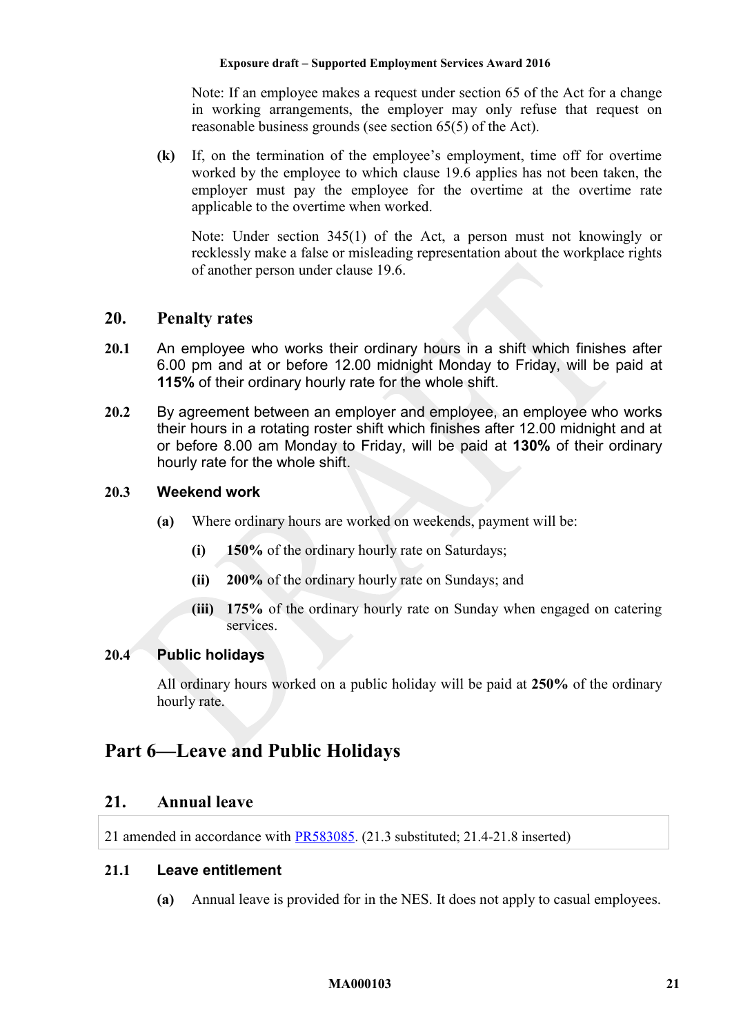Note: If an employee makes a request under section 65 of the Act for a change in working arrangements, the employer may only refuse that request on reasonable business grounds (see section 65(5) of the Act).

**(k)** If, on the termination of the employee's employment, time off for overtime worked by the employee to which clause [19.6](#page-18-0) applies has not been taken, the employer must pay the employee for the overtime at the overtime rate applicable to the overtime when worked.

Note: Under section 345(1) of the Act, a person must not knowingly or recklessly make a false or misleading representation about the workplace rights of another person under clause [19.6.](#page-18-0)

## <span id="page-20-1"></span>**20. Penalty rates**

- <span id="page-20-4"></span>**20.1** An employee who works their ordinary hours in a shift which finishes after 6.00 pm and at or before 12.00 midnight Monday to Friday, will be paid at **115%** of their ordinary hourly rate for the whole shift.
- <span id="page-20-5"></span>**20.2** By agreement between an employer and employee, an employee who works their hours in a rotating roster shift which finishes after 12.00 midnight and at or before 8.00 am Monday to Friday, will be paid at **130%** of their ordinary hourly rate for the whole shift.

#### **20.3 Weekend work**

- **(a)** Where ordinary hours are worked on weekends, payment will be:
	- **(i) 150%** of the ordinary hourly rate on Saturdays;
	- **(ii) 200%** of the ordinary hourly rate on Sundays; and
	- **(iii) 175%** of the ordinary hourly rate on Sunday when engaged on catering services.

## <span id="page-20-3"></span>**20.4 Public holidays**

All ordinary hours worked on a public holiday will be paid at **250%** of the ordinary hourly rate.

# <span id="page-20-2"></span><span id="page-20-0"></span>**Part 6—Leave and Public Holidays**

## **21. Annual leave**

21 amended in accordance with [PR583085.](https://www.fwc.gov.au/documents/awardsandorders/html/pr583085.htm) (21.3 substituted; 21.4-21.8 inserted)

#### **21.1 Leave entitlement**

**(a)** Annual leave is provided for in the NES. It does not apply to casual employees.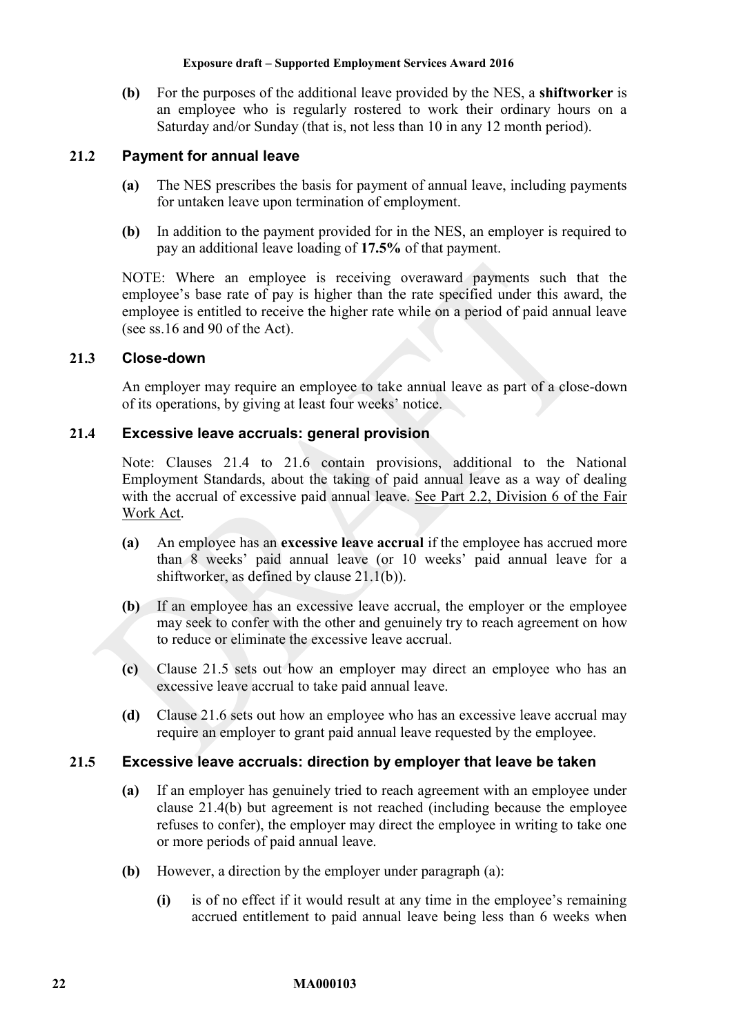<span id="page-21-1"></span>**(b)** For the purposes of the additional leave provided by the NES, a **shiftworker** is an employee who is regularly rostered to work their ordinary hours on a Saturday and/or Sunday (that is, not less than 10 in any 12 month period).

## **21.2 Payment for annual leave**

- **(a)** The NES prescribes the basis for payment of annual leave, including payments for untaken leave upon termination of employment.
- **(b)** In addition to the payment provided for in the NES, an employer is required to pay an additional leave loading of **17.5%** of that payment.

NOTE: Where an employee is receiving overaward payments such that the employee's base rate of pay is higher than the rate specified under this award, the employee is entitled to receive the higher rate while on a period of paid annual leave (see ss.16 and 90 of the Act).

## **21.3 Close-down**

An employer may require an employee to take annual leave as part of a close-down of its operations, by giving at least four weeks' notice.

## <span id="page-21-0"></span>**21.4 Excessive leave accruals: general provision**

Note: Clauses [21.4](#page-21-0) to [21.6](#page-22-0) contain provisions, additional to the National Employment Standards, about the taking of paid annual leave as a way of dealing with the accrual of excessive paid annual leave. See Part 2.2, Division 6 of the Fair Work Act.

- **(a)** An employee has an **excessive leave accrual** if the employee has accrued more than 8 weeks' paid annual leave (or 10 weeks' paid annual leave for a shiftworker, as defined by clause [21.1\(b\)\)](#page-21-1).
- <span id="page-21-3"></span>**(b)** If an employee has an excessive leave accrual, the employer or the employee may seek to confer with the other and genuinely try to reach agreement on how to reduce or eliminate the excessive leave accrual.
- **(c)** Clause [21.5](#page-21-2) sets out how an employer may direct an employee who has an excessive leave accrual to take paid annual leave.
- **(d)** Clause [21.6](#page-22-0) sets out how an employee who has an excessive leave accrual may require an employer to grant paid annual leave requested by the employee.

#### <span id="page-21-4"></span><span id="page-21-2"></span>**21.5 Excessive leave accruals: direction by employer that leave be taken**

- **(a)** If an employer has genuinely tried to reach agreement with an employee under clause [21.4\(b\)](#page-21-3) but agreement is not reached (including because the employee refuses to confer), the employer may direct the employee in writing to take one or more periods of paid annual leave.
- <span id="page-21-5"></span>**(b)** However, a direction by the employer under paragraph [\(a\):](#page-21-4)
	- **(i)** is of no effect if it would result at any time in the employee's remaining accrued entitlement to paid annual leave being less than 6 weeks when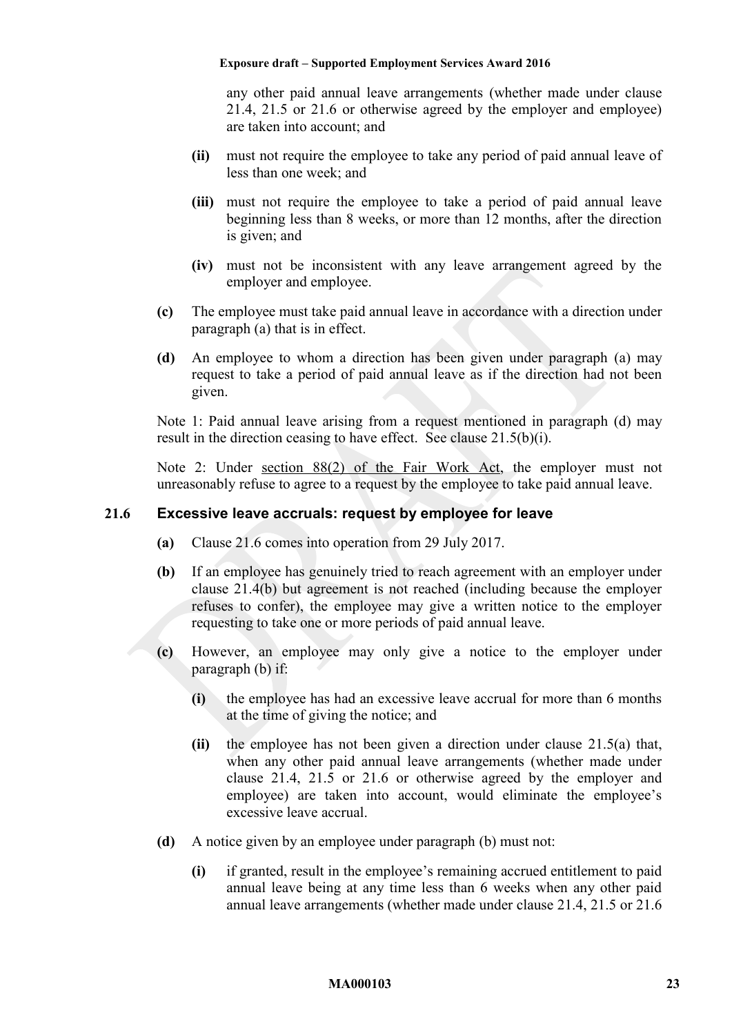any other paid annual leave arrangements (whether made under clause [21.4,](#page-21-0) [21.5](#page-21-2) or [21.6](#page-22-0) or otherwise agreed by the employer and employee) are taken into account; and

- **(ii)** must not require the employee to take any period of paid annual leave of less than one week; and
- **(iii)** must not require the employee to take a period of paid annual leave beginning less than 8 weeks, or more than 12 months, after the direction is given; and
- **(iv)** must not be inconsistent with any leave arrangement agreed by the employer and employee.
- **(c)** The employee must take paid annual leave in accordance with a direction under paragraph [\(a\)](#page-21-4) that is in effect.
- <span id="page-22-1"></span>**(d)** An employee to whom a direction has been given under paragraph [\(a\)](#page-21-4) may request to take a period of paid annual leave as if the direction had not been given.

Note 1: Paid annual leave arising from a request mentioned in paragraph [\(d\)](#page-22-1) may result in the direction ceasing to have effect. See clause [21.5\(b\)\(i\).](#page-21-5)

Note 2: Under section 88(2) of the Fair Work Act, the employer must not unreasonably refuse to agree to a request by the employee to take paid annual leave.

#### <span id="page-22-2"></span><span id="page-22-0"></span>**21.6 Excessive leave accruals: request by employee for leave**

- **(a)** Clause [21.6](#page-22-0) comes into operation from 29 July 2017.
- **(b)** If an employee has genuinely tried to reach agreement with an employer under clause [21.4\(b\)](#page-21-3) but agreement is not reached (including because the employer refuses to confer), the employee may give a written notice to the employer requesting to take one or more periods of paid annual leave.
- **(c)** However, an employee may only give a notice to the employer under paragraph [\(b\)](#page-22-2) if:
	- **(i)** the employee has had an excessive leave accrual for more than 6 months at the time of giving the notice; and
	- **(ii)** the employee has not been given a direction under clause [21.5\(a\)](#page-21-4) that, when any other paid annual leave arrangements (whether made under clause [21.4,](#page-21-0) [21.5](#page-21-2) or [21.6](#page-22-0) or otherwise agreed by the employer and employee) are taken into account, would eliminate the employee's excessive leave accrual.
- **(d)** A notice given by an employee under paragraph [\(b\)](#page-22-2) must not:
	- **(i)** if granted, result in the employee's remaining accrued entitlement to paid annual leave being at any time less than 6 weeks when any other paid annual leave arrangements (whether made under clause [21.4,](#page-21-0) [21.5](#page-21-2) or [21.6](#page-22-0)

#### **MA000103 23**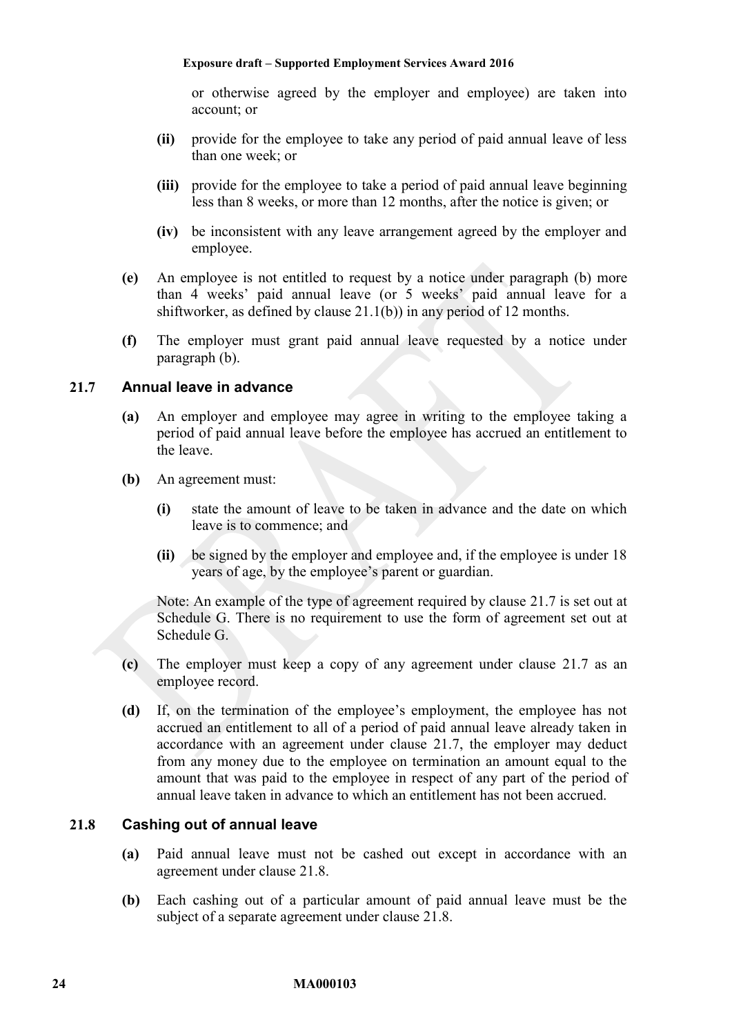or otherwise agreed by the employer and employee) are taken into account; or

- **(ii)** provide for the employee to take any period of paid annual leave of less than one week; or
- **(iii)** provide for the employee to take a period of paid annual leave beginning less than 8 weeks, or more than 12 months, after the notice is given; or
- **(iv)** be inconsistent with any leave arrangement agreed by the employer and employee.
- **(e)** An employee is not entitled to request by a notice under paragraph [\(b\)](#page-22-2) more than 4 weeks' paid annual leave (or 5 weeks' paid annual leave for a shiftworker, as defined by clause [21.1\(b\)\)](#page-21-1) in any period of 12 months.
- **(f)** The employer must grant paid annual leave requested by a notice under paragraph [\(b\).](#page-22-2)

### <span id="page-23-0"></span>**21.7 Annual leave in advance**

- **(a)** An employer and employee may agree in writing to the employee taking a period of paid annual leave before the employee has accrued an entitlement to the leave.
- **(b)** An agreement must:
	- **(i)** state the amount of leave to be taken in advance and the date on which leave is to commence; and
	- **(ii)** be signed by the employer and employee and, if the employee is under 18 years of age, by the employee's parent or guardian.

Note: An example of the type of agreement required by clause [21.7](#page-23-0) is set out at [Schedule G.](#page-65-0) There is no requirement to use the form of agreement set out at [Schedule G.](#page-65-0)

- **(c)** The employer must keep a copy of any agreement under clause [21.7](#page-23-0) as an employee record.
- **(d)** If, on the termination of the employee's employment, the employee has not accrued an entitlement to all of a period of paid annual leave already taken in accordance with an agreement under clause [21.7,](#page-23-0) the employer may deduct from any money due to the employee on termination an amount equal to the amount that was paid to the employee in respect of any part of the period of annual leave taken in advance to which an entitlement has not been accrued.

#### <span id="page-23-1"></span>**21.8 Cashing out of annual leave**

- **(a)** Paid annual leave must not be cashed out except in accordance with an agreement under clause [21.8.](#page-23-1)
- **(b)** Each cashing out of a particular amount of paid annual leave must be the subject of a separate agreement under clause [21.8.](#page-23-1)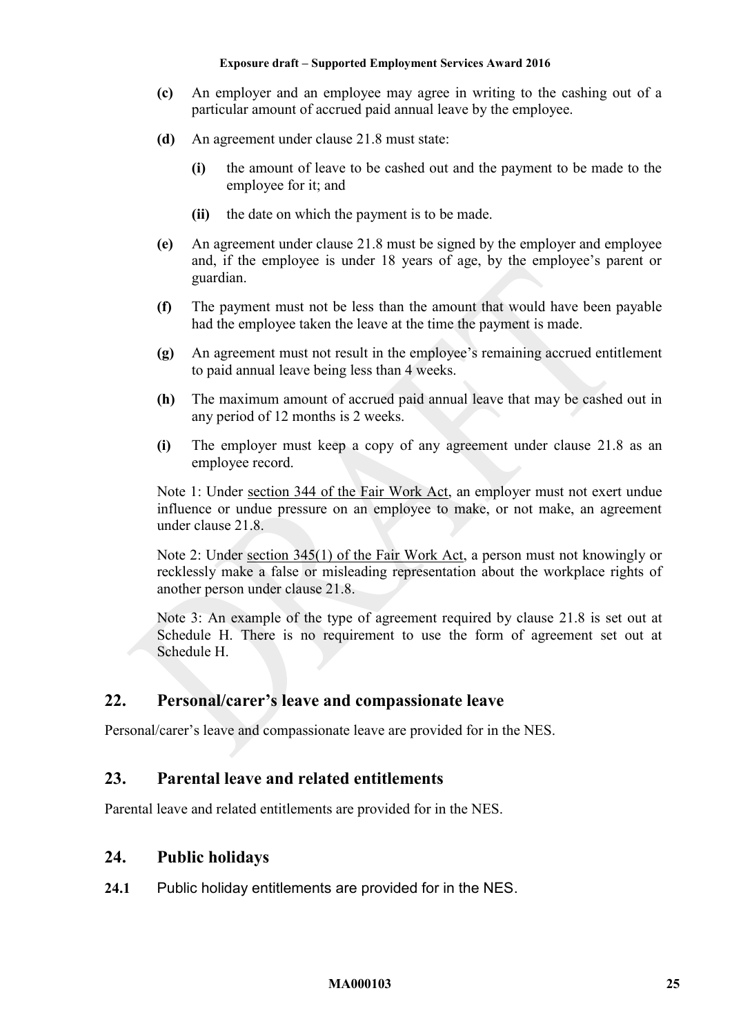- **(c)** An employer and an employee may agree in writing to the cashing out of a particular amount of accrued paid annual leave by the employee.
- **(d)** An agreement under clause [21.8](#page-23-1) must state:
	- **(i)** the amount of leave to be cashed out and the payment to be made to the employee for it; and
	- **(ii)** the date on which the payment is to be made.
- **(e)** An agreement under clause [21.8](#page-23-1) must be signed by the employer and employee and, if the employee is under 18 years of age, by the employee's parent or guardian.
- **(f)** The payment must not be less than the amount that would have been payable had the employee taken the leave at the time the payment is made.
- **(g)** An agreement must not result in the employee's remaining accrued entitlement to paid annual leave being less than 4 weeks.
- **(h)** The maximum amount of accrued paid annual leave that may be cashed out in any period of 12 months is 2 weeks.
- **(i)** The employer must keep a copy of any agreement under clause [21.8](#page-23-1) as an employee record.

Note 1: Under section 344 of the Fair Work Act, an employer must not exert undue influence or undue pressure on an employee to make, or not make, an agreement under clause [21.8.](#page-23-1)

Note 2: Under section 345(1) of the Fair Work Act, a person must not knowingly or recklessly make a false or misleading representation about the workplace rights of another person under clause [21.8.](#page-23-1)

Note 3: An example of the type of agreement required by clause [21.8](#page-23-1) is set out at [Schedule H.](#page-66-0) There is no requirement to use the form of agreement set out at [Schedule H.](#page-66-0)

# <span id="page-24-0"></span>**22. Personal/carer's leave and compassionate leave**

<span id="page-24-1"></span>Personal/carer's leave and compassionate leave are provided for in the NES.

# **23. Parental leave and related entitlements**

<span id="page-24-2"></span>Parental leave and related entitlements are provided for in the NES.

## **24. Public holidays**

**24.1** Public holiday entitlements are provided for in the NES.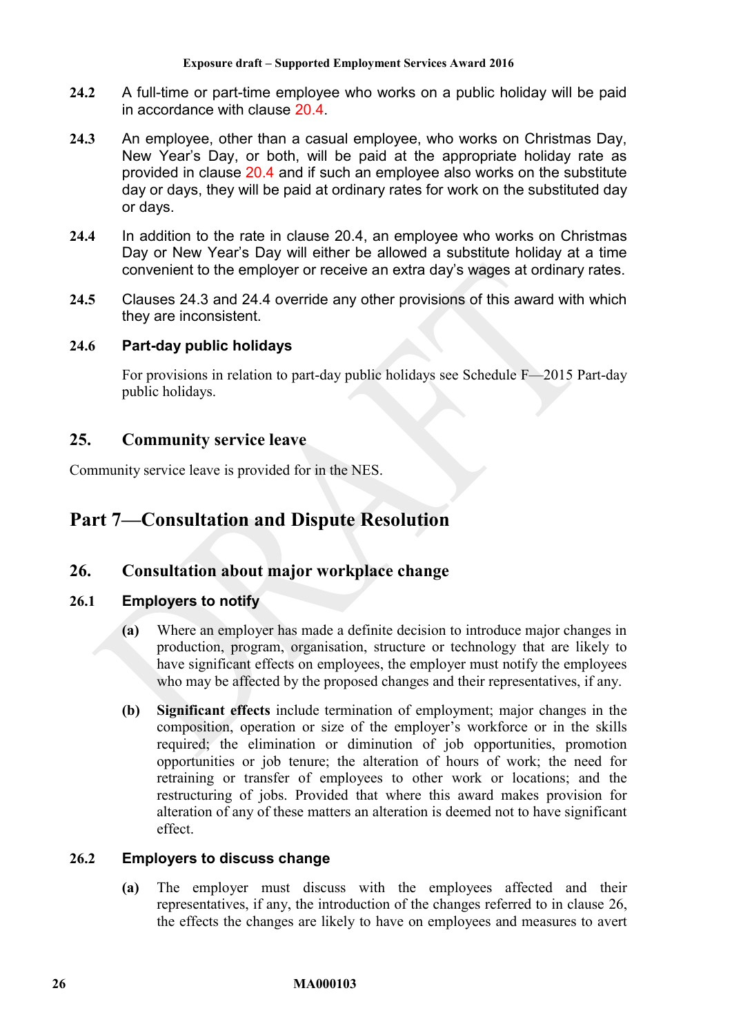- <span id="page-25-0"></span>**24.2** A full-time or part-time employee who works on a public holiday will be paid in accordance with clause [20.4.](#page-20-3)
- <span id="page-25-4"></span>**24.3** An employee, other than a casual employee, who works on Christmas Day, New Year's Day, or both, will be paid at the appropriate holiday rate as provided in clause [20.4](#page-20-3) and if such an employee also works on the substitute day or days, they will be paid at ordinary rates for work on the substituted day or days.
- <span id="page-25-5"></span>**24.4** In addition to the rate in clause [20.4,](#page-20-3) an employee who works on Christmas Day or New Year's Day will either be allowed a substitute holiday at a time convenient to the employer or receive an extra day's wages at ordinary rates.
- **24.5** Clauses [24.3](#page-25-4) and [24.4](#page-25-5) override any other provisions of this award with which they are inconsistent.

## **24.6 Part-day public holidays**

For provisions in relation to part-day public holidays see [Schedule F—](#page-63-0)2015 Part-day public holidays.

## <span id="page-25-1"></span>**25. Community service leave**

<span id="page-25-2"></span>Community service leave is provided for in the NES.

# <span id="page-25-3"></span>**Part 7—Consultation and Dispute Resolution**

# **26. Consultation about major workplace change**

## **26.1 Employers to notify**

- **(a)** Where an employer has made a definite decision to introduce major changes in production, program, organisation, structure or technology that are likely to have significant effects on employees, the employer must notify the employees who may be affected by the proposed changes and their representatives, if any.
- **(b) Significant effects** include termination of employment; major changes in the composition, operation or size of the employer's workforce or in the skills required; the elimination or diminution of job opportunities, promotion opportunities or job tenure; the alteration of hours of work; the need for retraining or transfer of employees to other work or locations; and the restructuring of jobs. Provided that where this award makes provision for alteration of any of these matters an alteration is deemed not to have significant effect.

#### **26.2 Employers to discuss change**

**(a)** The employer must discuss with the employees affected and their representatives, if any, the introduction of the changes referred to in clause [26,](#page-25-3) the effects the changes are likely to have on employees and measures to avert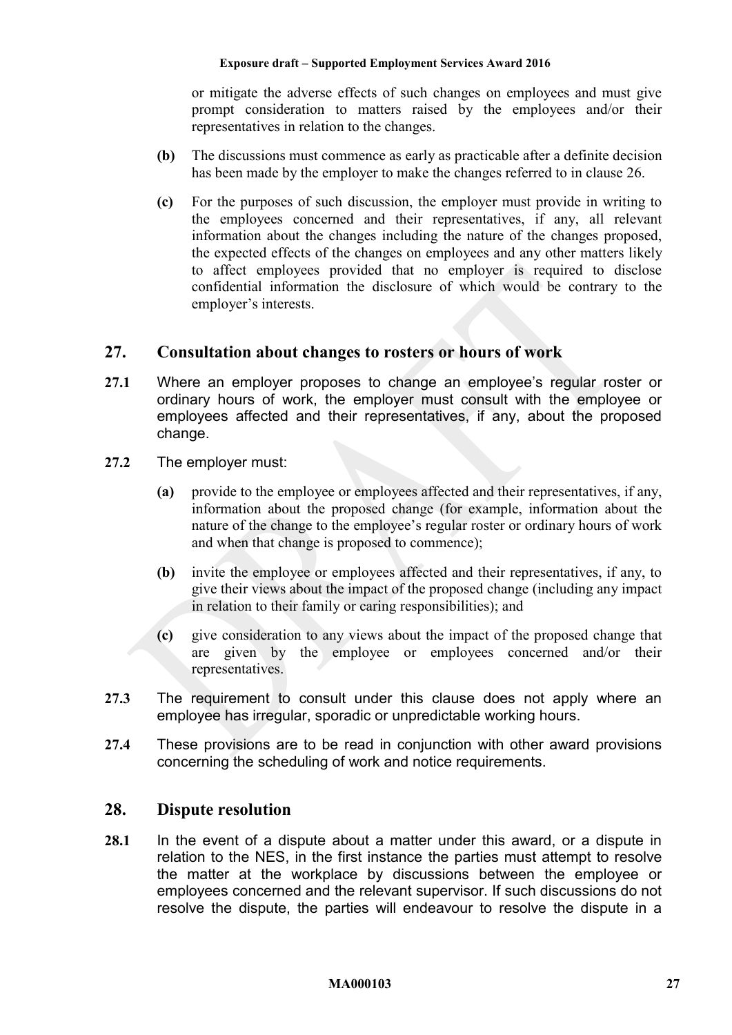or mitigate the adverse effects of such changes on employees and must give prompt consideration to matters raised by the employees and/or their representatives in relation to the changes.

- **(b)** The discussions must commence as early as practicable after a definite decision has been made by the employer to make the changes referred to in clause [26.](#page-25-3)
- **(c)** For the purposes of such discussion, the employer must provide in writing to the employees concerned and their representatives, if any, all relevant information about the changes including the nature of the changes proposed, the expected effects of the changes on employees and any other matters likely to affect employees provided that no employer is required to disclose confidential information the disclosure of which would be contrary to the employer's interests.

# <span id="page-26-0"></span>**27. Consultation about changes to rosters or hours of work**

- **27.1** Where an employer proposes to change an employee's regular roster or ordinary hours of work, the employer must consult with the employee or employees affected and their representatives, if any, about the proposed change.
- **27.2** The employer must:
	- **(a)** provide to the employee or employees affected and their representatives, if any, information about the proposed change (for example, information about the nature of the change to the employee's regular roster or ordinary hours of work and when that change is proposed to commence);
	- **(b)** invite the employee or employees affected and their representatives, if any, to give their views about the impact of the proposed change (including any impact in relation to their family or caring responsibilities); and
	- **(c)** give consideration to any views about the impact of the proposed change that are given by the employee or employees concerned and/or their representatives.
- **27.3** The requirement to consult under this clause does not apply where an employee has irregular, sporadic or unpredictable working hours.
- **27.4** These provisions are to be read in conjunction with other award provisions concerning the scheduling of work and notice requirements.

# <span id="page-26-1"></span>**28. Dispute resolution**

<span id="page-26-2"></span>**28.1** In the event of a dispute about a matter under this award, or a dispute in relation to the NES, in the first instance the parties must attempt to resolve the matter at the workplace by discussions between the employee or employees concerned and the relevant supervisor. If such discussions do not resolve the dispute, the parties will endeavour to resolve the dispute in a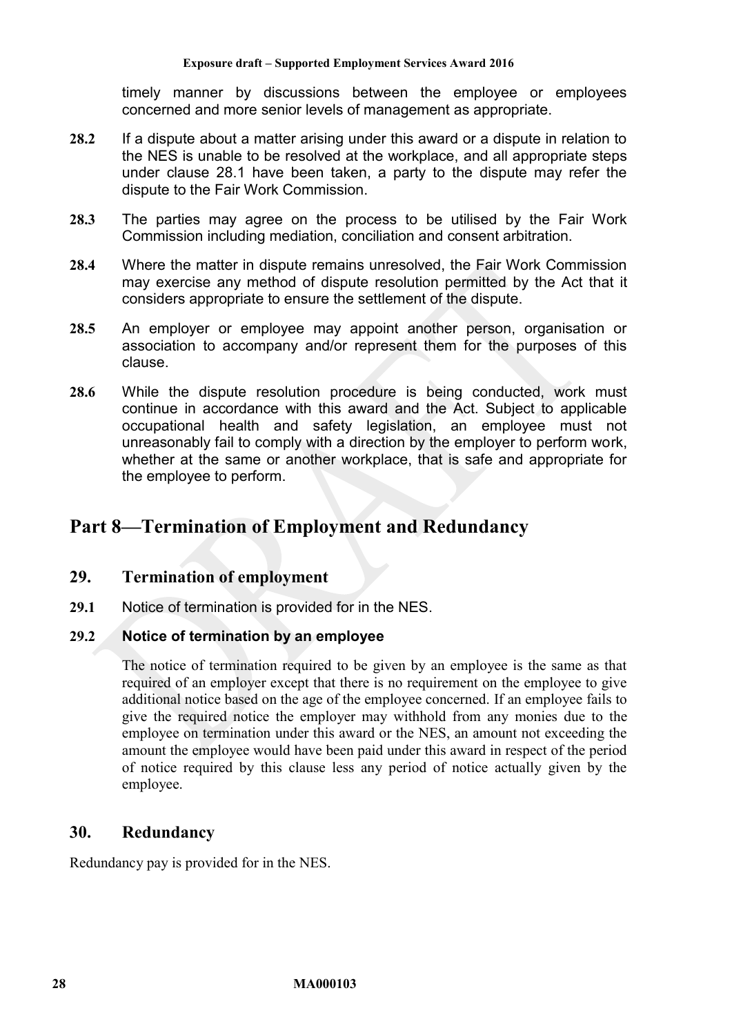timely manner by discussions between the employee or employees concerned and more senior levels of management as appropriate.

- **28.2** If a dispute about a matter arising under this award or a dispute in relation to the NES is unable to be resolved at the workplace, and all appropriate steps under clause [28.1](#page-26-2) have been taken, a party to the dispute may refer the dispute to the Fair Work Commission.
- **28.3** The parties may agree on the process to be utilised by the Fair Work Commission including mediation, conciliation and consent arbitration.
- **28.4** Where the matter in dispute remains unresolved, the Fair Work Commission may exercise any method of dispute resolution permitted by the Act that it considers appropriate to ensure the settlement of the dispute.
- **28.5** An employer or employee may appoint another person, organisation or association to accompany and/or represent them for the purposes of this clause.
- **28.6** While the dispute resolution procedure is being conducted, work must continue in accordance with this award and the Act. Subject to applicable occupational health and safety legislation, an employee must not unreasonably fail to comply with a direction by the employer to perform work, whether at the same or another workplace, that is safe and appropriate for the employee to perform.

# <span id="page-27-1"></span><span id="page-27-0"></span>**Part 8—Termination of Employment and Redundancy**

## **29. Termination of employment**

**29.1** Notice of termination is provided for in the NES.

#### **29.2 Notice of termination by an employee**

The notice of termination required to be given by an employee is the same as that required of an employer except that there is no requirement on the employee to give additional notice based on the age of the employee concerned. If an employee fails to give the required notice the employer may withhold from any monies due to the employee on termination under this award or the NES, an amount not exceeding the amount the employee would have been paid under this award in respect of the period of notice required by this clause less any period of notice actually given by the employee.

# <span id="page-27-2"></span>**30. Redundancy**

Redundancy pay is provided for in the NES.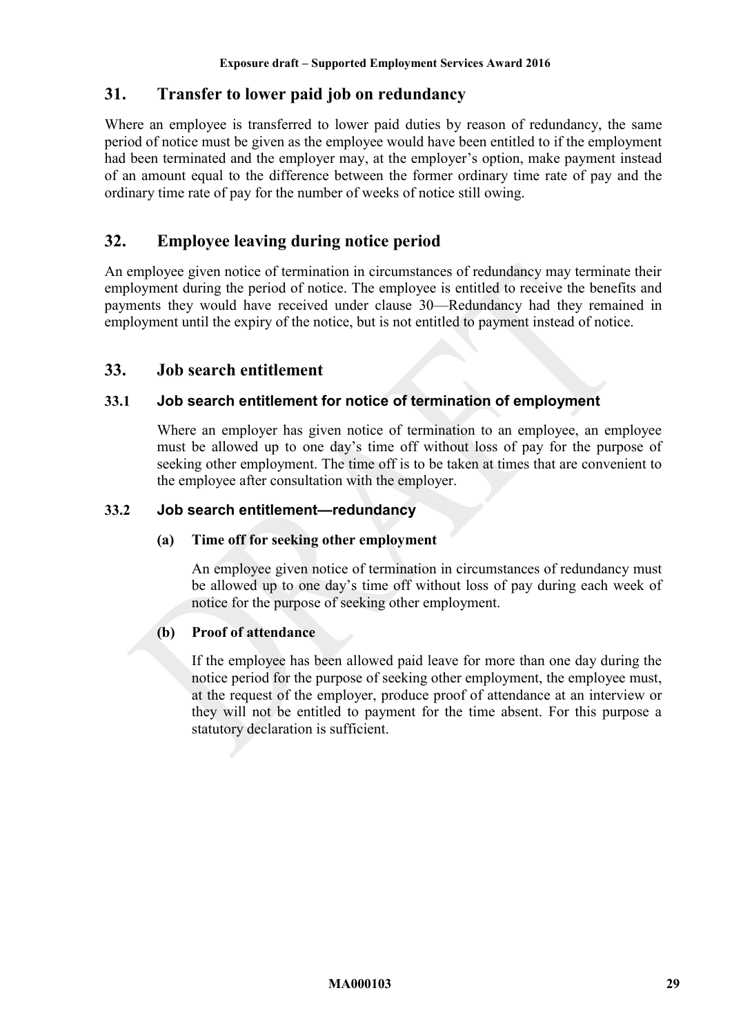# <span id="page-28-0"></span>**31. Transfer to lower paid job on redundancy**

Where an employee is transferred to lower paid duties by reason of redundancy, the same period of notice must be given as the employee would have been entitled to if the employment had been terminated and the employer may, at the employer's option, make payment instead of an amount equal to the difference between the former ordinary time rate of pay and the ordinary time rate of pay for the number of weeks of notice still owing.

# <span id="page-28-1"></span>**32. Employee leaving during notice period**

An employee given notice of termination in circumstances of redundancy may terminate their employment during the period of notice. The employee is entitled to receive the benefits and payments they would have received under clause [30—Redundancy](#page-27-2) had they remained in employment until the expiry of the notice, but is not entitled to payment instead of notice.

## <span id="page-28-2"></span>**33. Job search entitlement**

## **33.1 Job search entitlement for notice of termination of employment**

Where an employer has given notice of termination to an employee, an employee must be allowed up to one day's time off without loss of pay for the purpose of seeking other employment. The time off is to be taken at times that are convenient to the employee after consultation with the employer.

## **33.2 Job search entitlement—redundancy**

#### **(a) Time off for seeking other employment**

An employee given notice of termination in circumstances of redundancy must be allowed up to one day's time off without loss of pay during each week of notice for the purpose of seeking other employment.

## **(b) Proof of attendance**

If the employee has been allowed paid leave for more than one day during the notice period for the purpose of seeking other employment, the employee must, at the request of the employer, produce proof of attendance at an interview or they will not be entitled to payment for the time absent. For this purpose a statutory declaration is sufficient.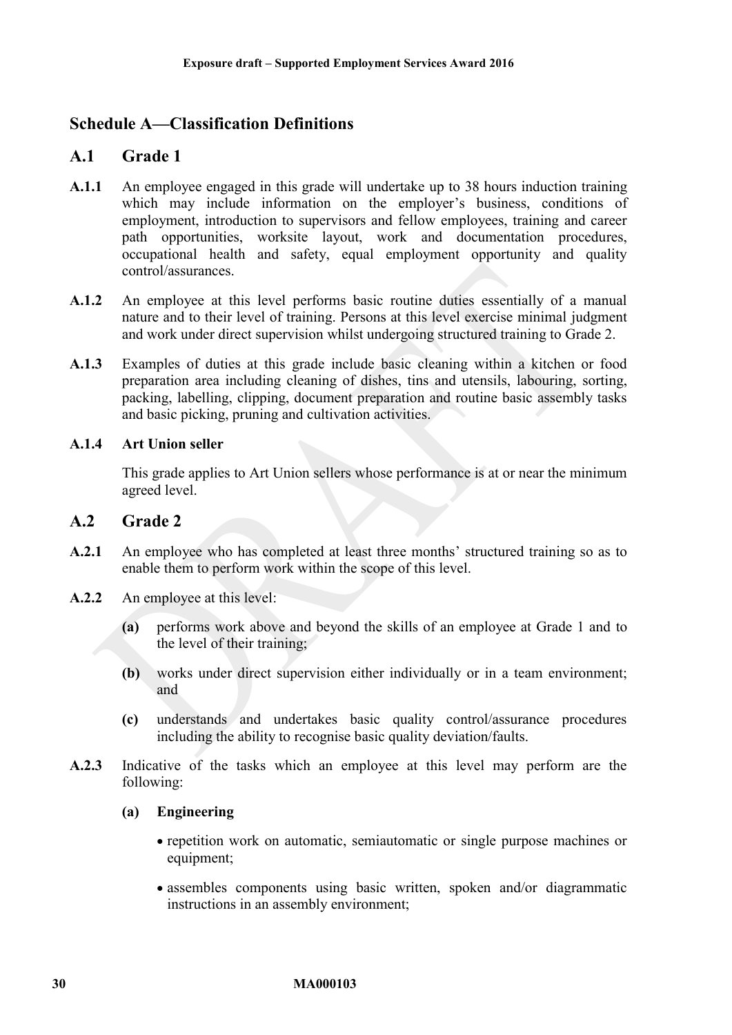# <span id="page-29-1"></span><span id="page-29-0"></span>**Schedule A—Classification Definitions**

# **A.1 Grade 1**

- **A.1.1** An employee engaged in this grade will undertake up to 38 hours induction training which may include information on the employer's business, conditions of employment, introduction to supervisors and fellow employees, training and career path opportunities, worksite layout, work and documentation procedures, occupational health and safety, equal employment opportunity and quality control/assurances.
- **A.1.2** An employee at this level performs basic routine duties essentially of a manual nature and to their level of training. Persons at this level exercise minimal judgment and work under direct supervision whilst undergoing structured training to Grade 2.
- **A.1.3** Examples of duties at this grade include basic cleaning within a kitchen or food preparation area including cleaning of dishes, tins and utensils, labouring, sorting, packing, labelling, clipping, document preparation and routine basic assembly tasks and basic picking, pruning and cultivation activities.

#### **A.1.4 Art Union seller**

This grade applies to Art Union sellers whose performance is at or near the minimum agreed level.

## **A.2 Grade 2**

- **A.2.1** An employee who has completed at least three months' structured training so as to enable them to perform work within the scope of this level.
- **A.2.2** An employee at this level:
	- **(a)** performs work above and beyond the skills of an employee at Grade 1 and to the level of their training;
	- **(b)** works under direct supervision either individually or in a team environment; and
	- **(c)** understands and undertakes basic quality control/assurance procedures including the ability to recognise basic quality deviation/faults.
- **A.2.3** Indicative of the tasks which an employee at this level may perform are the following:

#### **(a) Engineering**

- repetition work on automatic, semiautomatic or single purpose machines or equipment;
- assembles components using basic written, spoken and/or diagrammatic instructions in an assembly environment;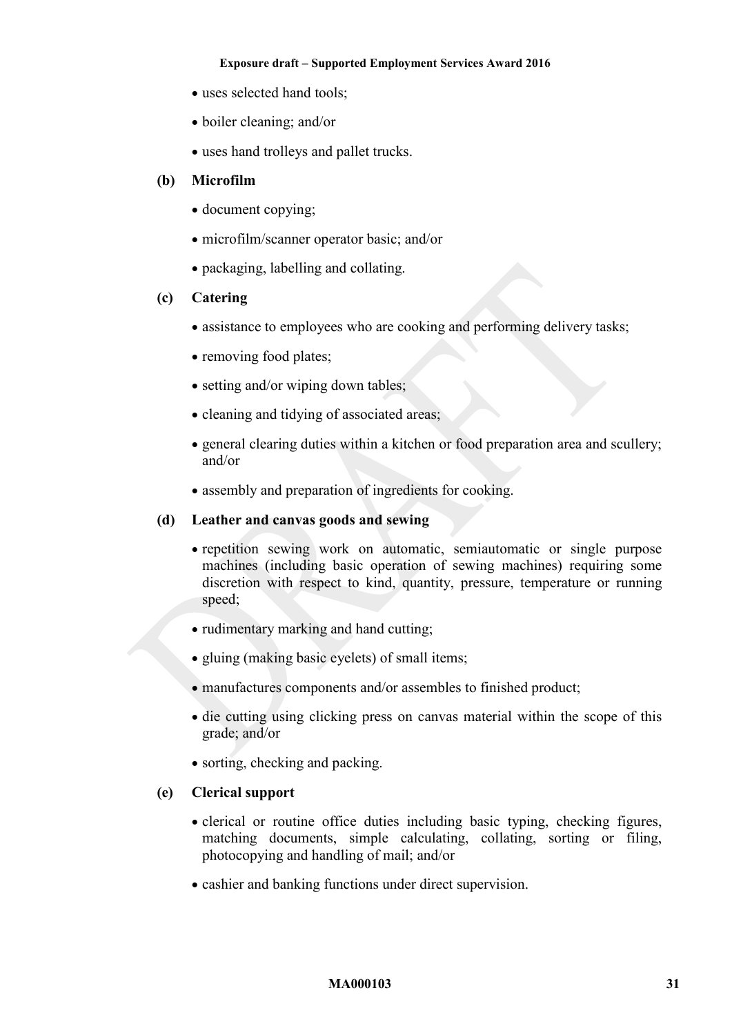- uses selected hand tools;
- boiler cleaning; and/or
- uses hand trolleys and pallet trucks.

#### **(b) Microfilm**

- document copying;
- microfilm/scanner operator basic; and/or
- packaging, labelling and collating.

#### **(c) Catering**

- assistance to employees who are cooking and performing delivery tasks;
- removing food plates;
- setting and/or wiping down tables:
- cleaning and tidying of associated areas;
- general clearing duties within a kitchen or food preparation area and scullery; and/or
- assembly and preparation of ingredients for cooking.

#### **(d) Leather and canvas goods and sewing**

- repetition sewing work on automatic, semiautomatic or single purpose machines (including basic operation of sewing machines) requiring some discretion with respect to kind, quantity, pressure, temperature or running speed;
- rudimentary marking and hand cutting;
- gluing (making basic eyelets) of small items;
- manufactures components and/or assembles to finished product;
- die cutting using clicking press on canvas material within the scope of this grade; and/or
- sorting, checking and packing.

#### **(e) Clerical support**

- clerical or routine office duties including basic typing, checking figures, matching documents, simple calculating, collating, sorting or filing, photocopying and handling of mail; and/or
- cashier and banking functions under direct supervision.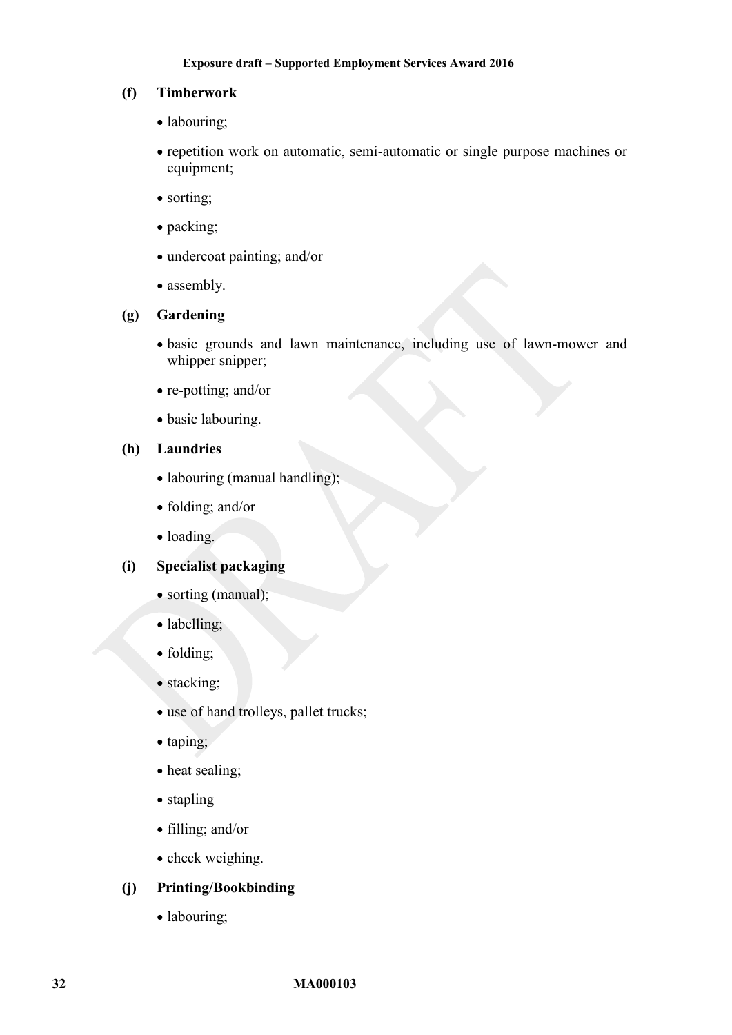#### **(f) Timberwork**

- labouring;
- repetition work on automatic, semi-automatic or single purpose machines or equipment;
- sorting;
- packing;
- undercoat painting; and/or
- assembly.

#### **(g) Gardening**

- basic grounds and lawn maintenance, including use of lawn-mower and whipper snipper;
- re-potting; and/or
- basic labouring.

#### **(h) Laundries**

- labouring (manual handling);
- folding; and/or
- loading.

## **(i) Specialist packaging**

- sorting (manual);
- labelling;
- folding;
- stacking;
- use of hand trolleys, pallet trucks;
- taping;
- heat sealing;
- stapling
- filling; and/or
- check weighing.

#### **(j) Printing/Bookbinding**

• labouring;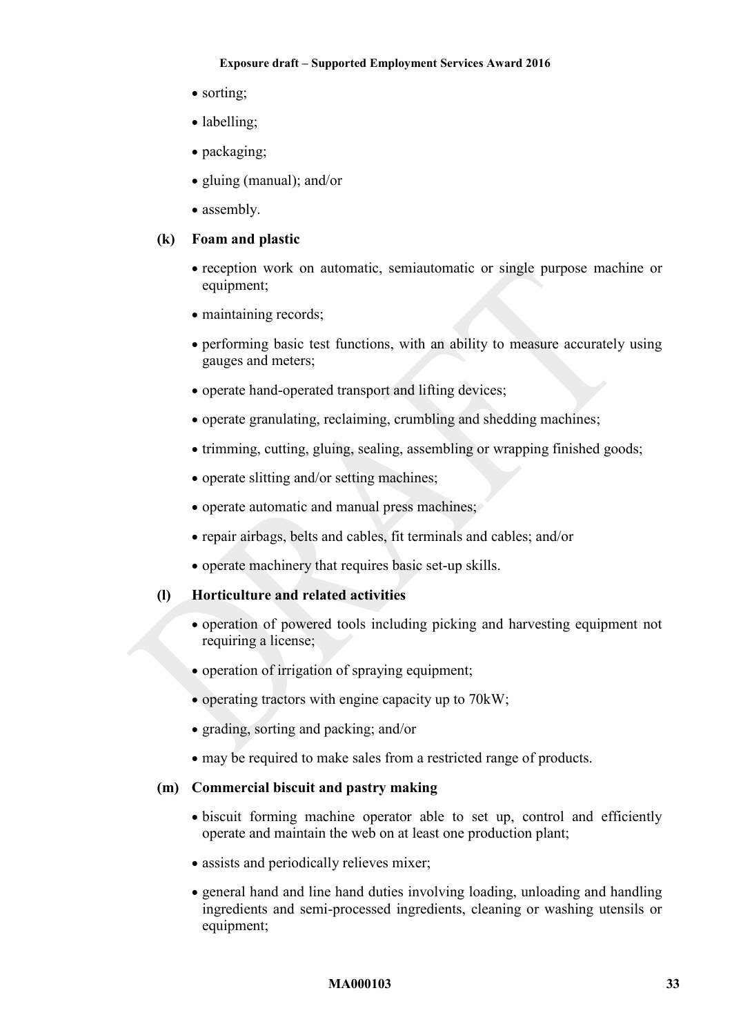- sorting:
- labelling;
- packaging;
- gluing (manual); and/or
- assembly.

### **(k) Foam and plastic**

- reception work on automatic, semiautomatic or single purpose machine or equipment;
- maintaining records;
- performing basic test functions, with an ability to measure accurately using gauges and meters;
- operate hand-operated transport and lifting devices;
- operate granulating, reclaiming, crumbling and shedding machines;
- trimming, cutting, gluing, sealing, assembling or wrapping finished goods;
- operate slitting and/or setting machines;
- operate automatic and manual press machines;
- repair airbags, belts and cables, fit terminals and cables; and/or
- operate machinery that requires basic set-up skills.

#### **(l) Horticulture and related activities**

- operation of powered tools including picking and harvesting equipment not requiring a license;
- operation of irrigation of spraying equipment;
- $\bullet$  operating tractors with engine capacity up to 70 kW;
- grading, sorting and packing; and/or
- may be required to make sales from a restricted range of products.

### **(m) Commercial biscuit and pastry making**

- biscuit forming machine operator able to set up, control and efficiently operate and maintain the web on at least one production plant;
- assists and periodically relieves mixer;
- general hand and line hand duties involving loading, unloading and handling ingredients and semi-processed ingredients, cleaning or washing utensils or equipment;

#### **MA000103 33**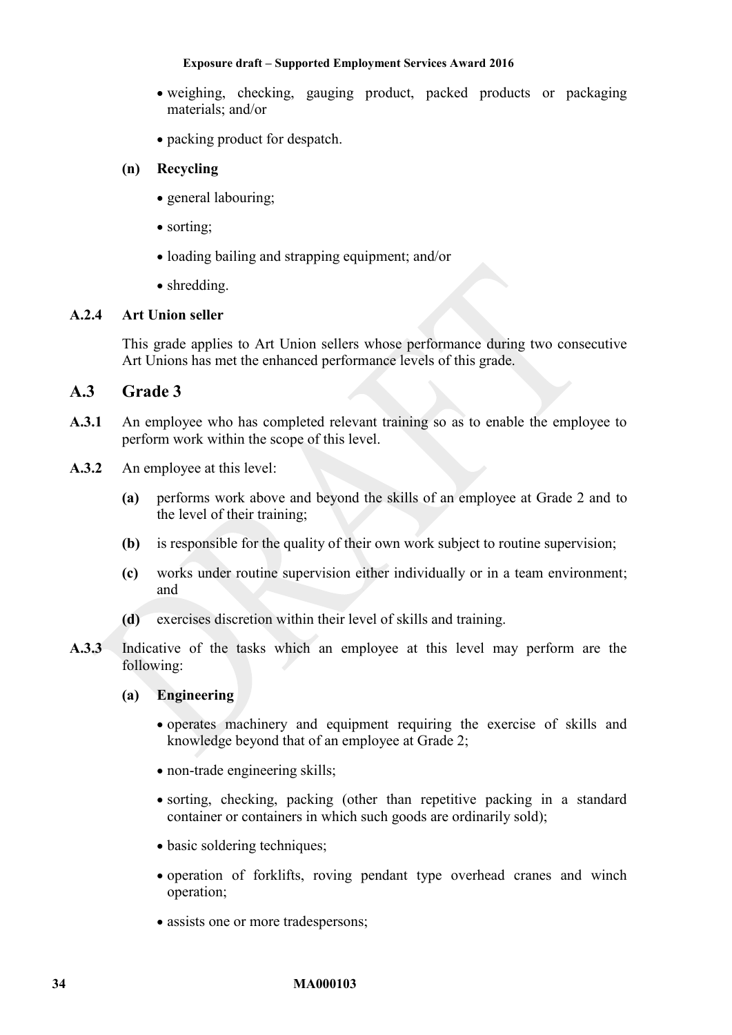- weighing, checking, gauging product, packed products or packaging materials; and/or
- packing product for despatch.

## **(n) Recycling**

- general labouring;
- sorting:
- loading bailing and strapping equipment; and/or
- shredding.

## **A.2.4 Art Union seller**

This grade applies to Art Union sellers whose performance during two consecutive Art Unions has met the enhanced performance levels of this grade.

## **A.3 Grade 3**

- **A.3.1** An employee who has completed relevant training so as to enable the employee to perform work within the scope of this level.
- **A.3.2** An employee at this level:
	- **(a)** performs work above and beyond the skills of an employee at Grade 2 and to the level of their training;
	- **(b)** is responsible for the quality of their own work subject to routine supervision;
	- **(c)** works under routine supervision either individually or in a team environment; and
	- **(d)** exercises discretion within their level of skills and training.
- **A.3.3** Indicative of the tasks which an employee at this level may perform are the following:

## **(a) Engineering**

- operates machinery and equipment requiring the exercise of skills and knowledge beyond that of an employee at Grade 2;
- non-trade engineering skills;
- sorting, checking, packing (other than repetitive packing in a standard container or containers in which such goods are ordinarily sold);
- basic soldering techniques;
- operation of forklifts, roving pendant type overhead cranes and winch operation;
- assists one or more tradespersons;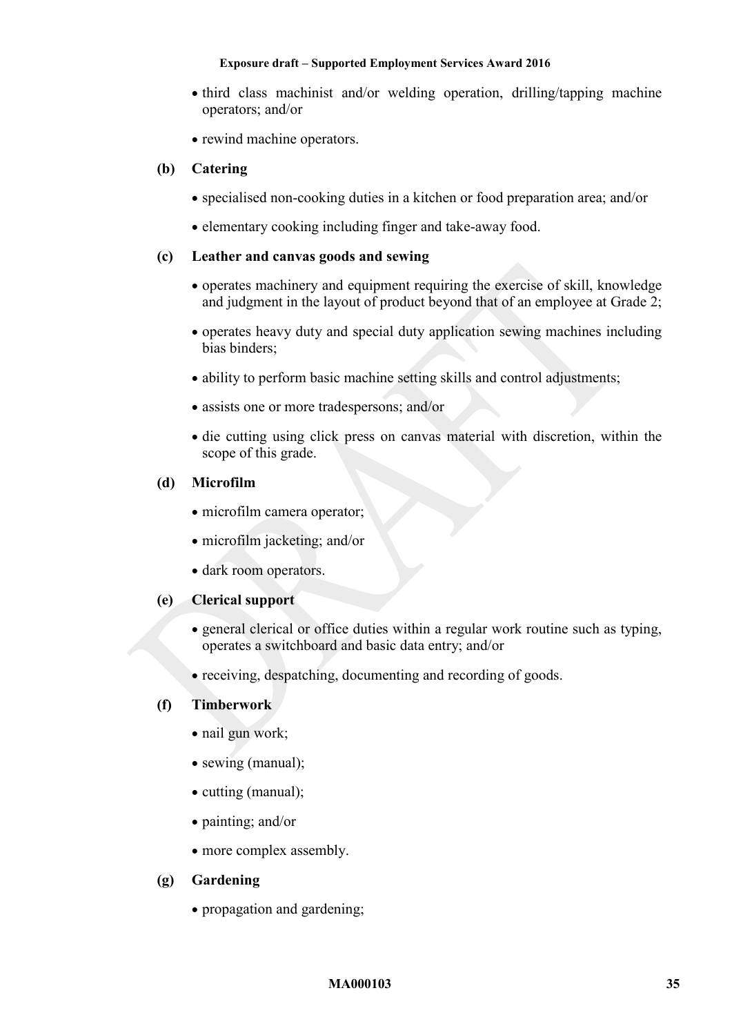- third class machinist and/or welding operation, drilling/tapping machine operators; and/or
- rewind machine operators.

## **(b) Catering**

- specialised non-cooking duties in a kitchen or food preparation area; and/or
- elementary cooking including finger and take-away food.

### **(c) Leather and canvas goods and sewing**

- operates machinery and equipment requiring the exercise of skill, knowledge and judgment in the layout of product beyond that of an employee at Grade 2;
- operates heavy duty and special duty application sewing machines including bias binders;
- ability to perform basic machine setting skills and control adjustments;
- assists one or more tradespersons; and/or
- die cutting using click press on canvas material with discretion, within the scope of this grade.

## **(d) Microfilm**

- microfilm camera operator:
- microfilm jacketing; and/or
- dark room operators.

#### **(e) Clerical support**

- general clerical or office duties within a regular work routine such as typing, operates a switchboard and basic data entry; and/or
- receiving, despatching, documenting and recording of goods.

## **(f) Timberwork**

- nail gun work;
- sewing (manual);
- cutting (manual);
- painting; and/or
- more complex assembly.

#### **(g) Gardening**

• propagation and gardening;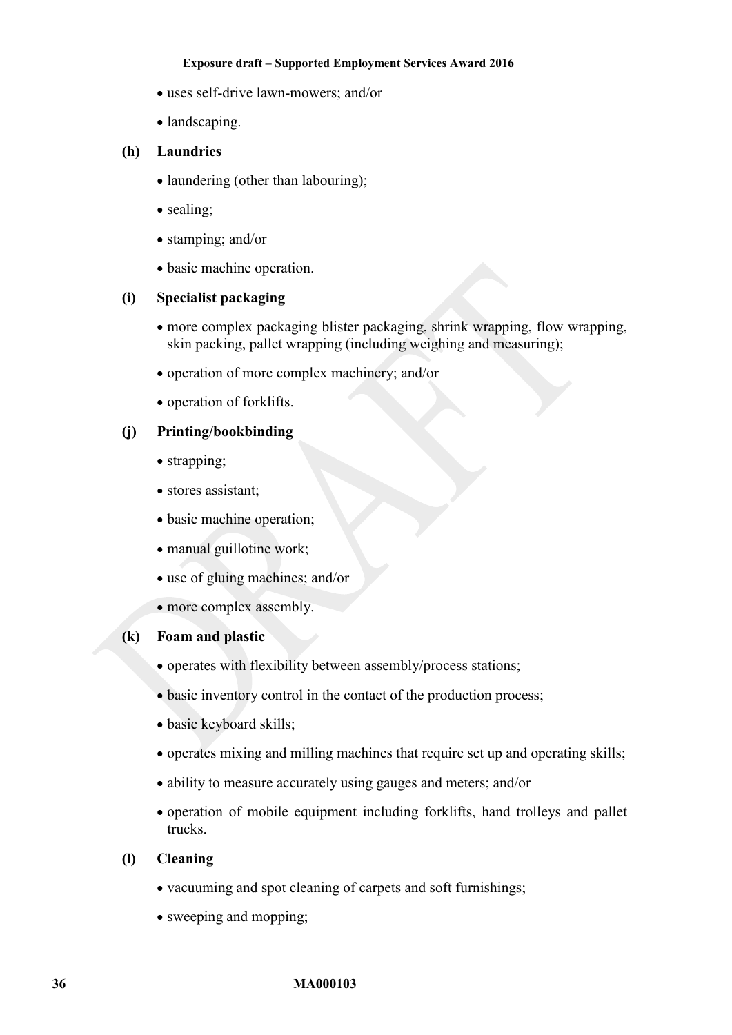- uses self-drive lawn-mowers; and/or
- landscaping.

## **(h) Laundries**

- laundering (other than labouring);
- sealing;
- stamping; and/or
- basic machine operation.

## **(i) Specialist packaging**

- more complex packaging blister packaging, shrink wrapping, flow wrapping, skin packing, pallet wrapping (including weighing and measuring);
- operation of more complex machinery; and/or
- operation of forklifts.

## **(j) Printing/bookbinding**

- strapping;
- stores assistant;
- basic machine operation;
- manual guillotine work;
- use of gluing machines; and/or
- more complex assembly.

#### **(k) Foam and plastic**

- operates with flexibility between assembly/process stations;
- basic inventory control in the contact of the production process;
- basic keyboard skills;
- operates mixing and milling machines that require set up and operating skills;
- ability to measure accurately using gauges and meters; and/or
- operation of mobile equipment including forklifts, hand trolleys and pallet trucks.

## **(l) Cleaning**

- vacuuming and spot cleaning of carpets and soft furnishings;
- sweeping and mopping;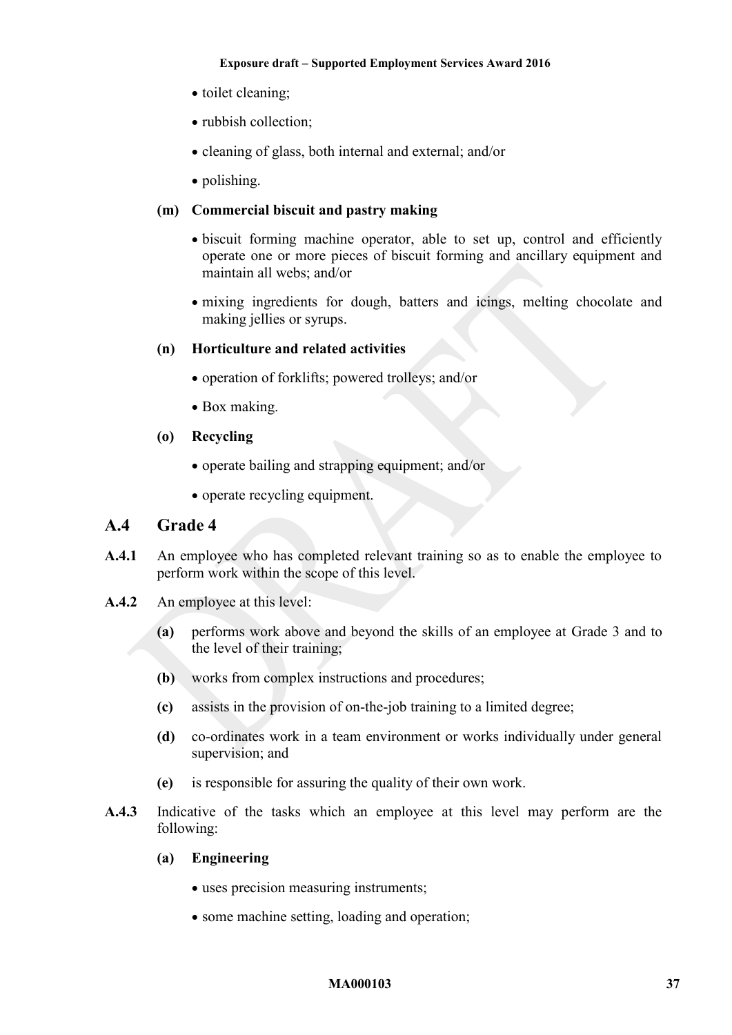- toilet cleaning;
- rubbish collection;
- cleaning of glass, both internal and external; and/or
- polishing.

### **(m) Commercial biscuit and pastry making**

- biscuit forming machine operator, able to set up, control and efficiently operate one or more pieces of biscuit forming and ancillary equipment and maintain all webs; and/or
- mixing ingredients for dough, batters and icings, melting chocolate and making jellies or syrups.

#### **(n) Horticulture and related activities**

- operation of forklifts; powered trolleys; and/or
- Box making.
- **(o) Recycling** 
	- operate bailing and strapping equipment; and/or
	- operate recycling equipment.

## **A.4 Grade 4**

- **A.4.1** An employee who has completed relevant training so as to enable the employee to perform work within the scope of this level.
- **A.4.2** An employee at this level:
	- **(a)** performs work above and beyond the skills of an employee at Grade 3 and to the level of their training;
	- **(b)** works from complex instructions and procedures;
	- **(c)** assists in the provision of on-the-job training to a limited degree;
	- **(d)** co-ordinates work in a team environment or works individually under general supervision; and
	- **(e)** is responsible for assuring the quality of their own work.
- **A.4.3** Indicative of the tasks which an employee at this level may perform are the following:
	- **(a) Engineering** 
		- uses precision measuring instruments;
		- some machine setting, loading and operation;

#### **MA000103 37**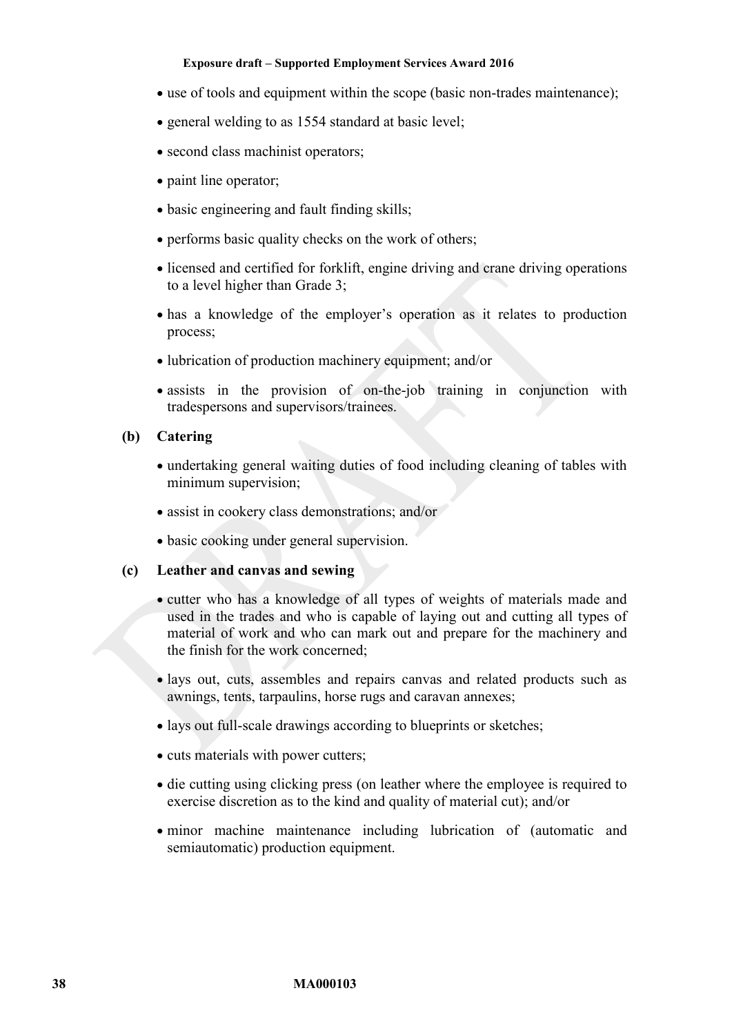- use of tools and equipment within the scope (basic non-trades maintenance);
- general welding to as 1554 standard at basic level;
- second class machinist operators:
- paint line operator;
- basic engineering and fault finding skills;
- performs basic quality checks on the work of others;
- licensed and certified for forklift, engine driving and crane driving operations to a level higher than Grade 3;
- has a knowledge of the employer's operation as it relates to production process;
- lubrication of production machinery equipment; and/or
- assists in the provision of on-the-job training in conjunction with tradespersons and supervisors/trainees.

#### **(b) Catering**

- undertaking general waiting duties of food including cleaning of tables with minimum supervision;
- assist in cookery class demonstrations; and/or
- basic cooking under general supervision.

#### **(c) Leather and canvas and sewing**

- cutter who has a knowledge of all types of weights of materials made and used in the trades and who is capable of laying out and cutting all types of material of work and who can mark out and prepare for the machinery and the finish for the work concerned;
- lays out, cuts, assembles and repairs canvas and related products such as awnings, tents, tarpaulins, horse rugs and caravan annexes;
- lays out full-scale drawings according to blueprints or sketches;
- cuts materials with power cutters;
- die cutting using clicking press (on leather where the employee is required to exercise discretion as to the kind and quality of material cut); and/or
- minor machine maintenance including lubrication of (automatic and semiautomatic) production equipment.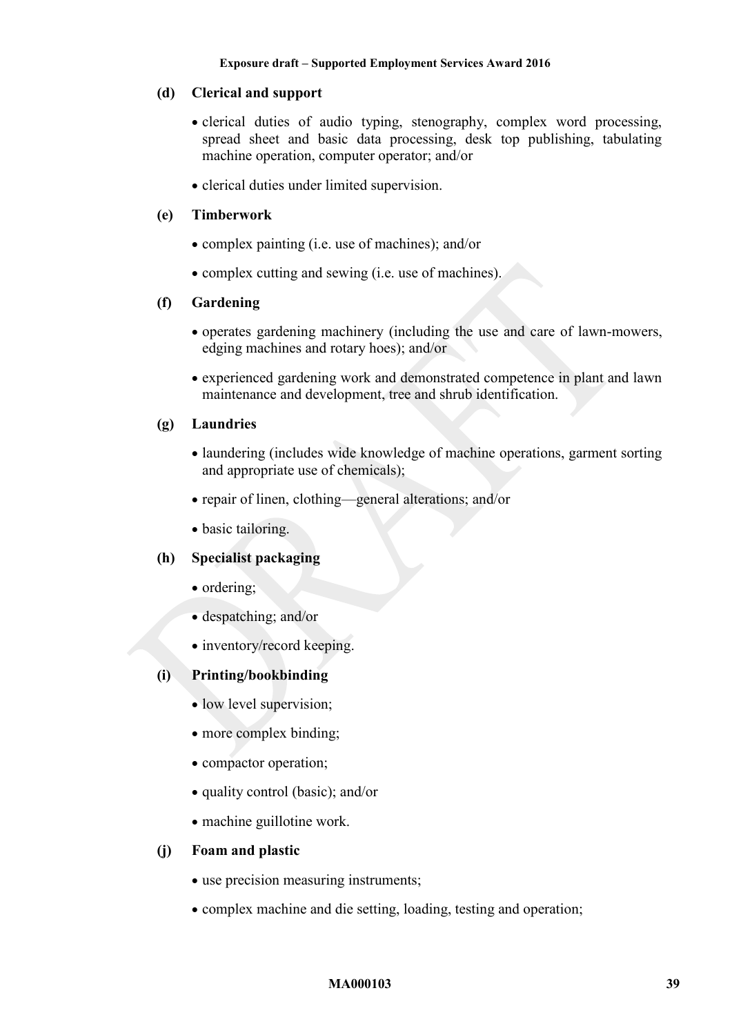## **(d) Clerical and support**

- clerical duties of audio typing, stenography, complex word processing, spread sheet and basic data processing, desk top publishing, tabulating machine operation, computer operator; and/or
- clerical duties under limited supervision.

### **(e) Timberwork**

- complex painting (i.e. use of machines); and/or
- complex cutting and sewing (i.e. use of machines).

## **(f) Gardening**

- operates gardening machinery (including the use and care of lawn-mowers, edging machines and rotary hoes); and/or
- experienced gardening work and demonstrated competence in plant and lawn maintenance and development, tree and shrub identification.

#### **(g) Laundries**

- laundering (includes wide knowledge of machine operations, garment sorting and appropriate use of chemicals);
- repair of linen, clothing—general alterations; and/or
- basic tailoring.

### **(h) Specialist packaging**

- ordering;
- despatching; and/or
- inventory/record keeping.

## **(i) Printing/bookbinding**

- low level supervision;
- more complex binding;
- compactor operation;
- quality control (basic); and/or
- machine guillotine work.

#### **(j) Foam and plastic**

- use precision measuring instruments;
- complex machine and die setting, loading, testing and operation;

#### **MA000103 39**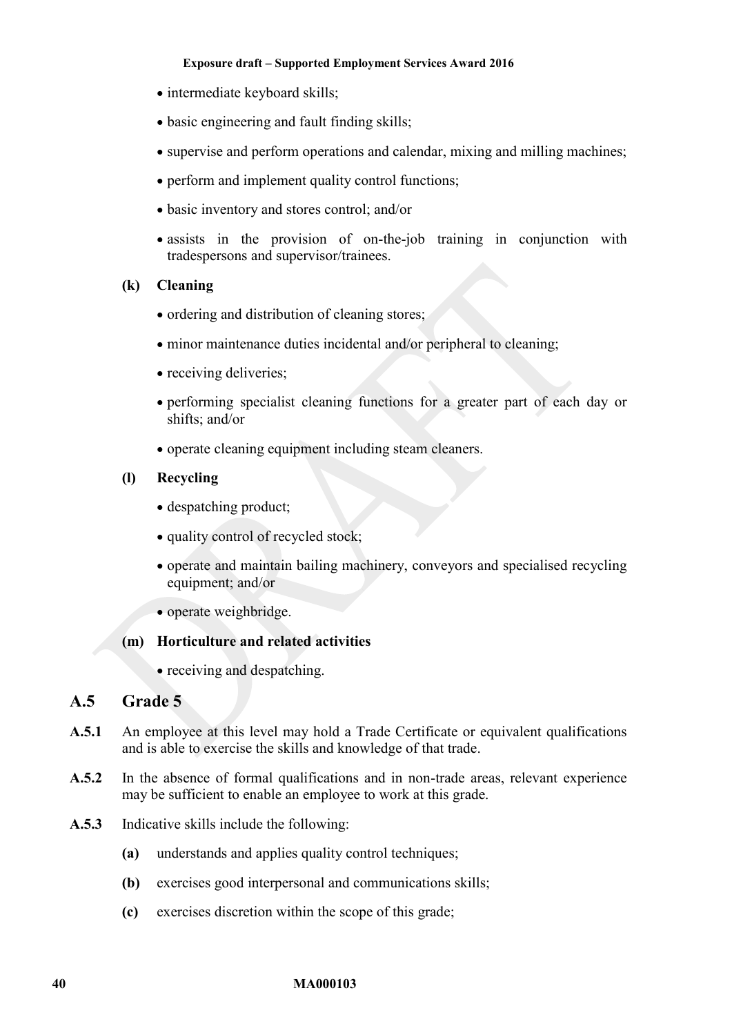- intermediate keyboard skills;
- basic engineering and fault finding skills;
- supervise and perform operations and calendar, mixing and milling machines;
- perform and implement quality control functions;
- basic inventory and stores control; and/or
- assists in the provision of on-the-job training in conjunction with tradespersons and supervisor/trainees.
- **(k) Cleaning** 
	- ordering and distribution of cleaning stores;
	- minor maintenance duties incidental and/or peripheral to cleaning;
	- receiving deliveries;
	- performing specialist cleaning functions for a greater part of each day or shifts; and/or
	- operate cleaning equipment including steam cleaners.

## **(l) Recycling**

- despatching product:
- quality control of recycled stock;
- operate and maintain bailing machinery, conveyors and specialised recycling equipment; and/or
- operate weighbridge.

#### **(m) Horticulture and related activities**

• receiving and despatching.

# **A.5 Grade 5**

- **A.5.1** An employee at this level may hold a Trade Certificate or equivalent qualifications and is able to exercise the skills and knowledge of that trade.
- **A.5.2** In the absence of formal qualifications and in non-trade areas, relevant experience may be sufficient to enable an employee to work at this grade.
- **A.5.3** Indicative skills include the following:
	- **(a)** understands and applies quality control techniques;
	- **(b)** exercises good interpersonal and communications skills;
	- **(c)** exercises discretion within the scope of this grade;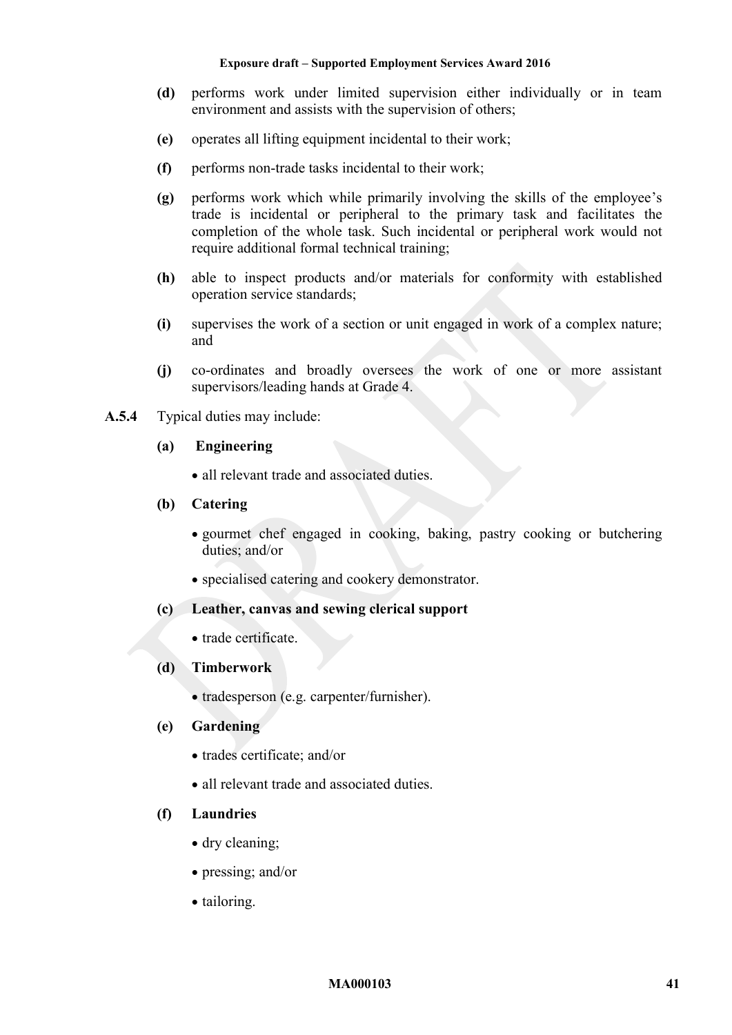- **(d)** performs work under limited supervision either individually or in team environment and assists with the supervision of others;
- **(e)** operates all lifting equipment incidental to their work;
- **(f)** performs non-trade tasks incidental to their work;
- **(g)** performs work which while primarily involving the skills of the employee's trade is incidental or peripheral to the primary task and facilitates the completion of the whole task. Such incidental or peripheral work would not require additional formal technical training;
- **(h)** able to inspect products and/or materials for conformity with established operation service standards;
- **(i)** supervises the work of a section or unit engaged in work of a complex nature; and
- **(j)** co-ordinates and broadly oversees the work of one or more assistant supervisors/leading hands at Grade 4.
- **A.5.4** Typical duties may include:
	- **(a) Engineering** 
		- all relevant trade and associated duties.

#### **(b) Catering**

- gourmet chef engaged in cooking, baking, pastry cooking or butchering duties; and/or
- specialised catering and cookery demonstrator.

### **(c) Leather, canvas and sewing clerical support**

• trade certificate.

#### **(d) Timberwork**

• tradesperson (e.g. carpenter/furnisher).

#### **(e) Gardening**

- trades certificate; and/or
- all relevant trade and associated duties.

### **(f) Laundries**

- dry cleaning;
- pressing; and/or
- tailoring.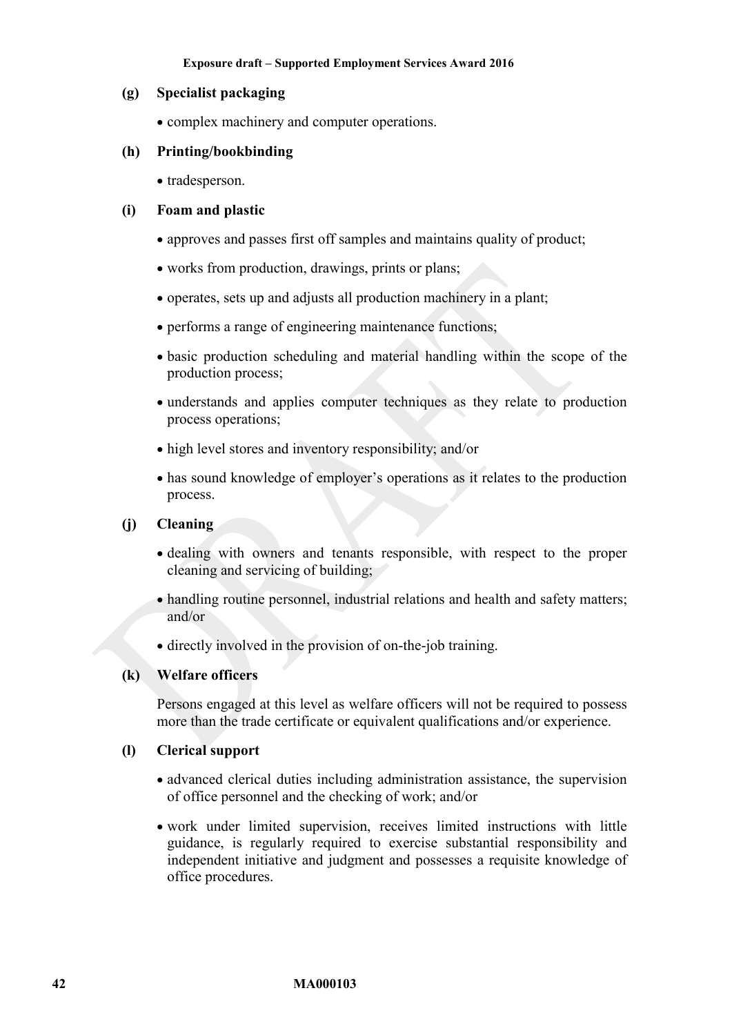### **(g) Specialist packaging**

• complex machinery and computer operations.

## **(h) Printing/bookbinding**

• tradesperson.

## **(i) Foam and plastic**

- approves and passes first off samples and maintains quality of product;
- works from production, drawings, prints or plans;
- operates, sets up and adjusts all production machinery in a plant;
- performs a range of engineering maintenance functions;
- basic production scheduling and material handling within the scope of the production process;
- understands and applies computer techniques as they relate to production process operations;
- high level stores and inventory responsibility; and/or
- has sound knowledge of employer's operations as it relates to the production process.

## **(j) Cleaning**

- dealing with owners and tenants responsible, with respect to the proper cleaning and servicing of building;
- handling routine personnel, industrial relations and health and safety matters; and/or
- directly involved in the provision of on-the-job training.

#### **(k) Welfare officers**

Persons engaged at this level as welfare officers will not be required to possess more than the trade certificate or equivalent qualifications and/or experience.

#### **(l) Clerical support**

- advanced clerical duties including administration assistance, the supervision of office personnel and the checking of work; and/or
- work under limited supervision, receives limited instructions with little guidance, is regularly required to exercise substantial responsibility and independent initiative and judgment and possesses a requisite knowledge of office procedures.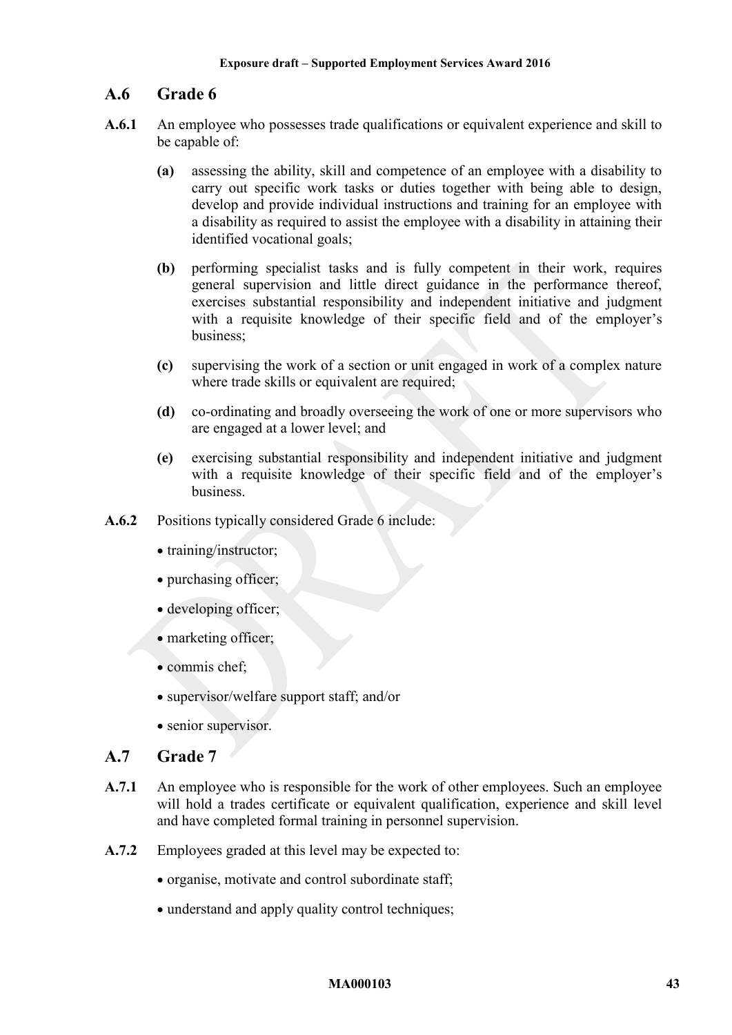# **A.6 Grade 6**

- **A.6.1** An employee who possesses trade qualifications or equivalent experience and skill to be capable of:
	- **(a)** assessing the ability, skill and competence of an employee with a disability to carry out specific work tasks or duties together with being able to design, develop and provide individual instructions and training for an employee with a disability as required to assist the employee with a disability in attaining their identified vocational goals;
	- **(b)** performing specialist tasks and is fully competent in their work, requires general supervision and little direct guidance in the performance thereof, exercises substantial responsibility and independent initiative and judgment with a requisite knowledge of their specific field and of the employer's business;
	- **(c)** supervising the work of a section or unit engaged in work of a complex nature where trade skills or equivalent are required;
	- **(d)** co-ordinating and broadly overseeing the work of one or more supervisors who are engaged at a lower level; and
	- **(e)** exercising substantial responsibility and independent initiative and judgment with a requisite knowledge of their specific field and of the employer's business.
- **A.6.2** Positions typically considered Grade 6 include:
	- training/instructor;
	- purchasing officer;
	- developing officer;
	- marketing officer;
	- commis chef:
	- supervisor/welfare support staff; and/or
	- senior supervisor.

# **A.7 Grade 7**

- A.7.1 An employee who is responsible for the work of other employees. Such an employee will hold a trades certificate or equivalent qualification, experience and skill level and have completed formal training in personnel supervision.
- **A.7.2** Employees graded at this level may be expected to:
	- organise, motivate and control subordinate staff;
	- understand and apply quality control techniques;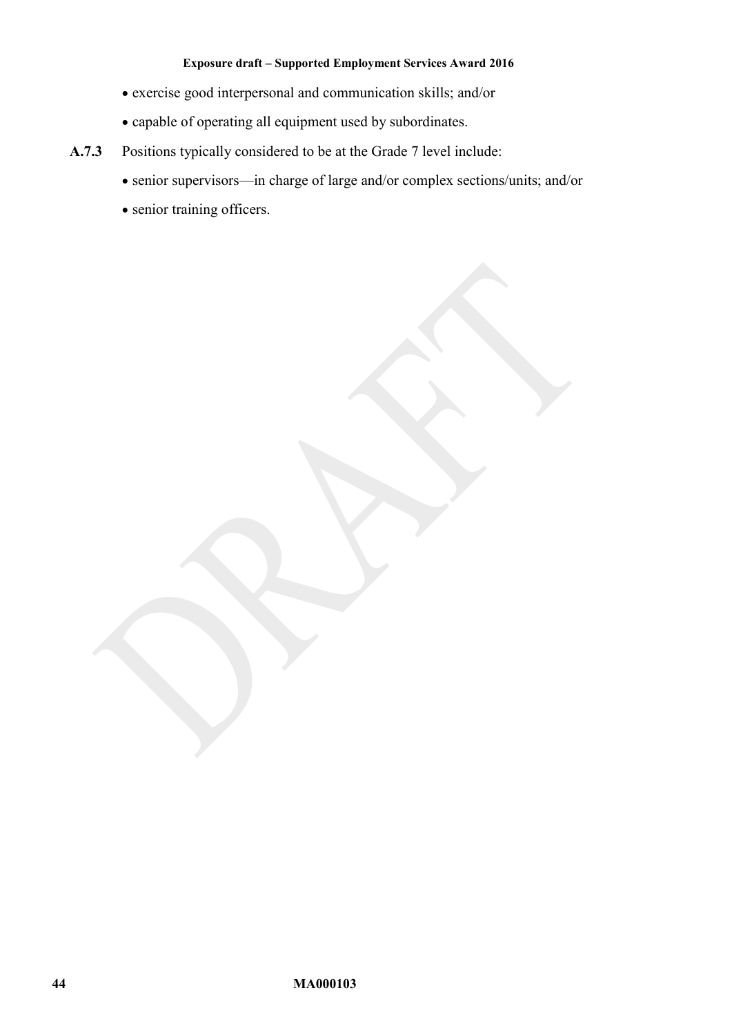- exercise good interpersonal and communication skills; and/or
- capable of operating all equipment used by subordinates.
- **A.7.3** Positions typically considered to be at the Grade 7 level include:
	- senior supervisors—in charge of large and/or complex sections/units; and/or
	- senior training officers.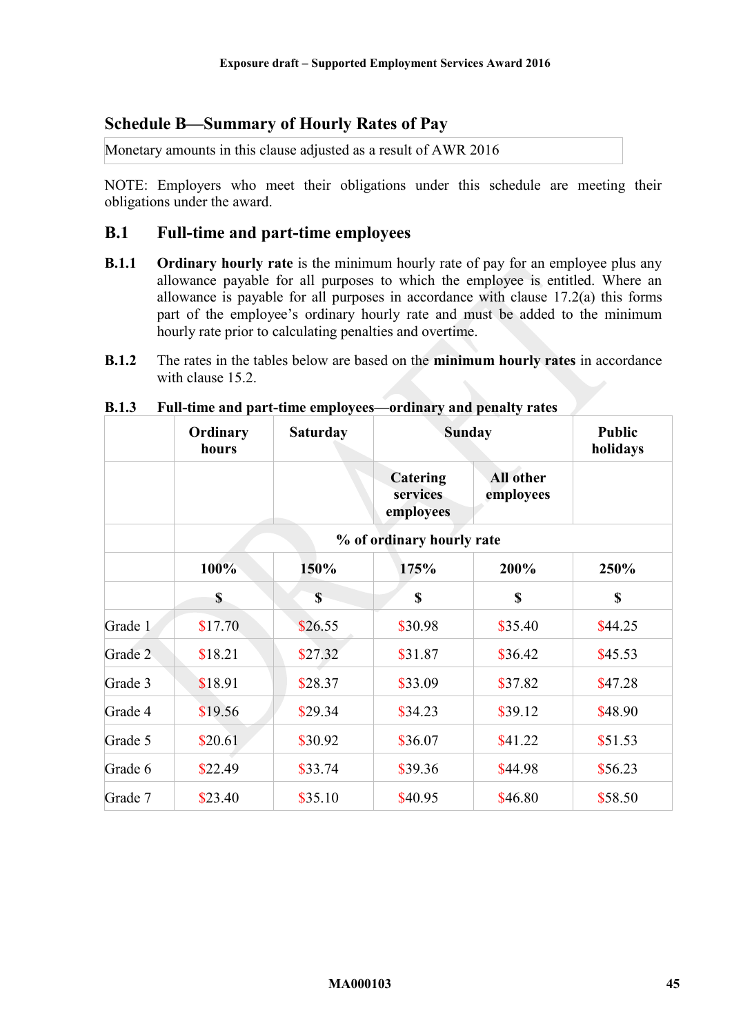# <span id="page-44-0"></span>**Schedule B—Summary of Hourly Rates of Pay**

Monetary amounts in this clause adjusted as a result of AWR 2016

NOTE: Employers who meet their obligations under this schedule are meeting their obligations under the award.

## **B.1 Full-time and part-time employees**

- **B.1.1 Ordinary hourly rate** is the minimum hourly rate of pay for an employee plus any allowance payable for all purposes to which the employee is entitled. Where an allowance is payable for all purposes in accordance with clause [17.2\(a\)](#page-15-2) this forms part of the employee's ordinary hourly rate and must be added to the minimum hourly rate prior to calculating penalties and overtime.
- **B.1.2** The rates in the tables below are based on the **minimum hourly rates** in accordance with clause [15.2.](#page-10-1)

|         | Ordinary<br>hours | <b>Saturday</b> | <b>Sunday</b><br><b>Public</b><br>holidays |                        |             |
|---------|-------------------|-----------------|--------------------------------------------|------------------------|-------------|
|         |                   |                 | Catering<br>services<br>employees          | All other<br>employees |             |
|         |                   |                 | % of ordinary hourly rate                  |                        |             |
|         | 100%              | 150%            | 175%                                       | 200%                   | 250%        |
|         | $\mathbf S$       | $\mathbf S$     | $\mathbf S$                                | $\mathbf S$            | $\mathbf S$ |
| Grade 1 | \$17.70           | \$26.55         | \$30.98                                    | \$35.40                | \$44.25     |
| Grade 2 | \$18.21           | \$27.32         | \$31.87                                    | \$36.42                | \$45.53     |
| Grade 3 | \$18.91           | \$28.37         | \$33.09                                    | \$37.82                | \$47.28     |
| Grade 4 | \$19.56           | \$29.34         | \$34.23                                    | \$39.12                | \$48.90     |
| Grade 5 | \$20.61           | \$30.92         | \$36.07                                    | \$41.22                | \$51.53     |
| Grade 6 | \$22.49           | \$33.74         | \$39.36                                    | \$44.98                | \$56.23     |
| Grade 7 | \$23.40           | \$35.10         | \$40.95                                    | \$46.80                | \$58.50     |

#### **B.1.3 Full-time and part-time employees—ordinary and penalty rates**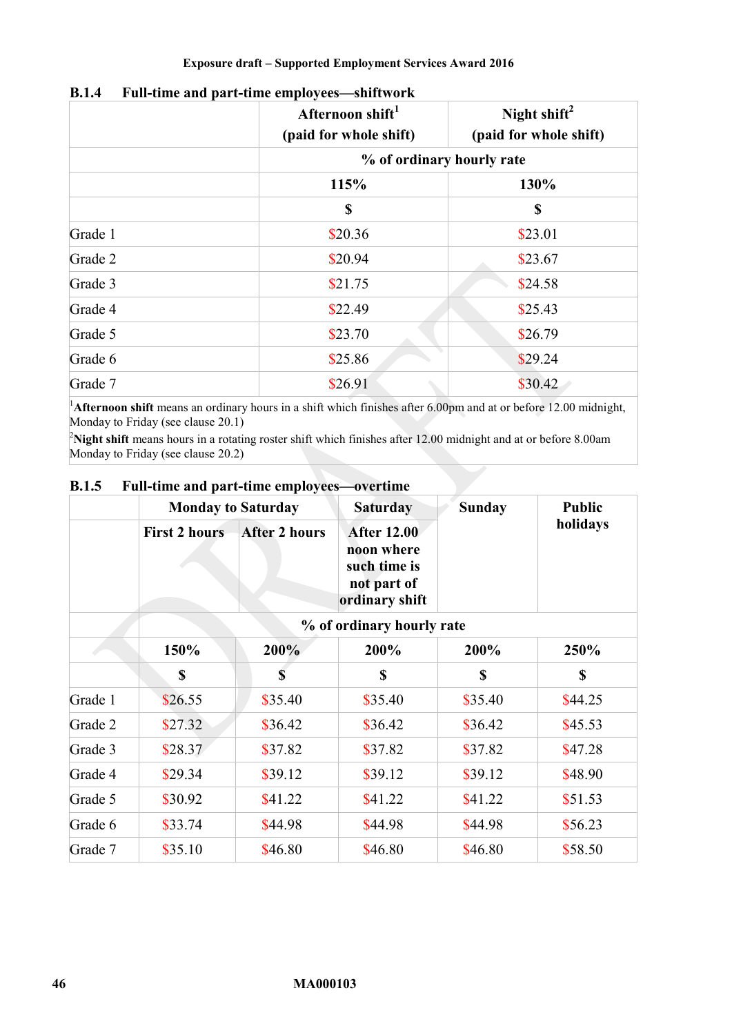|         | Afternoon shift <sup>1</sup><br>(paid for whole shift) | Night shift <sup>2</sup><br>(paid for whole shift) |
|---------|--------------------------------------------------------|----------------------------------------------------|
|         |                                                        | % of ordinary hourly rate                          |
|         | 115%                                                   | 130%                                               |
|         | S                                                      | \$                                                 |
| Grade 1 | \$20.36                                                | \$23.01                                            |
| Grade 2 | \$20.94                                                | \$23.67                                            |
| Grade 3 | \$21.75                                                | \$24.58                                            |
| Grade 4 | \$22.49                                                | \$25.43                                            |
| Grade 5 | \$23.70                                                | \$26.79                                            |
| Grade 6 | \$25.86                                                | \$29.24                                            |
| Grade 7 | \$26.91                                                | \$30.42                                            |

## **B.1.4 Full-time and part-time employees—shiftwork**

<sup>1</sup>Afternoon shift means an ordinary hours in a shift which finishes after 6.00pm and at or before 12.00 midnight, Monday to Friday (see clause [20.1\)](#page-20-4)

<sup>2</sup>Night shift means hours in a rotating roster shift which finishes after 12.00 midnight and at or before 8.00am Monday to Friday (see clause [20.2\)](#page-20-5)

|         | <b>Monday to Saturday</b> |                      | <b>Saturday</b>                                                                   |          | <b>Public</b> |
|---------|---------------------------|----------------------|-----------------------------------------------------------------------------------|----------|---------------|
|         | <b>First 2 hours</b>      | <b>After 2 hours</b> | <b>After 12.00</b><br>noon where<br>such time is<br>not part of<br>ordinary shift |          | holidays      |
|         |                           |                      | % of ordinary hourly rate                                                         |          |               |
|         | 150%                      | 200%                 | 200%                                                                              | 200%     | 250%          |
|         | \$                        | S                    | \$                                                                                | <b>S</b> | <b>S</b>      |
| Grade 1 | \$26.55                   | \$35.40              | \$35.40                                                                           | \$35.40  | \$44.25       |
| Grade 2 | \$27.32                   | \$36.42              | \$36.42                                                                           | \$36.42  | \$45.53       |
| Grade 3 | \$28.37                   | \$37.82              | \$37.82                                                                           | \$37.82  | \$47.28       |
| Grade 4 | \$29.34                   | \$39.12              | \$39.12                                                                           | \$39.12  | \$48.90       |
| Grade 5 | \$30.92                   | \$41.22              | \$41.22                                                                           | \$41.22  | \$51.53       |
| Grade 6 | \$33.74                   | \$44.98              | \$44.98                                                                           | \$44.98  | \$56.23       |
| Grade 7 | \$35.10                   | \$46.80              | \$46.80                                                                           | \$46.80  | \$58.50       |

## **B.1.5 Full-time and part-time employees—overtime**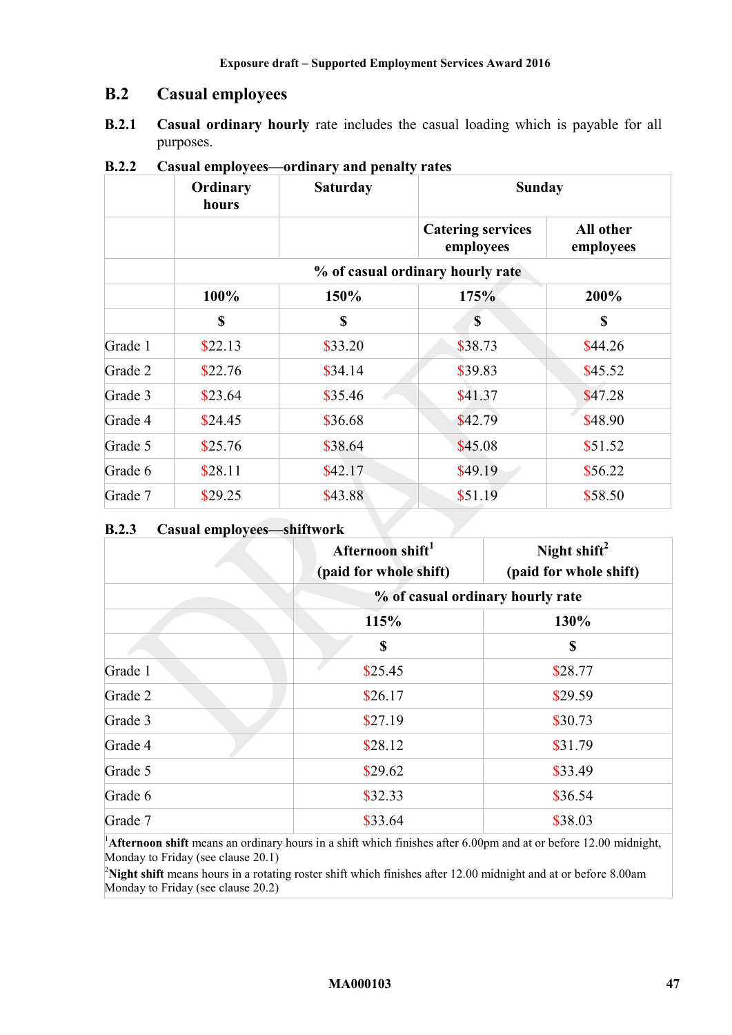# **B.2 Casual employees**

**B.2.1 Casual ordinary hourly** rate includes the casual loading which is payable for all purposes.

|         | Ordinary<br>hours | <b>Saturday</b> | <b>Sunday</b>                         |                        |
|---------|-------------------|-----------------|---------------------------------------|------------------------|
|         |                   |                 | <b>Catering services</b><br>employees | All other<br>employees |
|         |                   |                 | % of casual ordinary hourly rate      |                        |
|         | 100%              | 150%            | 175%                                  | 200%                   |
|         | \$                | \$              | $\mathbf S$                           | \$                     |
| Grade 1 | \$22.13           | \$33.20         | \$38.73                               | \$44.26                |
| Grade 2 | \$22.76           | \$34.14         | \$39.83                               | \$45.52                |
| Grade 3 | \$23.64           | \$35.46         | \$41.37                               | \$47.28                |
| Grade 4 | \$24.45           | \$36.68         | \$42.79                               | \$48.90                |
| Grade 5 | \$25.76           | \$38.64         | \$45.08                               | \$51.52                |
| Grade 6 | \$28.11           | \$42.17         | \$49.19                               | \$56.22                |
| Grade 7 | \$29.25           | \$43.88         | \$51.19                               | \$58.50                |

**B.2.2 Casual employees—ordinary and penalty rates** 

## **B.2.3 Casual employees—shiftwork**

|         | Afternoon shift <sup>1</sup><br>(paid for whole shift) | Night shift <sup>2</sup><br>(paid for whole shift) |
|---------|--------------------------------------------------------|----------------------------------------------------|
|         |                                                        | % of casual ordinary hourly rate                   |
|         | 115%                                                   | 130%                                               |
|         | \$                                                     | \$                                                 |
| Grade 1 | \$25.45                                                | \$28.77                                            |
| Grade 2 | \$26.17                                                | \$29.59                                            |
| Grade 3 | \$27.19                                                | \$30.73                                            |
| Grade 4 | \$28.12                                                | \$31.79                                            |
| Grade 5 | \$29.62                                                | \$33.49                                            |
| Grade 6 | \$32.33                                                | \$36.54                                            |
| Grade 7 | \$33.64                                                | \$38.03                                            |

<sup>1</sup>Afternoon shift means an ordinary hours in a shift which finishes after 6.00pm and at or before 12.00 midnight, Monday to Friday (see clause [20.1\)](#page-20-4)

<sup>2</sup>Night shift means hours in a rotating roster shift which finishes after 12.00 midnight and at or before 8.00am Monday to Friday (see clause [20.2\)](#page-20-5)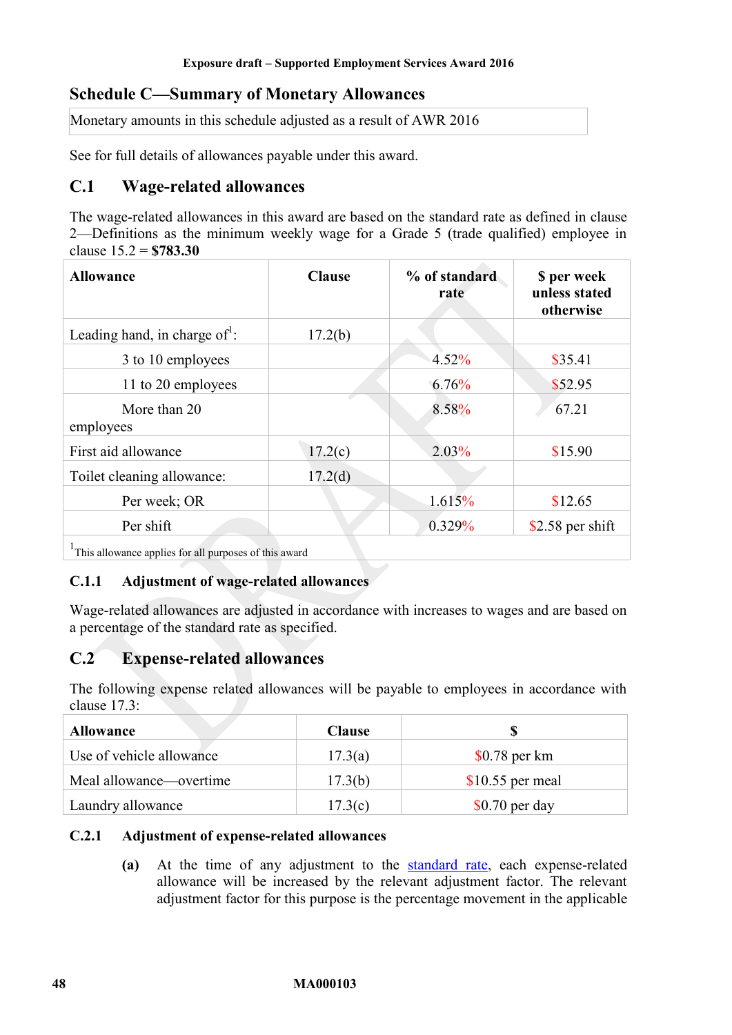# <span id="page-47-0"></span>**Schedule C—Summary of Monetary Allowances**

Monetary amounts in this schedule adjusted as a result of AWR 2016

See for full details of allowances payable under this award.

# **C.1 Wage-related allowances**

The wage-related allowances in this award are based on the standard rate as defined in clause [2—Definitions](#page-3-2) as the minimum weekly wage for a Grade 5 (trade qualified) employee in clause [15.2](#page-10-1) = **\$783.30** 

| <b>Allowance</b>                  | <b>Clause</b> | % of standard<br>rate | \$ per week<br>unless stated<br>otherwise |
|-----------------------------------|---------------|-----------------------|-------------------------------------------|
| Leading hand, in charge of $^1$ : | 17.2(b)       |                       |                                           |
| 3 to 10 employees                 |               | 4.52%                 | \$35.41                                   |
| 11 to 20 employees                |               | 6.76%                 | \$52.95                                   |
| More than 20<br>employees         |               | 8.58%                 | 67.21                                     |
| First aid allowance               | 17.2(c)       | 2.03%                 | \$15.90                                   |
| Toilet cleaning allowance:        | 17.2(d)       |                       |                                           |
| Per week; OR                      |               | 1.615%                | \$12.65                                   |
| Per shift                         |               | 0.329%                | $$2.58$ per shift                         |
| $1000 \pm 0.01$<br>$0.1$ .        |               |                       |                                           |

<sup>1</sup>This allowance applies for all purposes of this award

#### **C.1.1 Adjustment of wage-related allowances**

Wage-related allowances are adjusted in accordance with increases to wages and are based on a percentage of the standard rate as specified.

# **C.2 Expense-related allowances**

The following expense related allowances will be payable to employees in accordance with clause [17.3:](#page-16-3)

| <b>Allowance</b>         | <b>Clause</b> |                   |
|--------------------------|---------------|-------------------|
| Use of vehicle allowance | 17.3(a)       | $$0.78$ per km    |
| Meal allowance—overtime  | 17.3(b)       | $$10.55$ per meal |
| Laundry allowance        | 17.3(c)       | $$0.70$ per day   |

#### **C.2.1 Adjustment of expense-related allowances**

**(a)** At the time of any adjustment to the [standard rate,](#page-4-4) each expense-related allowance will be increased by the relevant adjustment factor. The relevant adjustment factor for this purpose is the percentage movement in the applicable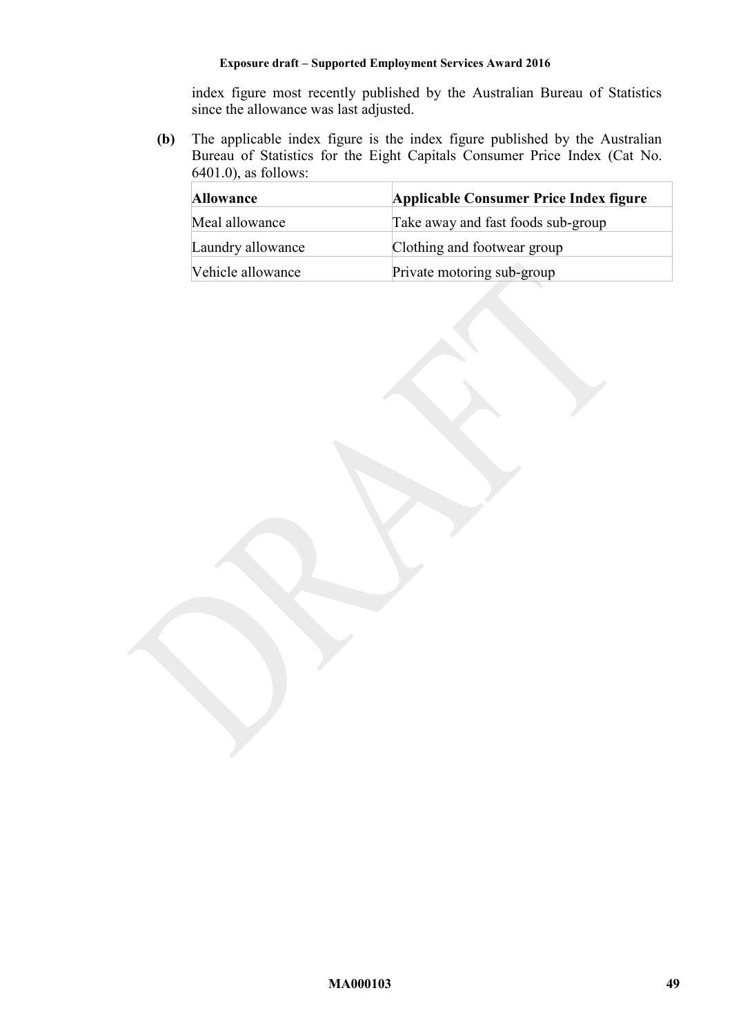index figure most recently published by the Australian Bureau of Statistics since the allowance was last adjusted.

**(b)** The applicable index figure is the index figure published by the Australian Bureau of Statistics for the Eight Capitals Consumer Price Index (Cat No. 6401.0), as follows:

| <b>Allowance</b>  | Applicable Consumer Price Index figure |
|-------------------|----------------------------------------|
| Meal allowance    | Take away and fast foods sub-group     |
| Laundry allowance | Clothing and footwear group            |
| Vehicle allowance | Private motoring sub-group             |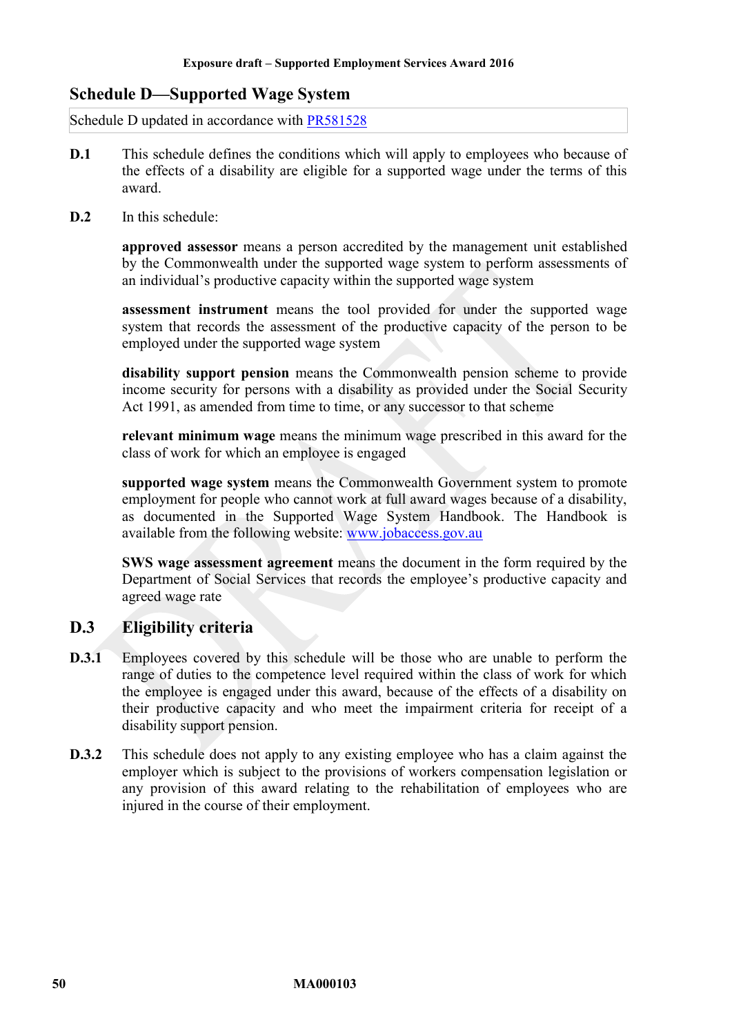# <span id="page-49-0"></span>**Schedule D—Supported Wage System**

Schedule D updated in accordance with [PR581528](http://www.fwc.gov.au/awardsandorders/html/pr581528.htm)

- **D.1** This schedule defines the conditions which will apply to employees who because of the effects of a disability are eligible for a supported wage under the terms of this award.
- **D.2** In this schedule:

**approved assessor** means a person accredited by the management unit established by the Commonwealth under the supported wage system to perform assessments of an individual's productive capacity within the supported wage system

**assessment instrument** means the tool provided for under the supported wage system that records the assessment of the productive capacity of the person to be employed under the supported wage system

**disability support pension** means the Commonwealth pension scheme to provide income security for persons with a disability as provided under the Social Security Act 1991, as amended from time to time, or any successor to that scheme

**relevant minimum wage** means the minimum wage prescribed in this award for the class of work for which an employee is engaged

**supported wage system** means the Commonwealth Government system to promote employment for people who cannot work at full award wages because of a disability, as documented in the Supported Wage System Handbook. The Handbook is available from the following website: [www.jobaccess.gov.au](http://www.jobaccess.gov.au/)

**SWS wage assessment agreement** means the document in the form required by the Department of Social Services that records the employee's productive capacity and agreed wage rate

# **D.3 Eligibility criteria**

- **D.3.1** Employees covered by this schedule will be those who are unable to perform the range of duties to the competence level required within the class of work for which the employee is engaged under this award, because of the effects of a disability on their productive capacity and who meet the impairment criteria for receipt of a disability support pension.
- **D.3.2** This schedule does not apply to any existing employee who has a claim against the employer which is subject to the provisions of workers compensation legislation or any provision of this award relating to the rehabilitation of employees who are injured in the course of their employment.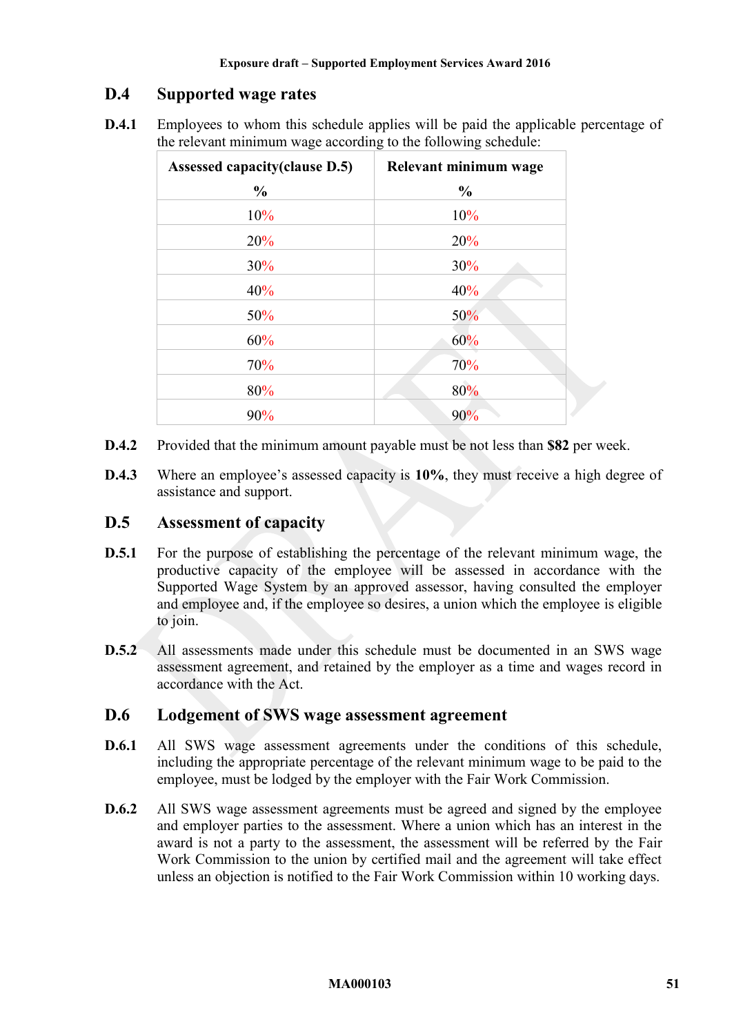# **D.4 Supported wage rates**

**D.4.1** Employees to whom this schedule applies will be paid the applicable percentage of the relevant minimum wage according to the following schedule:

| Assessed capacity (clause D.5) | Relevant minimum wage |
|--------------------------------|-----------------------|
| $\frac{0}{0}$                  | $\frac{0}{0}$         |
| 10%                            | 10%                   |
| 20%                            | 20%                   |
| 30%                            | 30%                   |
| 40%                            | 40%                   |
| 50%                            | 50%                   |
| 60%                            | 60%                   |
| 70%                            | 70%                   |
| 80%                            | 80%                   |
| 90%                            | 90%                   |

- **D.4.2** Provided that the minimum amount payable must be not less than **\$82** per week.
- **D.4.3** Where an employee's assessed capacity is **10%**, they must receive a high degree of assistance and support.

# <span id="page-50-0"></span>**D.5 Assessment of capacity**

- **D.5.1** For the purpose of establishing the percentage of the relevant minimum wage, the productive capacity of the employee will be assessed in accordance with the Supported Wage System by an approved assessor, having consulted the employer and employee and, if the employee so desires, a union which the employee is eligible to join.
- **D.5.2** All assessments made under this schedule must be documented in an SWS wage assessment agreement, and retained by the employer as a time and wages record in accordance with the Act.

# **D.6 Lodgement of SWS wage assessment agreement**

- **D.6.1** All SWS wage assessment agreements under the conditions of this schedule, including the appropriate percentage of the relevant minimum wage to be paid to the employee, must be lodged by the employer with the Fair Work Commission.
- **D.6.2** All SWS wage assessment agreements must be agreed and signed by the employee and employer parties to the assessment. Where a union which has an interest in the award is not a party to the assessment, the assessment will be referred by the Fair Work Commission to the union by certified mail and the agreement will take effect unless an objection is notified to the Fair Work Commission within 10 working days.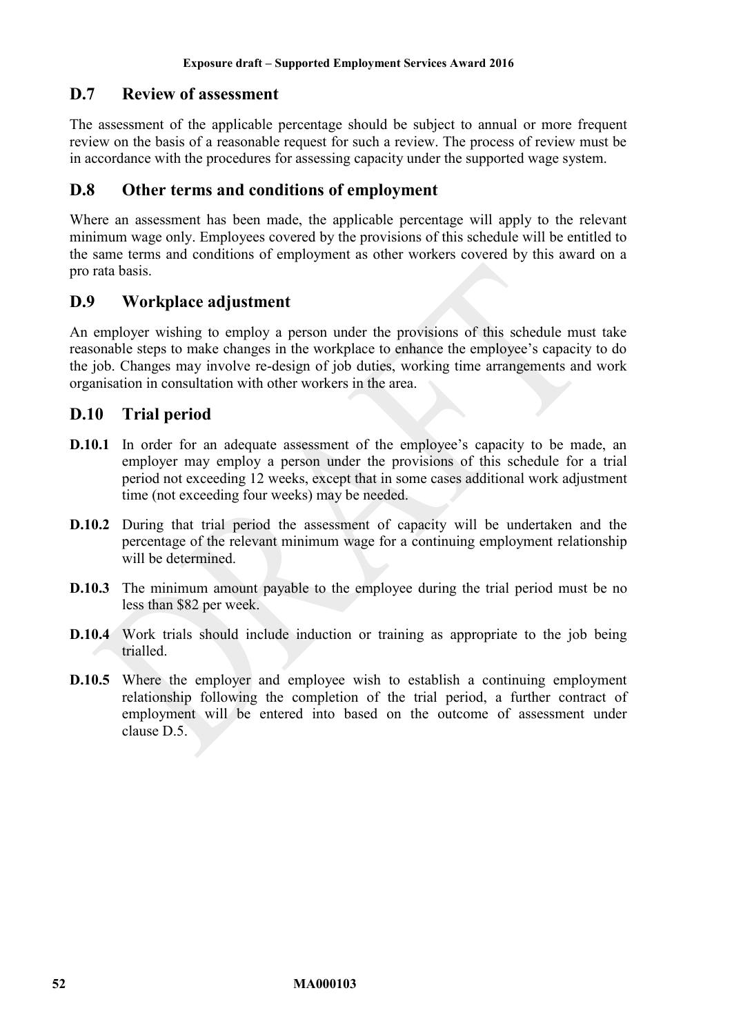# **D.7 Review of assessment**

The assessment of the applicable percentage should be subject to annual or more frequent review on the basis of a reasonable request for such a review. The process of review must be in accordance with the procedures for assessing capacity under the supported wage system.

## **D.8 Other terms and conditions of employment**

Where an assessment has been made, the applicable percentage will apply to the relevant minimum wage only. Employees covered by the provisions of this schedule will be entitled to the same terms and conditions of employment as other workers covered by this award on a pro rata basis.

# **D.9 Workplace adjustment**

An employer wishing to employ a person under the provisions of this schedule must take reasonable steps to make changes in the workplace to enhance the employee's capacity to do the job. Changes may involve re-design of job duties, working time arrangements and work organisation in consultation with other workers in the area.

# **D.10 Trial period**

- **D.10.1** In order for an adequate assessment of the employee's capacity to be made, an employer may employ a person under the provisions of this schedule for a trial period not exceeding 12 weeks, except that in some cases additional work adjustment time (not exceeding four weeks) may be needed.
- **D.10.2** During that trial period the assessment of capacity will be undertaken and the percentage of the relevant minimum wage for a continuing employment relationship will be determined.
- **D.10.3** The minimum amount payable to the employee during the trial period must be no less than \$82 per week.
- **D.10.4** Work trials should include induction or training as appropriate to the job being trialled.
- **D.10.5** Where the employer and employee wish to establish a continuing employment relationship following the completion of the trial period, a further contract of employment will be entered into based on the outcome of assessment under clause [D.5.](#page-50-0)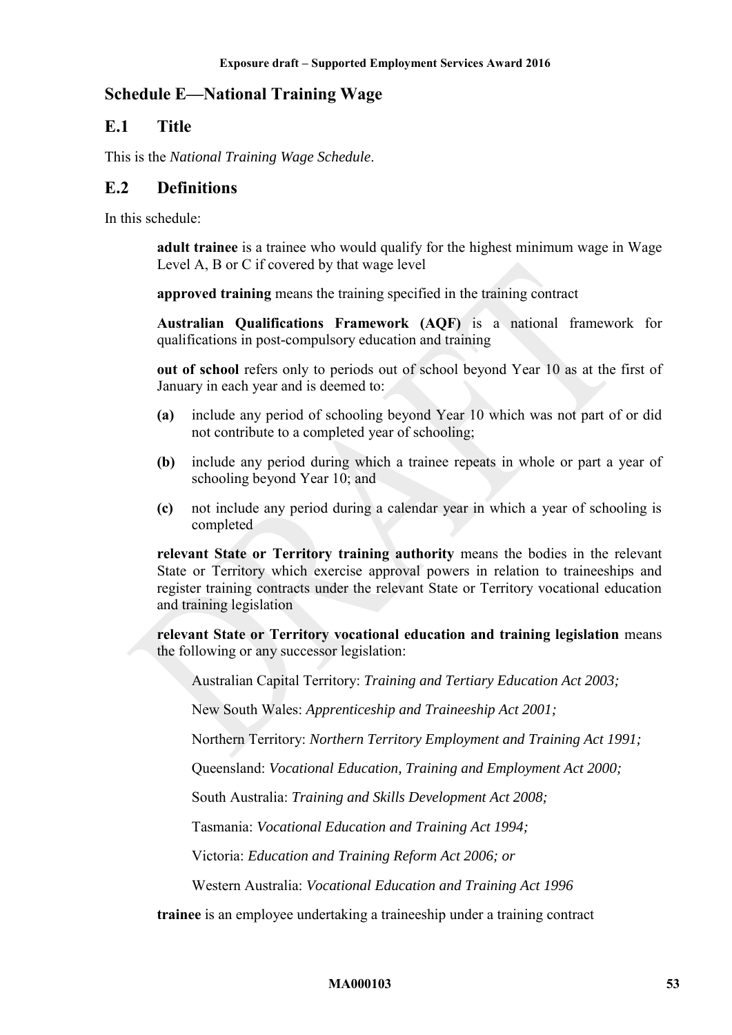# <span id="page-52-0"></span>**Schedule E—National Training Wage**

# **E.1 Title**

This is the *National Training Wage Schedule*.

## **E.2 Definitions**

In this schedule:

**adult trainee** is a trainee who would qualify for the highest minimum wage in Wage Level A, B or C if covered by that wage level

**approved training** means the training specified in the training contract

**Australian Qualifications Framework (AQF)** is a national framework for qualifications in post-compulsory education and training

**out of school** refers only to periods out of school beyond Year 10 as at the first of January in each year and is deemed to:

- **(a)** include any period of schooling beyond Year 10 which was not part of or did not contribute to a completed year of schooling;
- **(b)** include any period during which a trainee repeats in whole or part a year of schooling beyond Year 10; and
- **(c)** not include any period during a calendar year in which a year of schooling is completed

**relevant State or Territory training authority** means the bodies in the relevant State or Territory which exercise approval powers in relation to traineeships and register training contracts under the relevant State or Territory vocational education and training legislation

**relevant State or Territory vocational education and training legislation** means the following or any successor legislation:

Australian Capital Territory: *Training and Tertiary Education Act 2003;*

New South Wales: *Apprenticeship and Traineeship Act 2001;*

Northern Territory: *Northern Territory Employment and Training Act 1991;*

Queensland: *Vocational Education, Training and Employment Act 2000;*

South Australia: *Training and Skills Development Act 2008;*

Tasmania: *Vocational Education and Training Act 1994;*

Victoria: *Education and Training Reform Act 2006; or*

Western Australia: *Vocational Education and Training Act 1996*

**trainee** is an employee undertaking a traineeship under a training contract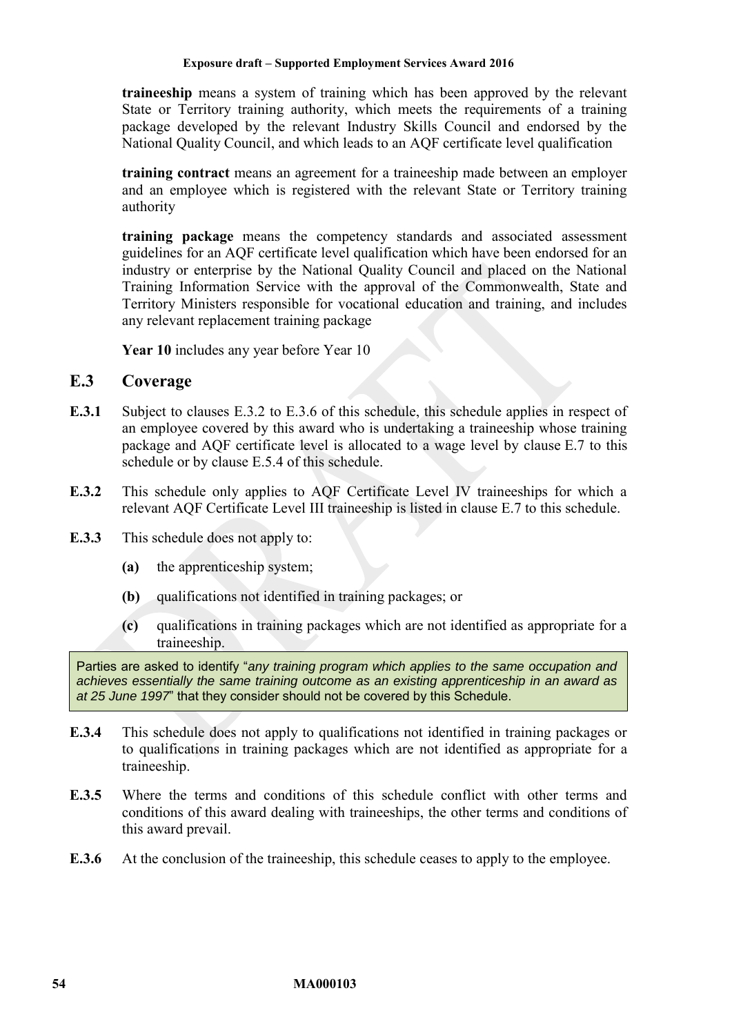**traineeship** means a system of training which has been approved by the relevant State or Territory training authority, which meets the requirements of a training package developed by the relevant Industry Skills Council and endorsed by the National Quality Council, and which leads to an AQF certificate level qualification

**training contract** means an agreement for a traineeship made between an employer and an employee which is registered with the relevant State or Territory training authority

**training package** means the competency standards and associated assessment guidelines for an AQF certificate level qualification which have been endorsed for an industry or enterprise by the National Quality Council and placed on the National Training Information Service with the approval of the Commonwealth, State and Territory Ministers responsible for vocational education and training, and includes any relevant replacement training package

Year 10 includes any year before Year 10

## **E.3 Coverage**

- **E.3.1** Subject to clauses [E.3.2](#page-53-0) to [E.3.6](#page-53-1) of this schedule, this schedule applies in respect of an employee covered by this award who is undertaking a traineeship whose training package and AQF certificate level is allocated to a wage level by clause [E.7](#page-59-0) to this schedule or by clause [E.5.4](#page-59-1) of this schedule.
- <span id="page-53-0"></span>**E.3.2** This schedule only applies to AQF Certificate Level IV traineeships for which a relevant AQF Certificate Level III traineeship is listed in clause [E.7](#page-59-0) to this schedule.
- **E.3.3** This schedule does not apply to:
	- **(a)** the apprenticeship system;
	- **(b)** qualifications not identified in training packages; or
	- **(c)** qualifications in training packages which are not identified as appropriate for a traineeship.

Parties are asked to identify "*any training program which applies to the same occupation and achieves essentially the same training outcome as an existing apprenticeship in an award as at 25 June 1997*" that they consider should not be covered by this Schedule.

- **E.3.4** This schedule does not apply to qualifications not identified in training packages or to qualifications in training packages which are not identified as appropriate for a traineeship.
- <span id="page-53-2"></span>**E.3.5** Where the terms and conditions of this schedule conflict with other terms and conditions of this award dealing with traineeships, the other terms and conditions of this award prevail.
- <span id="page-53-1"></span>**E.3.6** At the conclusion of the traineeship, this schedule ceases to apply to the employee.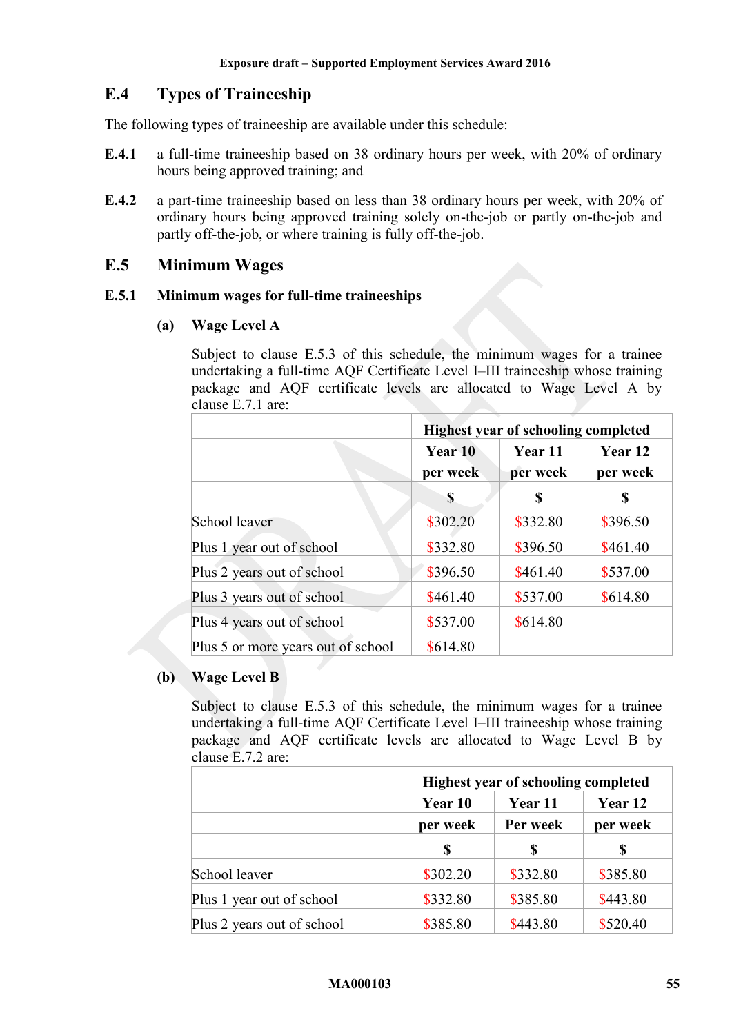# **E.4 Types of Traineeship**

The following types of traineeship are available under this schedule:

- **E.4.1** a full-time traineeship based on 38 ordinary hours per week, with 20% of ordinary hours being approved training; and
- **E.4.2** a part-time traineeship based on less than 38 ordinary hours per week, with 20% of ordinary hours being approved training solely on-the-job or partly on-the-job and partly off-the-job, or where training is fully off-the-job.

# **E.5 Minimum Wages**

#### **E.5.1 Minimum wages for full-time traineeships**

## **(a) Wage Level A**

Subject to clause [E.5.3](#page-58-0) of this schedule, the minimum wages for a trainee undertaking a full-time AQF Certificate Level I–III traineeship whose training package and AQF certificate levels are allocated to Wage Level A by clause [E.7.1](#page-59-2) are:

|                                    | <b>Highest year of schooling completed</b> |                     |                     |
|------------------------------------|--------------------------------------------|---------------------|---------------------|
|                                    | Year 10                                    | Year 11<br>per week | Year 12<br>per week |
|                                    | per week                                   |                     |                     |
|                                    | S                                          | \$                  | S                   |
| School leaver                      | \$302.20                                   | \$332.80            | \$396.50            |
| Plus 1 year out of school          | \$332.80                                   | \$396.50            | \$461.40            |
| Plus 2 years out of school         | \$396.50                                   | \$461.40            | \$537.00            |
| Plus 3 years out of school         | \$461.40                                   | \$537.00            | \$614.80            |
| Plus 4 years out of school         | \$537.00                                   | \$614.80            |                     |
| Plus 5 or more years out of school | \$614.80                                   |                     |                     |

## **(b) Wage Level B**

Subject to clause [E.5.3](#page-58-0) of this schedule, the minimum wages for a trainee undertaking a full-time AQF Certificate Level I–III traineeship whose training package and AQF certificate levels are allocated to Wage Level B by clause [E.7.2](#page-61-0) are:

|                            | <b>Highest year of schooling completed</b> |                     |                     |
|----------------------------|--------------------------------------------|---------------------|---------------------|
|                            | Year 10<br>per week                        | Year 11<br>Per week | Year 12<br>per week |
|                            |                                            |                     |                     |
|                            | S                                          | S                   | S                   |
| School leaver              | \$302.20                                   | \$332.80            | \$385.80            |
| Plus 1 year out of school  | \$332.80                                   | \$385.80            | \$443.80            |
| Plus 2 years out of school | \$385.80                                   | \$443.80            | \$520.40            |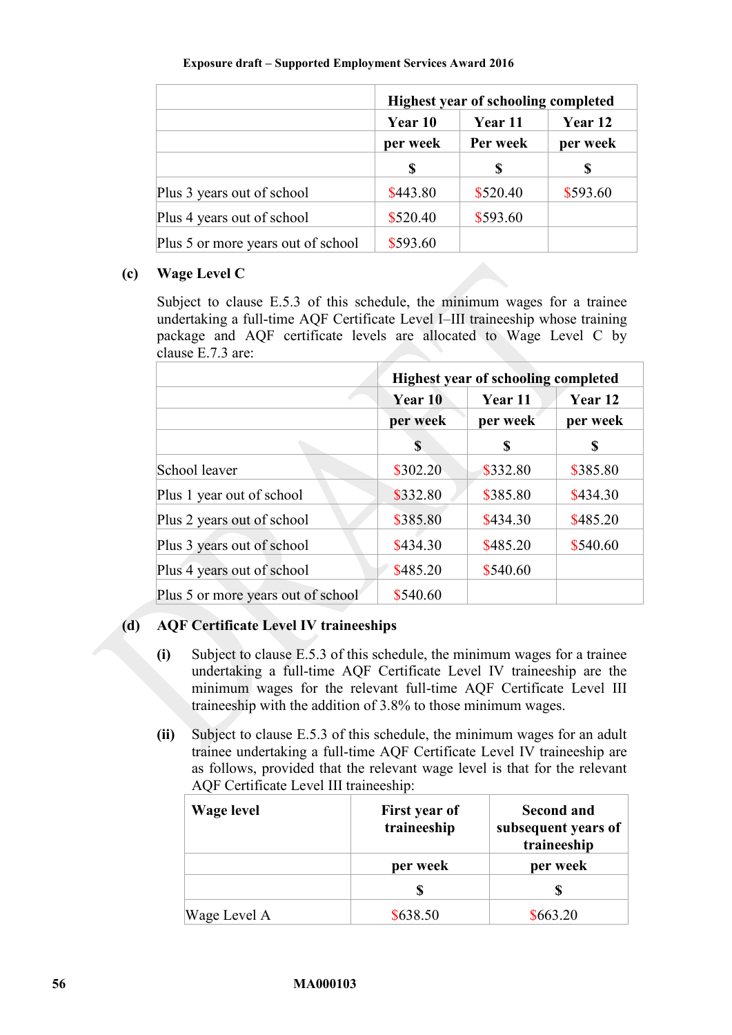|                                    | <b>Highest year of schooling completed</b> |                          |                     |
|------------------------------------|--------------------------------------------|--------------------------|---------------------|
|                                    | Year 10<br>per week<br>S                   | Year 11<br>Per week<br>S | Year 12<br>per week |
|                                    |                                            |                          |                     |
|                                    |                                            |                          |                     |
| Plus 3 years out of school         | \$443.80                                   | \$520.40                 | \$593.60            |
| Plus 4 years out of school         | \$520.40                                   | \$593.60                 |                     |
| Plus 5 or more years out of school | \$593.60                                   |                          |                     |

## **(c) Wage Level C**

Subject to clause [E.5.3](#page-58-0) of this schedule, the minimum wages for a trainee undertaking a full-time AQF Certificate Level I–III traineeship whose training package and AQF certificate levels are allocated to Wage Level C by clause [E.7.3](#page-62-0) are:

|                                    | <b>Highest year of schooling completed</b> |          |          |
|------------------------------------|--------------------------------------------|----------|----------|
|                                    | Year 10                                    | Year 11  | Year 12  |
|                                    | per week                                   | per week | per week |
|                                    | S                                          | S        |          |
| School leaver                      | \$302.20                                   | \$332.80 | \$385.80 |
| Plus 1 year out of school          | \$332.80                                   | \$385.80 | \$434.30 |
| Plus 2 years out of school         | \$385.80                                   | \$434.30 | \$485.20 |
| Plus 3 years out of school         | \$434.30                                   | \$485.20 | \$540.60 |
| Plus 4 years out of school         | \$485.20                                   | \$540.60 |          |
| Plus 5 or more years out of school | \$540.60                                   |          |          |

# **(d) AQF Certificate Level IV traineeships**

- **(i)** Subject to clause [E.5.3](#page-58-0) of this schedule, the minimum wages for a trainee undertaking a full-time AQF Certificate Level IV traineeship are the minimum wages for the relevant full-time AQF Certificate Level III traineeship with the addition of 3.8% to those minimum wages.
- **(ii)** Subject to clause [E.5.3](#page-58-0) of this schedule, the minimum wages for an adult trainee undertaking a full-time AQF Certificate Level IV traineeship are as follows, provided that the relevant wage level is that for the relevant AQF Certificate Level III traineeship:

| Wage level   | First year of<br>traineeship | <b>Second and</b><br>subsequent years of<br>traineeship |
|--------------|------------------------------|---------------------------------------------------------|
|              | per week                     | per week                                                |
|              |                              |                                                         |
| Wage Level A | \$638.50                     | \$663.20                                                |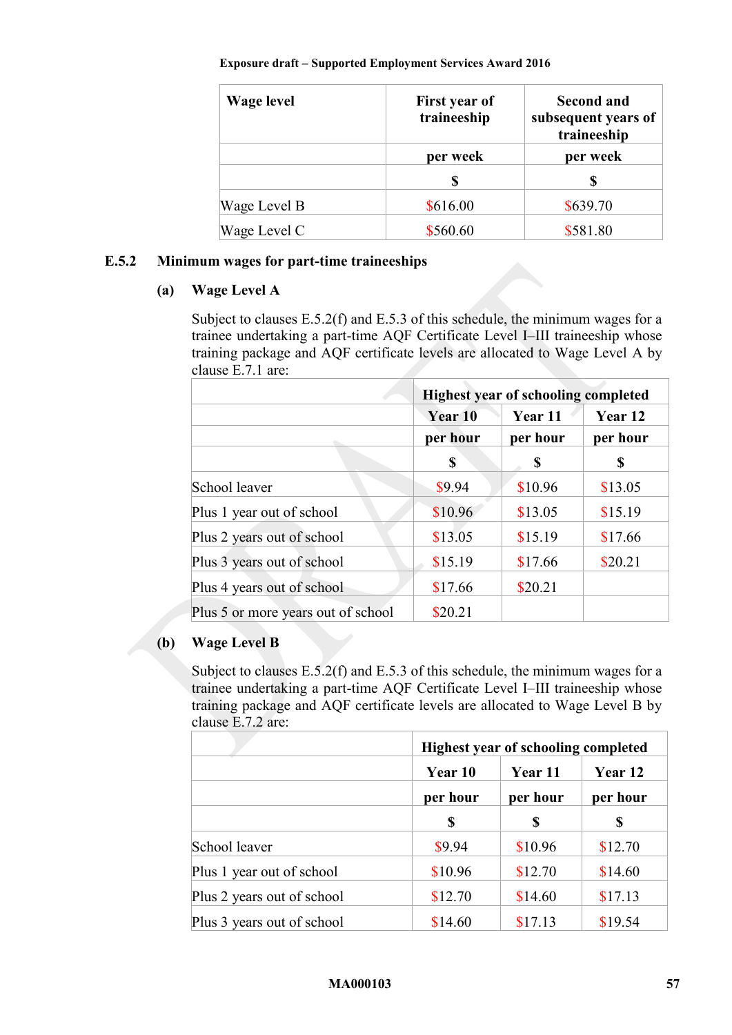| Wage level   | First year of<br>traineeship | <b>Second and</b><br>subsequent years of<br>traineeship |
|--------------|------------------------------|---------------------------------------------------------|
|              | per week                     | per week                                                |
|              | S                            |                                                         |
| Wage Level B | \$616.00                     | \$639.70                                                |
| Wage Level C | \$560.60                     | \$581.80                                                |

## <span id="page-56-0"></span>**E.5.2 Minimum wages for part-time traineeships**

## **(a) Wage Level A**

Subject to clauses [E.5.2\(f\)](#page-58-1) and [E.5.3](#page-58-0) of this schedule, the minimum wages for a trainee undertaking a part-time AQF Certificate Level I–III traineeship whose training package and AQF certificate levels are allocated to Wage Level A by clause [E.7.1](#page-59-2) are:

|                                    | <b>Highest year of schooling completed</b> |          |          |
|------------------------------------|--------------------------------------------|----------|----------|
|                                    | Year 10                                    | Year 11  | Year 12  |
|                                    | per hour                                   | per hour | per hour |
|                                    | S                                          | \$       | S        |
| School leaver                      | \$9.94                                     | \$10.96  | \$13.05  |
| Plus 1 year out of school          | \$10.96                                    | \$13.05  | \$15.19  |
| Plus 2 years out of school         | \$13.05                                    | \$15.19  | \$17.66  |
| Plus 3 years out of school         | \$15.19                                    | \$17.66  | \$20.21  |
| Plus 4 years out of school         | \$17.66                                    | \$20.21  |          |
| Plus 5 or more years out of school | \$20.21                                    |          |          |

## **(b) Wage Level B**

Subject to clauses [E.5.2\(f\)](#page-58-1) and [E.5.3](#page-58-0) of this schedule, the minimum wages for a trainee undertaking a part-time AQF Certificate Level I–III traineeship whose training package and AQF certificate levels are allocated to Wage Level B by clause [E.7.2](#page-61-0) are:

|                            | <b>Highest year of schooling completed</b> |          |          |
|----------------------------|--------------------------------------------|----------|----------|
|                            | Year 10                                    | Year 11  | Year 12  |
|                            | per hour                                   | per hour | per hour |
|                            | S                                          | S        | S        |
| School leaver              | \$9.94                                     | \$10.96  | \$12.70  |
| Plus 1 year out of school  | \$10.96                                    | \$12.70  | \$14.60  |
| Plus 2 years out of school | \$12.70                                    | \$14.60  | \$17.13  |
| Plus 3 years out of school | \$14.60                                    | \$17.13  | \$19.54  |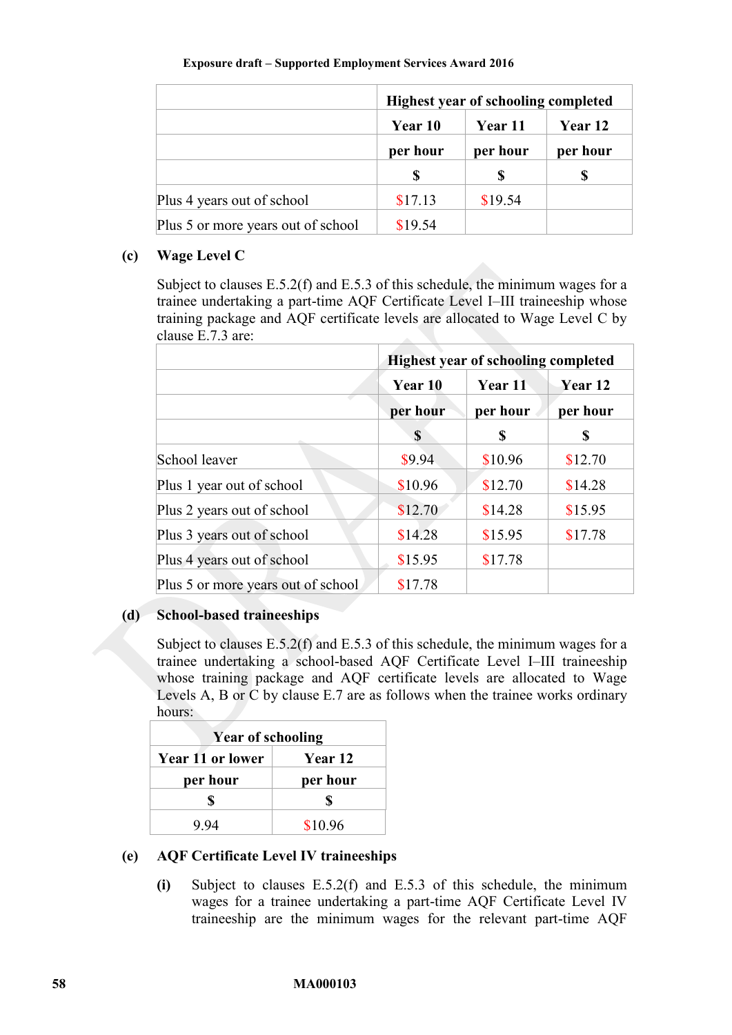|                                    | <b>Highest year of schooling completed</b> |          |          |
|------------------------------------|--------------------------------------------|----------|----------|
|                                    | <b>Year 11</b><br>Year 10                  |          | Year 12  |
|                                    | per hour                                   | per hour | per hour |
|                                    |                                            | S        |          |
| Plus 4 years out of school         | \$17.13                                    | \$19.54  |          |
| Plus 5 or more years out of school | \$19.54                                    |          |          |

## **(c) Wage Level C**

Subject to clauses [E.5.2\(f\)](#page-58-1) and [E.5.3](#page-58-0) of this schedule, the minimum wages for a trainee undertaking a part-time AQF Certificate Level I–III traineeship whose training package and AQF certificate levels are allocated to Wage Level C by clause [E.7.3](#page-62-0) are:

|                                    | <b>Highest year of schooling completed</b> |          |          |
|------------------------------------|--------------------------------------------|----------|----------|
|                                    | Year 10                                    | Year 11  | Year 12  |
|                                    | per hour                                   | per hour | per hour |
|                                    | S                                          | S        | S        |
| School leaver                      | \$9.94                                     | \$10.96  | \$12.70  |
| Plus 1 year out of school          | \$10.96                                    | \$12.70  | \$14.28  |
| Plus 2 years out of school         | \$12.70                                    | \$14.28  | \$15.95  |
| Plus 3 years out of school         | \$14.28                                    | \$15.95  | \$17.78  |
| Plus 4 years out of school         | \$15.95                                    | \$17.78  |          |
| Plus 5 or more years out of school | \$17.78                                    |          |          |

#### **(d) School-based traineeships**

Subject to clauses [E.5.2\(f\)](#page-58-1) and [E.5.3](#page-58-0) of this schedule, the minimum wages for a trainee undertaking a school-based AQF Certificate Level I–III traineeship whose training package and AQF certificate levels are allocated to Wage Levels A, B or C by clause [E.7](#page-59-0) are as follows when the trainee works ordinary hours:

| <b>Year of schooling</b> |                |  |
|--------------------------|----------------|--|
| <b>Year 11 or lower</b>  | <b>Year 12</b> |  |
| per hour                 | per hour       |  |
|                          | S              |  |
| 994                      | \$10.96        |  |

## <span id="page-57-0"></span>**(e) AQF Certificate Level IV traineeships**

**(i)** Subject to clauses [E.5.2\(f\)](#page-58-1) and [E.5.3](#page-58-0) of this schedule, the minimum wages for a trainee undertaking a part-time AQF Certificate Level IV traineeship are the minimum wages for the relevant part-time AQF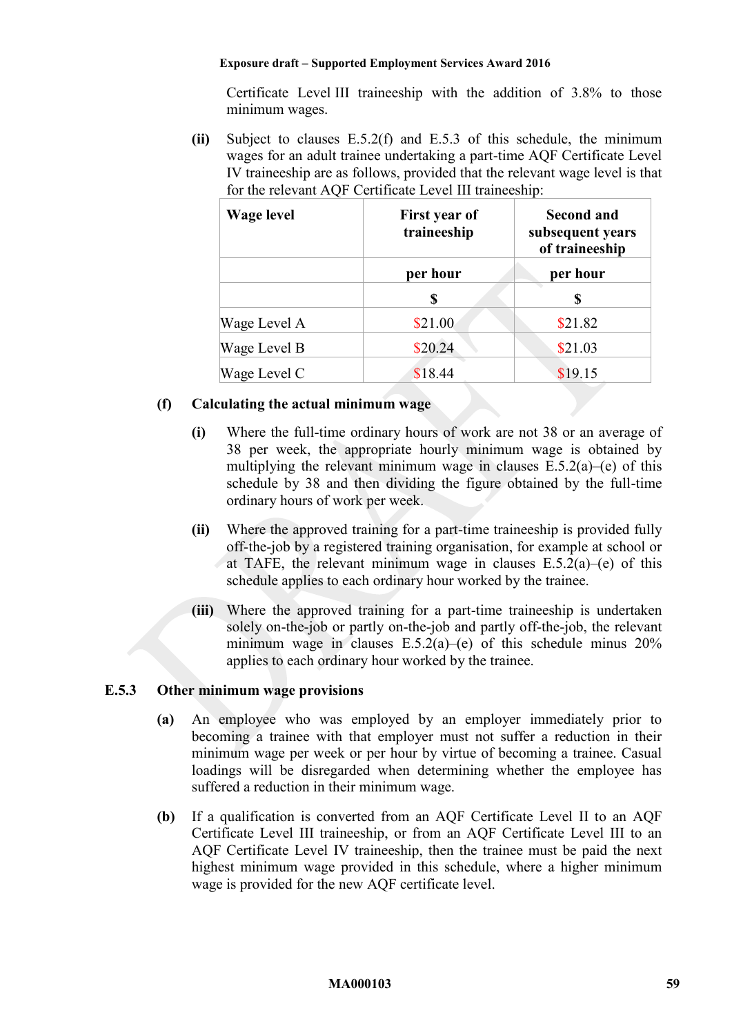Certificate Level III traineeship with the addition of 3.8% to those minimum wages.

**(ii)** Subject to clauses [E.5.2\(f\)](#page-58-1) and [E.5.3](#page-58-0) of this schedule, the minimum wages for an adult trainee undertaking a part-time AQF Certificate Level IV traineeship are as follows, provided that the relevant wage level is that for the relevant AQF Certificate Level III traineeship:

| <b>Wage level</b> | First year of<br>traineeship | <b>Second and</b><br>subsequent years<br>of traineeship |  |
|-------------------|------------------------------|---------------------------------------------------------|--|
|                   | per hour                     | per hour                                                |  |
|                   | S                            | \$                                                      |  |
| Wage Level A      | \$21.00                      | \$21.82                                                 |  |
| Wage Level B      | \$20.24                      | \$21.03                                                 |  |
| Wage Level C      | \$18.44                      | \$19.15                                                 |  |

## <span id="page-58-1"></span>**(f) Calculating the actual minimum wage**

- **(i)** Where the full-time ordinary hours of work are not 38 or an average of 38 per week, the appropriate hourly minimum wage is obtained by multiplying the relevant minimum wage in clauses  $E.5.2(a)$ [–\(e\)](#page-57-0) of this schedule by 38 and then dividing the figure obtained by the full-time ordinary hours of work per week.
- <span id="page-58-2"></span>**(ii)** Where the approved training for a part-time traineeship is provided fully off-the-job by a registered training organisation, for example at school or at TAFE, the relevant minimum wage in clauses  $E.5.2(a)$ –[\(e\)](#page-57-0) of this schedule applies to each ordinary hour worked by the trainee.
- **(iii)** Where the approved training for a part-time traineeship is undertaken solely on-the-job or partly on-the-job and partly off-the-job, the relevant minimum wage in clauses  $E.5.2(a)$ –[\(e\)](#page-57-0) of this schedule minus  $20\%$ applies to each ordinary hour worked by the trainee.

## <span id="page-58-0"></span>**E.5.3 Other minimum wage provisions**

- **(a)** An employee who was employed by an employer immediately prior to becoming a trainee with that employer must not suffer a reduction in their minimum wage per week or per hour by virtue of becoming a trainee. Casual loadings will be disregarded when determining whether the employee has suffered a reduction in their minimum wage.
- **(b)** If a qualification is converted from an AQF Certificate Level II to an AQF Certificate Level III traineeship, or from an AQF Certificate Level III to an AQF Certificate Level IV traineeship, then the trainee must be paid the next highest minimum wage provided in this schedule, where a higher minimum wage is provided for the new AQF certificate level.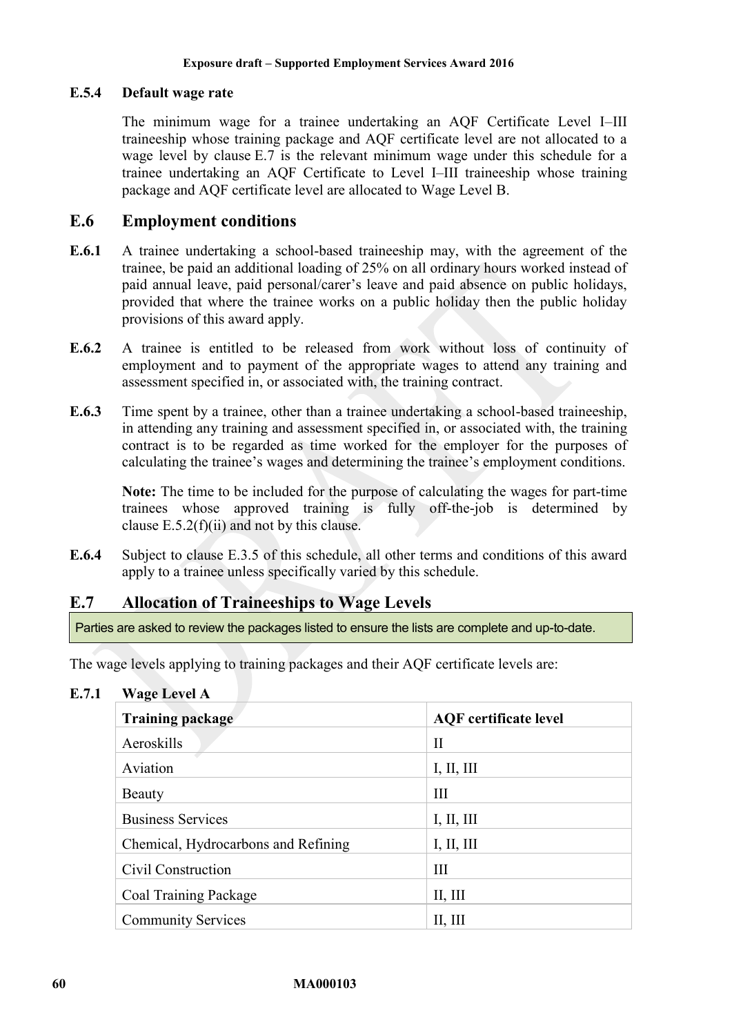### <span id="page-59-1"></span>**E.5.4 Default wage rate**

The minimum wage for a trainee undertaking an AQF Certificate Level I–III traineeship whose training package and AQF certificate level are not allocated to a wage level by clause [E.7](#page-59-0) is the relevant minimum wage under this schedule for a trainee undertaking an AQF Certificate to Level I–III traineeship whose training package and AQF certificate level are allocated to Wage Level B.

# **E.6 Employment conditions**

- **E.6.1** A trainee undertaking a school-based traineeship may, with the agreement of the trainee, be paid an additional loading of 25% on all ordinary hours worked instead of paid annual leave, paid personal/carer's leave and paid absence on public holidays, provided that where the trainee works on a public holiday then the public holiday provisions of this award apply.
- **E.6.2** A trainee is entitled to be released from work without loss of continuity of employment and to payment of the appropriate wages to attend any training and assessment specified in, or associated with, the training contract.
- **E.6.3** Time spent by a trainee, other than a trainee undertaking a school-based traineeship, in attending any training and assessment specified in, or associated with, the training contract is to be regarded as time worked for the employer for the purposes of calculating the trainee's wages and determining the trainee's employment conditions.

**Note:** The time to be included for the purpose of calculating the wages for part-time trainees whose approved training is fully off-the-job is determined by clause  $E.5.2(f)(ii)$  and not by this clause.

**E.6.4** Subject to clause [E.3.5](#page-53-2) of this schedule, all other terms and conditions of this award apply to a trainee unless specifically varied by this schedule.

# <span id="page-59-0"></span>**E.7 Allocation of Traineeships to Wage Levels**

Parties are asked to review the packages listed to ensure the lists are complete and up-to-date.

The wage levels applying to training packages and their AQF certificate levels are:

<span id="page-59-2"></span>**E.7.1 Wage Level A** 

| <b>Training package</b>             | <b>AQF</b> certificate level |
|-------------------------------------|------------------------------|
| Aeroskills                          | $\rm II$                     |
| Aviation                            | I, II, III                   |
| <b>Beauty</b>                       | III                          |
| <b>Business Services</b>            | I, II, III                   |
| Chemical, Hydrocarbons and Refining | I, II, III                   |
| Civil Construction                  | Ш                            |
| Coal Training Package               | II, III                      |
| <b>Community Services</b>           | II, III                      |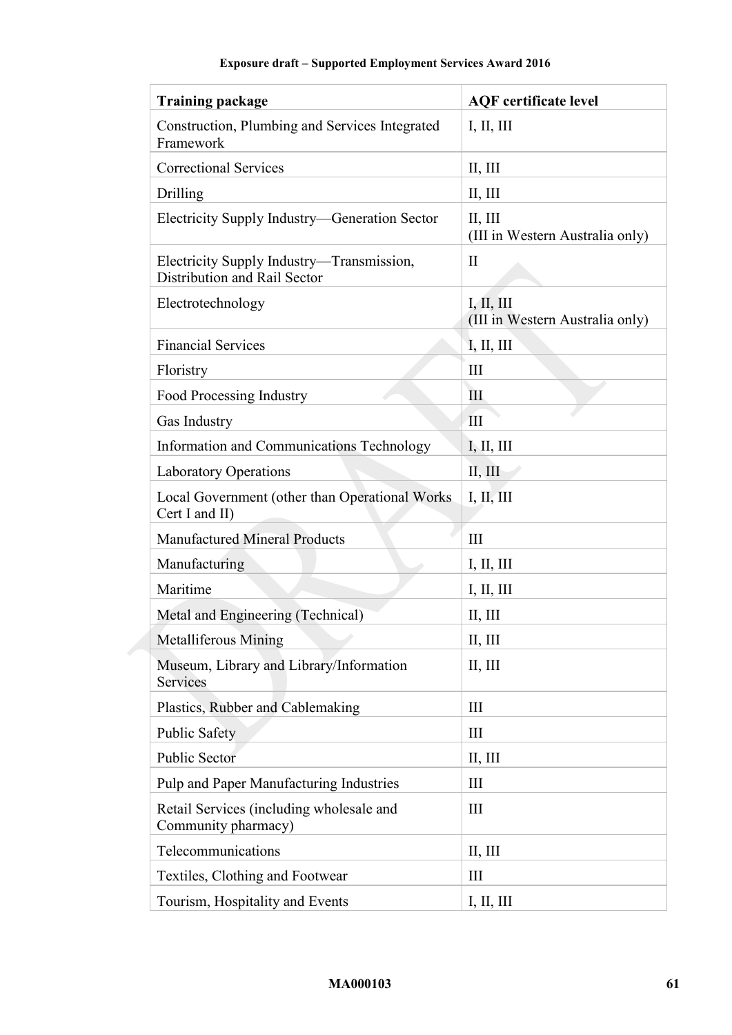| <b>Training package</b>                                                   | <b>AQF</b> certificate level                  |
|---------------------------------------------------------------------------|-----------------------------------------------|
| Construction, Plumbing and Services Integrated<br>Framework               | I, II, III                                    |
| <b>Correctional Services</b>                                              | II, III                                       |
| Drilling                                                                  | II, III                                       |
| Electricity Supply Industry—Generation Sector                             | II, III<br>(III in Western Australia only)    |
| Electricity Supply Industry—Transmission,<br>Distribution and Rail Sector | $\mathbf{I}$                                  |
| Electrotechnology                                                         | I, II, III<br>(III in Western Australia only) |
| <b>Financial Services</b>                                                 | I, II, III                                    |
| Floristry                                                                 | III                                           |
| Food Processing Industry                                                  | Ш                                             |
| Gas Industry                                                              | III                                           |
| Information and Communications Technology                                 | I, II, III                                    |
| <b>Laboratory Operations</b>                                              | II, III                                       |
| Local Government (other than Operational Works<br>Cert I and II)          | I, II, III                                    |
| <b>Manufactured Mineral Products</b>                                      | III                                           |
| Manufacturing                                                             | I, II, III                                    |
| Maritime                                                                  | I, II, III                                    |
| Metal and Engineering (Technical)                                         | II, III                                       |
| <b>Metalliferous Mining</b>                                               | II, III                                       |
| Museum, Library and Library/Information<br>Services                       | II, III                                       |
| Plastics, Rubber and Cablemaking                                          | Ш                                             |
| <b>Public Safety</b>                                                      | III                                           |
| <b>Public Sector</b>                                                      | II, III                                       |
| Pulp and Paper Manufacturing Industries                                   | III                                           |
| Retail Services (including wholesale and<br>Community pharmacy)           | III                                           |
| Telecommunications                                                        | II, III                                       |
| Textiles, Clothing and Footwear                                           | Ш                                             |
| Tourism, Hospitality and Events                                           | I, II, III                                    |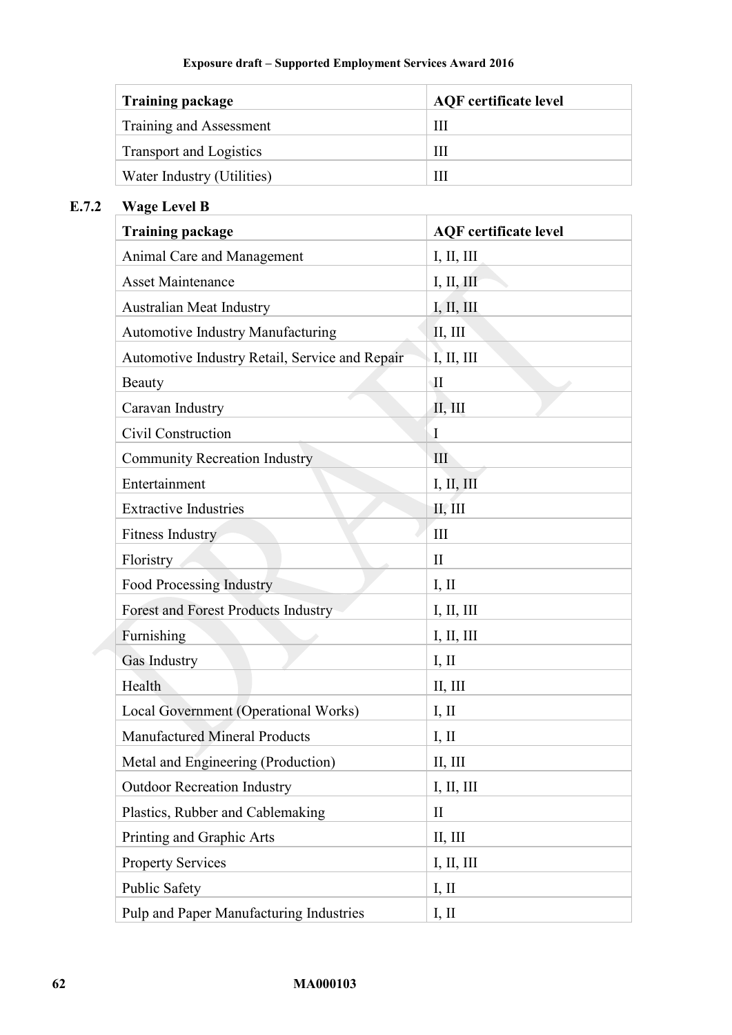| <b>Training package</b>    | <b>AQF</b> certificate level |
|----------------------------|------------------------------|
| Training and Assessment    | Ш                            |
| Transport and Logistics    | Ш                            |
| Water Industry (Utilities) | Ш                            |

# <span id="page-61-0"></span>**E.7.2 Wage Level B**

| <b>Training package</b>                        | <b>AQF</b> certificate level |
|------------------------------------------------|------------------------------|
| Animal Care and Management                     | I, II, III                   |
| <b>Asset Maintenance</b>                       | I, II, III                   |
| Australian Meat Industry                       | I, II, III                   |
| <b>Automotive Industry Manufacturing</b>       | II, III                      |
| Automotive Industry Retail, Service and Repair | I, II, III                   |
| <b>Beauty</b>                                  | $\rm II$                     |
| Caravan Industry                               | II, III                      |
| Civil Construction                             | Ι                            |
| <b>Community Recreation Industry</b>           | III                          |
| Entertainment                                  | I, II, III                   |
| <b>Extractive Industries</b>                   | II, III                      |
| <b>Fitness Industry</b>                        | III                          |
| Floristry                                      | $\mathbf{I}$                 |
| <b>Food Processing Industry</b>                | I, II                        |
| <b>Forest and Forest Products Industry</b>     | I, II, III                   |
| Furnishing                                     | I, II, III                   |
| Gas Industry                                   | I, II                        |
| Health                                         | II, III                      |
| Local Government (Operational Works)           | I, II                        |
| <b>Manufactured Mineral Products</b>           | I, II                        |
| Metal and Engineering (Production)             | II, III                      |
| <b>Outdoor Recreation Industry</b>             | I, II, III                   |
| Plastics, Rubber and Cablemaking               | $\mathbf{I}$                 |
| Printing and Graphic Arts                      | II, III                      |
| <b>Property Services</b>                       | I, II, III                   |
| <b>Public Safety</b>                           | I, II                        |
| Pulp and Paper Manufacturing Industries        | I, II                        |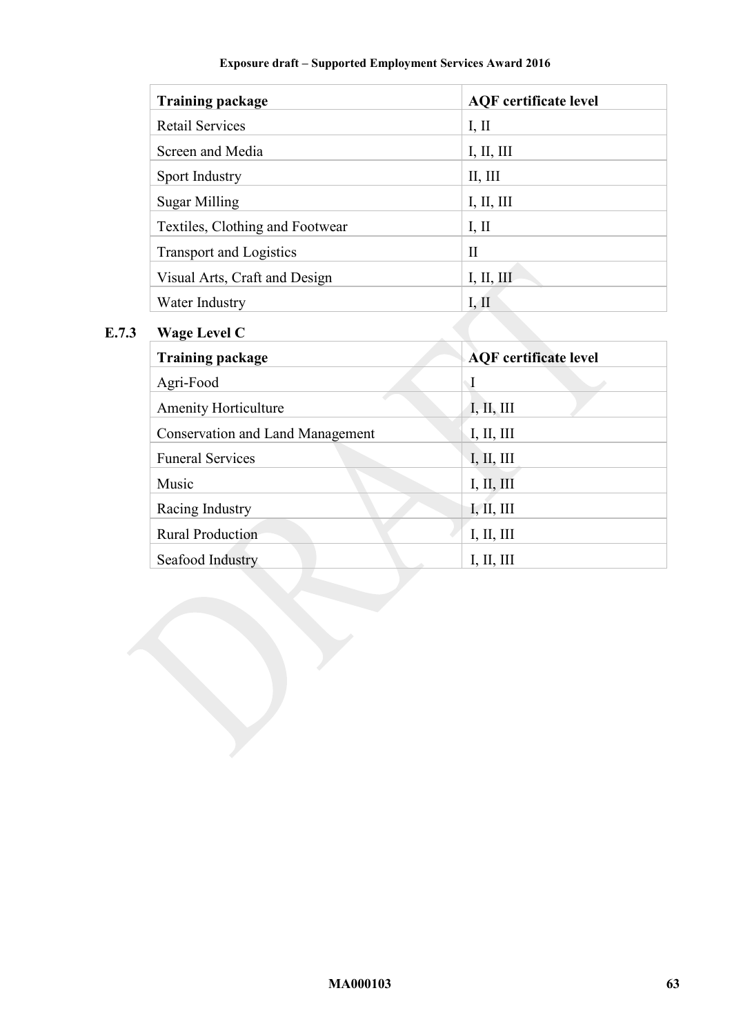| <b>Training package</b>         | <b>AQF</b> certificate level |
|---------------------------------|------------------------------|
| <b>Retail Services</b>          | I, II                        |
| Screen and Media                | I, II, III                   |
| Sport Industry                  | II, III                      |
| <b>Sugar Milling</b>            | I, II, III                   |
| Textiles, Clothing and Footwear | I, II                        |
| <b>Transport and Logistics</b>  | $\mathbf{H}$                 |
| Visual Arts, Craft and Design   | I, II, III                   |
| Water Industry                  | I, II                        |

# <span id="page-62-0"></span>**E.7.3 Wage Level C**

| <b>Training package</b>                 | <b>AQF</b> certificate level |
|-----------------------------------------|------------------------------|
| Agri-Food                               | $\mathbf I$                  |
| <b>Amenity Horticulture</b>             | I, II, III                   |
| <b>Conservation and Land Management</b> | I, II, III                   |
| <b>Funeral Services</b>                 | I, II, III                   |
| Music                                   | I, II, III                   |
| Racing Industry                         | I, II, III                   |
| <b>Rural Production</b>                 | I, II, III                   |
| Seafood Industry                        | I, II, III                   |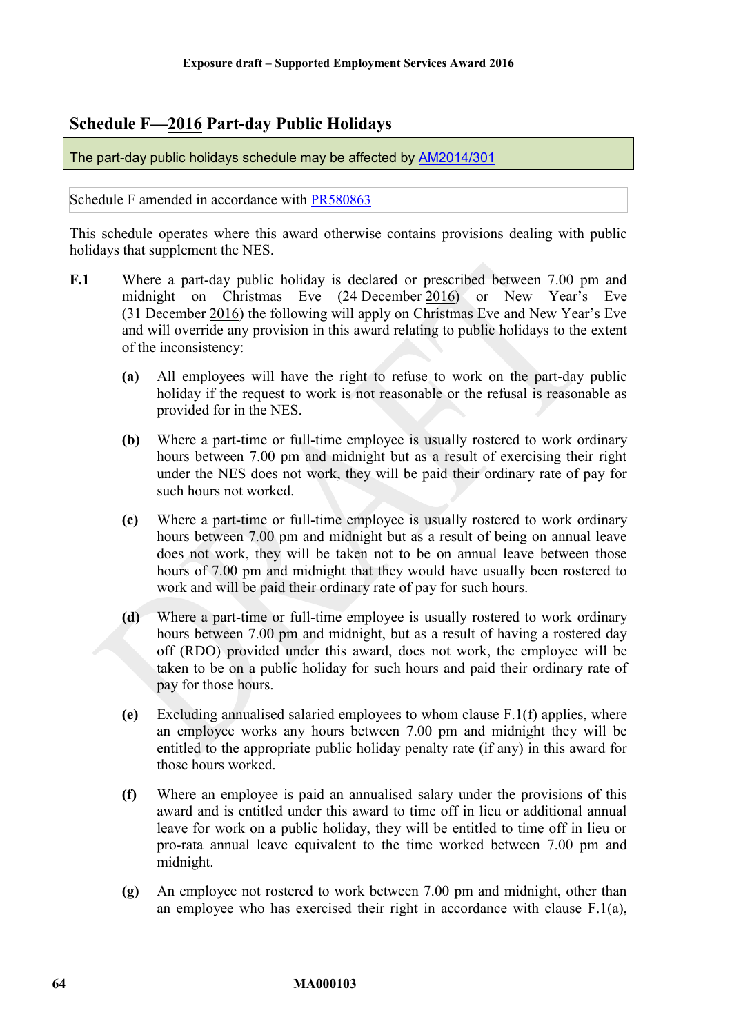# <span id="page-63-0"></span>**Schedule F—2016 Part-day Public Holidays**

The part-day public holidays schedule may be affected by [AM2014/301](https://www.fwc.gov.au/awards-and-agreements/modern-award-reviews/4-yearly-review/common-issues/am2014301-public-holidays)

Schedule F amended in accordance with [PR580863](http://www.fwc.gov.au/awardsandorders/html/pr580863.htm)

This schedule operates where this award otherwise contains provisions dealing with public holidays that supplement the NES.

- <span id="page-63-2"></span><span id="page-63-1"></span>**F.1** Where a part-day public holiday is declared or prescribed between 7.00 pm and midnight on Christmas Eve (24 December 2016) or New Year's Eve (31 December 2016) the following will apply on Christmas Eve and New Year's Eve and will override any provision in this award relating to public holidays to the extent of the inconsistency:
	- **(a)** All employees will have the right to refuse to work on the part-day public holiday if the request to work is not reasonable or the refusal is reasonable as provided for in the NES.
	- **(b)** Where a part-time or full-time employee is usually rostered to work ordinary hours between 7.00 pm and midnight but as a result of exercising their right under the NES does not work, they will be paid their ordinary rate of pay for such hours not worked.
	- **(c)** Where a part-time or full-time employee is usually rostered to work ordinary hours between 7.00 pm and midnight but as a result of being on annual leave does not work, they will be taken not to be on annual leave between those hours of 7.00 pm and midnight that they would have usually been rostered to work and will be paid their ordinary rate of pay for such hours.
	- **(d)** Where a part-time or full-time employee is usually rostered to work ordinary hours between 7.00 pm and midnight, but as a result of having a rostered day off (RDO) provided under this award, does not work, the employee will be taken to be on a public holiday for such hours and paid their ordinary rate of pay for those hours.
	- **(e)** Excluding annualised salaried employees to whom clause [F.1\(f\)](#page-63-1) applies, where an employee works any hours between 7.00 pm and midnight they will be entitled to the appropriate public holiday penalty rate (if any) in this award for those hours worked.
	- **(f)** Where an employee is paid an annualised salary under the provisions of this award and is entitled under this award to time off in lieu or additional annual leave for work on a public holiday, they will be entitled to time off in lieu or pro-rata annual leave equivalent to the time worked between 7.00 pm and midnight.
	- **(g)** An employee not rostered to work between 7.00 pm and midnight, other than an employee who has exercised their right in accordance with clause [F.1\(a\),](#page-63-2)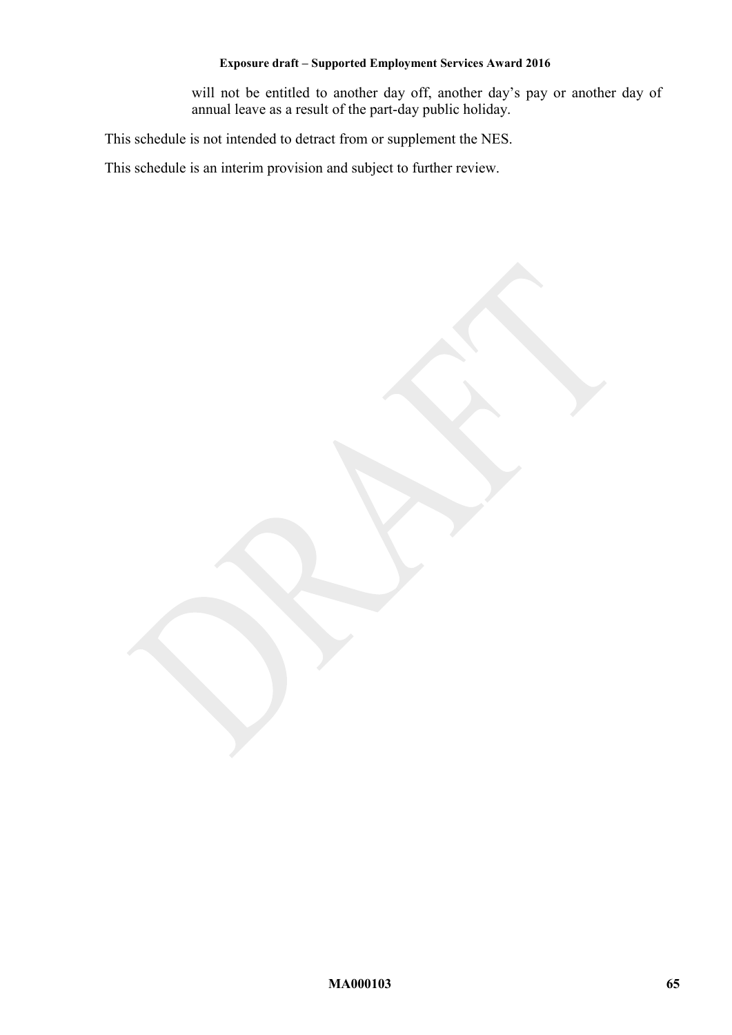will not be entitled to another day off, another day's pay or another day of annual leave as a result of the part-day public holiday.

This schedule is not intended to detract from or supplement the NES.

This schedule is an interim provision and subject to further review.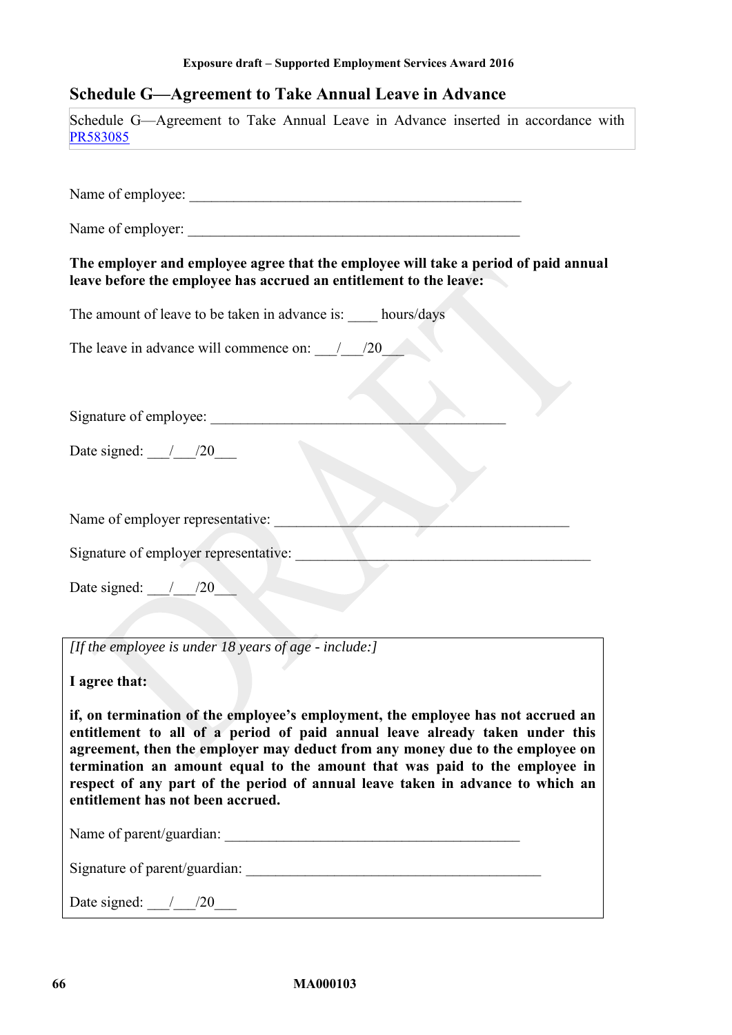# <span id="page-65-0"></span>**Schedule G—Agreement to Take Annual Leave in Advance**

| Schedule G—Agreement to Take Annual Leave in Advance inserted in accordance with<br>PR583085                                                                                                                                                                                                                                                                                                                                                           |
|--------------------------------------------------------------------------------------------------------------------------------------------------------------------------------------------------------------------------------------------------------------------------------------------------------------------------------------------------------------------------------------------------------------------------------------------------------|
|                                                                                                                                                                                                                                                                                                                                                                                                                                                        |
|                                                                                                                                                                                                                                                                                                                                                                                                                                                        |
| Name of employer:                                                                                                                                                                                                                                                                                                                                                                                                                                      |
| The employer and employee agree that the employee will take a period of paid annual<br>leave before the employee has accrued an entitlement to the leave:                                                                                                                                                                                                                                                                                              |
| The amount of leave to be taken in advance is: _____ hours/days                                                                                                                                                                                                                                                                                                                                                                                        |
| The leave in advance will commence on: $\frac{1}{20}$                                                                                                                                                                                                                                                                                                                                                                                                  |
|                                                                                                                                                                                                                                                                                                                                                                                                                                                        |
| Signature of employee:                                                                                                                                                                                                                                                                                                                                                                                                                                 |
| Date signed: $\frac{1}{20}$                                                                                                                                                                                                                                                                                                                                                                                                                            |
|                                                                                                                                                                                                                                                                                                                                                                                                                                                        |
| Name of employer representative:                                                                                                                                                                                                                                                                                                                                                                                                                       |
| Signature of employer representative:                                                                                                                                                                                                                                                                                                                                                                                                                  |
| Date signed: $\frac{1}{20}$                                                                                                                                                                                                                                                                                                                                                                                                                            |
|                                                                                                                                                                                                                                                                                                                                                                                                                                                        |
| [If the employee is under $18$ years of age - include:]                                                                                                                                                                                                                                                                                                                                                                                                |
| I agree that:                                                                                                                                                                                                                                                                                                                                                                                                                                          |
| if, on termination of the employee's employment, the employee has not accrued an<br>entitlement to all of a period of paid annual leave already taken under this<br>agreement, then the employer may deduct from any money due to the employee on<br>termination an amount equal to the amount that was paid to the employee in<br>respect of any part of the period of annual leave taken in advance to which an<br>entitlement has not been accrued. |
|                                                                                                                                                                                                                                                                                                                                                                                                                                                        |
|                                                                                                                                                                                                                                                                                                                                                                                                                                                        |
| Date signed: $\frac{1}{20}$                                                                                                                                                                                                                                                                                                                                                                                                                            |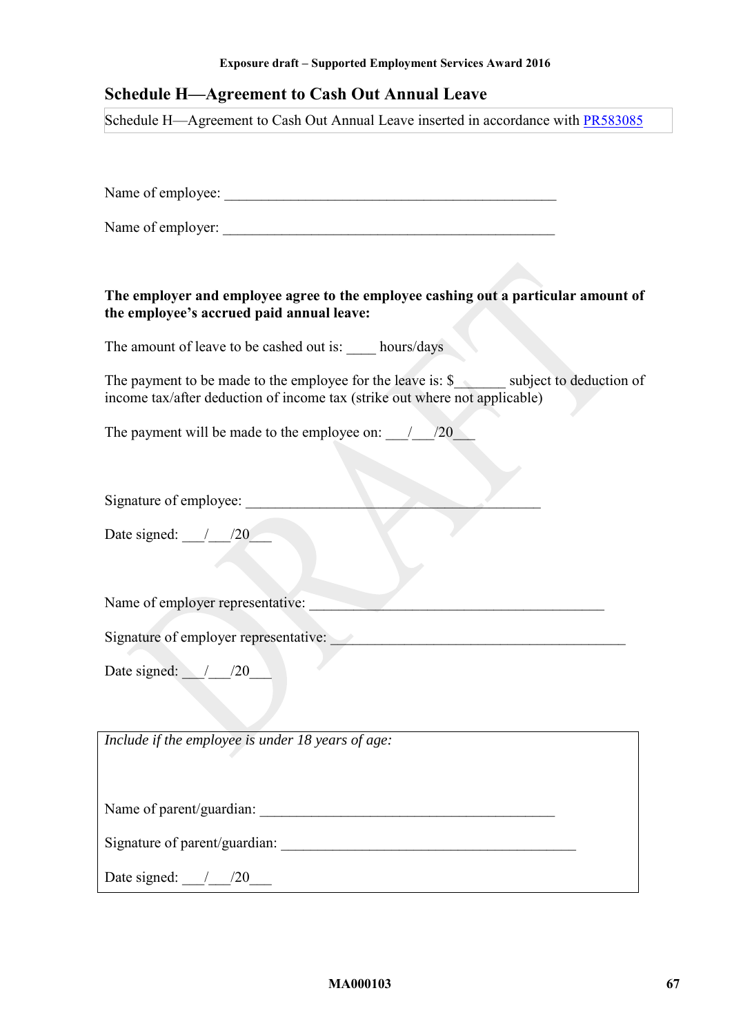# <span id="page-66-0"></span>**Schedule H—Agreement to Cash Out Annual Leave**

Schedule H—Agreement to Cash Out Annual Leave inserted in accordance with [PR583085](https://www.fwc.gov.au/documents/awardsandorders/html/pr583085.htm)

Name of employee: \_\_\_\_\_\_\_\_\_\_\_\_\_\_\_\_\_\_\_\_\_\_\_\_\_\_\_\_\_\_\_\_\_\_\_\_\_\_\_\_\_\_\_\_\_

Name of employer:

## **The employer and employee agree to the employee cashing out a particular amount of the employee's accrued paid annual leave:**

The amount of leave to be cashed out is: hours/days

The payment to be made to the employee for the leave is:  $\$\$  subject to deduction of income tax/after deduction of income tax (strike out where not applicable)

The payment will be made to the employee on:  $\frac{1}{20}$ 

Signature of employee:

Date signed:  $/20$ 

Name of employer representative:

Signature of employer representative:

Date signed:  $/20$ 

*Include if the employee is under 18 years of age:*

Name of parent/guardian:

Signature of parent/guardian:

Date signed: \_\_\_/\_\_\_/20\_\_\_